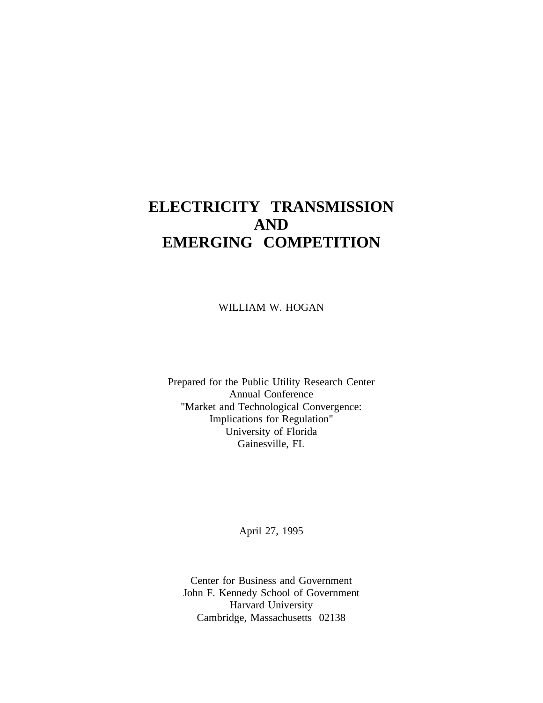# **ELECTRICITY TRANSMISSION AND EMERGING COMPETITION**

WILLIAM W. HOGAN

Prepared for the Public Utility Research Center Annual Conference "Market and Technological Convergence: Implications for Regulation" University of Florida Gainesville, FL

April 27, 1995

Center for Business and Government John F. Kennedy School of Government Harvard University Cambridge, Massachusetts 02138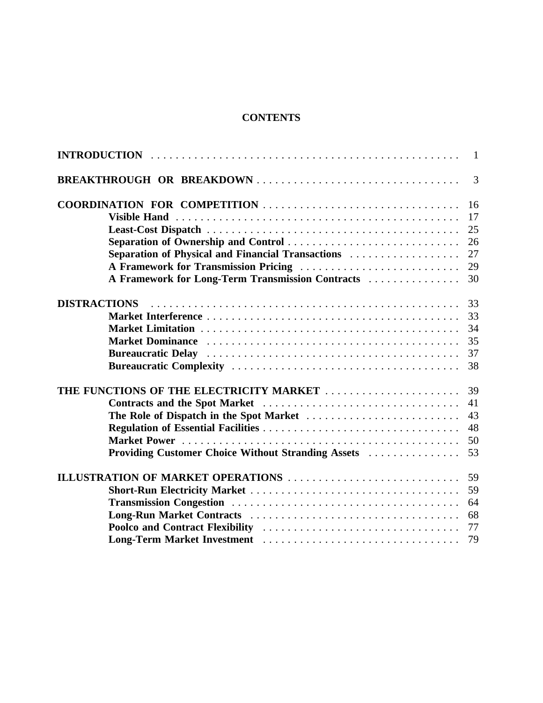# **CONTENTS**

|                                                    | $\overline{1}$ |
|----------------------------------------------------|----------------|
| BREAKTHROUGH OR BREAKDOWN                          | $\overline{3}$ |
| COORDINATION FOR COMPETITION                       | 16             |
|                                                    | 17             |
|                                                    | 25             |
| Separation of Ownership and Control                | 26             |
| Separation of Physical and Financial Transactions  | 27             |
| A Framework for Transmission Pricing               | 29             |
| A Framework for Long-Term Transmission Contracts   | 30             |
| <b>DISTRACTIONS</b>                                | 33             |
|                                                    | 33             |
|                                                    | 34             |
| <b>Market Dominance</b>                            | 35             |
|                                                    | 37             |
|                                                    | 38             |
| THE FUNCTIONS OF THE ELECTRICITY MARKET            | 39             |
| Contracts and the Spot Market                      | 41             |
| The Role of Dispatch in the Spot Market            | 43             |
|                                                    | 48             |
|                                                    | 50             |
| Providing Customer Choice Without Stranding Assets | 53             |
| ILLUSTRATION OF MARKET OPERATIONS                  | 59             |
|                                                    | 59             |
|                                                    | 64             |
|                                                    | 68             |
|                                                    | 77             |
|                                                    | 79             |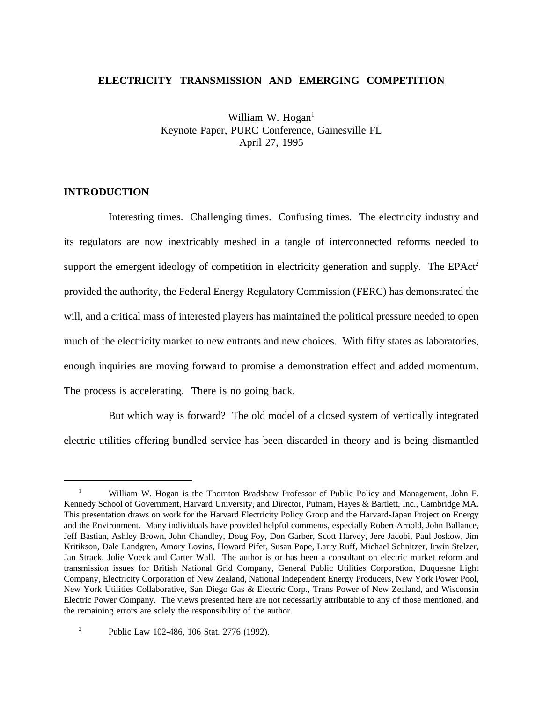# **ELECTRICITY TRANSMISSION AND EMERGING COMPETITION**

William W. Hogan $<sup>1</sup>$ </sup> Keynote Paper, PURC Conference, Gainesville FL April 27, 1995

# **INTRODUCTION**

Interesting times. Challenging times. Confusing times. The electricity industry and its regulators are now inextricably meshed in a tangle of interconnected reforms needed to support the emergent ideology of competition in electricity generation and supply. The EPAct<sup>2</sup> provided the authority, the Federal Energy Regulatory Commission (FERC) has demonstrated the will, and a critical mass of interested players has maintained the political pressure needed to open much of the electricity market to new entrants and new choices. With fifty states as laboratories, enough inquiries are moving forward to promise a demonstration effect and added momentum. The process is accelerating. There is no going back.

But which way is forward? The old model of a closed system of vertically integrated electric utilities offering bundled service has been discarded in theory and is being dismantled

<sup>&</sup>lt;sup>1</sup> William W. Hogan is the Thornton Bradshaw Professor of Public Policy and Management, John F. Kennedy School of Government, Harvard University, and Director, Putnam, Hayes & Bartlett, Inc., Cambridge MA. This presentation draws on work for the Harvard Electricity Policy Group and the Harvard-Japan Project on Energy and the Environment. Many individuals have provided helpful comments, especially Robert Arnold, John Ballance, Jeff Bastian, Ashley Brown, John Chandley, Doug Foy, Don Garber, Scott Harvey, Jere Jacobi, Paul Joskow, Jim Kritikson, Dale Landgren, Amory Lovins, Howard Pifer, Susan Pope, Larry Ruff, Michael Schnitzer, Irwin Stelzer, Jan Strack, Julie Voeck and Carter Wall. The author is or has been a consultant on electric market reform and transmission issues for British National Grid Company, General Public Utilities Corporation, Duquesne Light Company, Electricity Corporation of New Zealand, National Independent Energy Producers, New York Power Pool, New York Utilities Collaborative, San Diego Gas & Electric Corp., Trans Power of New Zealand, and Wisconsin Electric Power Company. The views presented here are not necessarily attributable to any of those mentioned, and the remaining errors are solely the responsibility of the author.

<sup>&</sup>lt;sup>2</sup> Public Law 102-486, 106 Stat. 2776 (1992).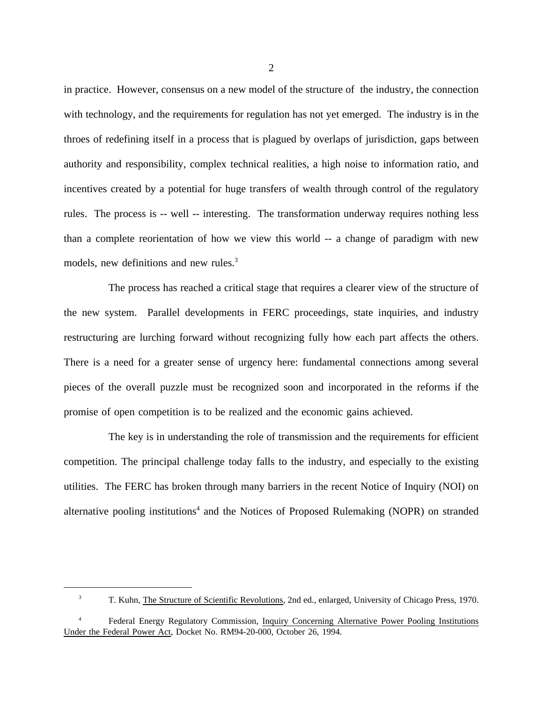in practice. However, consensus on a new model of the structure of the industry, the connection with technology, and the requirements for regulation has not yet emerged. The industry is in the throes of redefining itself in a process that is plagued by overlaps of jurisdiction, gaps between authority and responsibility, complex technical realities, a high noise to information ratio, and incentives created by a potential for huge transfers of wealth through control of the regulatory rules. The process is -- well -- interesting. The transformation underway requires nothing less than a complete reorientation of how we view this world -- a change of paradigm with new models, new definitions and new rules.<sup>3</sup>

The process has reached a critical stage that requires a clearer view of the structure of the new system. Parallel developments in FERC proceedings, state inquiries, and industry restructuring are lurching forward without recognizing fully how each part affects the others. There is a need for a greater sense of urgency here: fundamental connections among several pieces of the overall puzzle must be recognized soon and incorporated in the reforms if the promise of open competition is to be realized and the economic gains achieved.

The key is in understanding the role of transmission and the requirements for efficient competition. The principal challenge today falls to the industry, and especially to the existing utilities. The FERC has broken through many barriers in the recent Notice of Inquiry (NOI) on alternative pooling institutions<sup>4</sup> and the Notices of Proposed Rulemaking (NOPR) on stranded

<sup>&</sup>lt;sup>3</sup> T. Kuhn, The Structure of Scientific Revolutions, 2nd ed., enlarged, University of Chicago Press, 1970.

<sup>4</sup> Federal Energy Regulatory Commission, Inquiry Concerning Alternative Power Pooling Institutions Under the Federal Power Act, Docket No. RM94-20-000, October 26, 1994.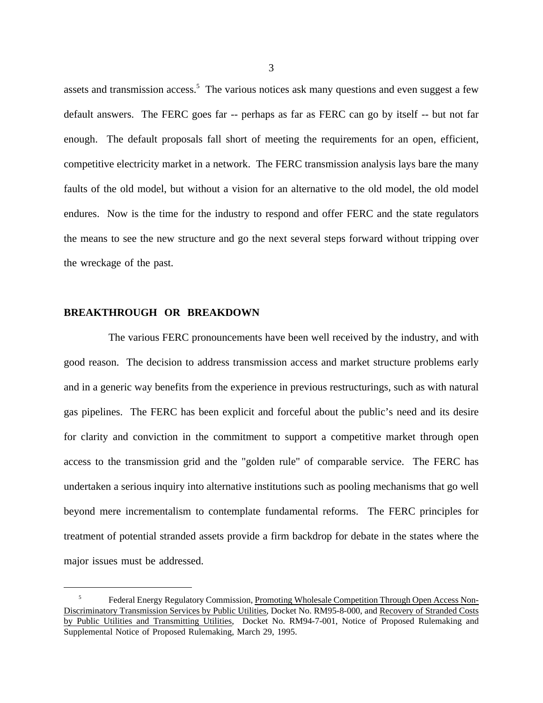assets and transmission access.<sup>5</sup> The various notices ask many questions and even suggest a few default answers. The FERC goes far -- perhaps as far as FERC can go by itself -- but not far enough. The default proposals fall short of meeting the requirements for an open, efficient, competitive electricity market in a network. The FERC transmission analysis lays bare the many faults of the old model, but without a vision for an alternative to the old model, the old model endures. Now is the time for the industry to respond and offer FERC and the state regulators the means to see the new structure and go the next several steps forward without tripping over the wreckage of the past.

## **BREAKTHROUGH OR BREAKDOWN**

The various FERC pronouncements have been well received by the industry, and with good reason. The decision to address transmission access and market structure problems early and in a generic way benefits from the experience in previous restructurings, such as with natural gas pipelines. The FERC has been explicit and forceful about the public's need and its desire for clarity and conviction in the commitment to support a competitive market through open access to the transmission grid and the "golden rule" of comparable service. The FERC has undertaken a serious inquiry into alternative institutions such as pooling mechanisms that go well beyond mere incrementalism to contemplate fundamental reforms. The FERC principles for treatment of potential stranded assets provide a firm backdrop for debate in the states where the major issues must be addressed.

<sup>&</sup>lt;sup>5</sup> Federal Energy Regulatory Commission, Promoting Wholesale Competition Through Open Access Non-Discriminatory Transmission Services by Public Utilities, Docket No. RM95-8-000, and Recovery of Stranded Costs by Public Utilities and Transmitting Utilities, Docket No. RM94-7-001, Notice of Proposed Rulemaking and Supplemental Notice of Proposed Rulemaking, March 29, 1995.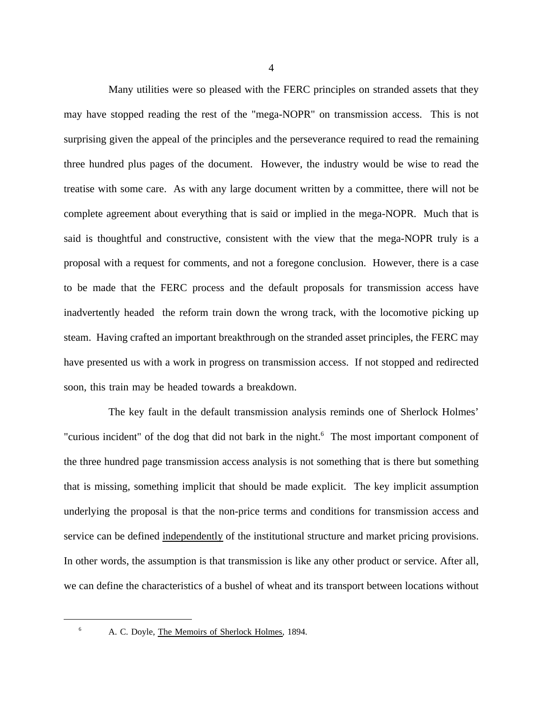Many utilities were so pleased with the FERC principles on stranded assets that they may have stopped reading the rest of the "mega-NOPR" on transmission access. This is not surprising given the appeal of the principles and the perseverance required to read the remaining three hundred plus pages of the document. However, the industry would be wise to read the treatise with some care. As with any large document written by a committee, there will not be complete agreement about everything that is said or implied in the mega-NOPR. Much that is said is thoughtful and constructive, consistent with the view that the mega-NOPR truly is a proposal with a request for comments, and not a foregone conclusion. However, there is a case to be made that the FERC process and the default proposals for transmission access have inadvertently headed the reform train down the wrong track, with the locomotive picking up steam. Having crafted an important breakthrough on the stranded asset principles, the FERC may have presented us with a work in progress on transmission access. If not stopped and redirected soon, this train may be headed towards a breakdown.

The key fault in the default transmission analysis reminds one of Sherlock Holmes' "curious incident" of the dog that did not bark in the night.<sup>6</sup> The most important component of the three hundred page transmission access analysis is not something that is there but something that is missing, something implicit that should be made explicit. The key implicit assumption underlying the proposal is that the non-price terms and conditions for transmission access and service can be defined independently of the institutional structure and market pricing provisions. In other words, the assumption is that transmission is like any other product or service. After all, we can define the characteristics of a bushel of wheat and its transport between locations without

<sup>&</sup>lt;sup>6</sup> A. C. Doyle, The Memoirs of Sherlock Holmes, 1894.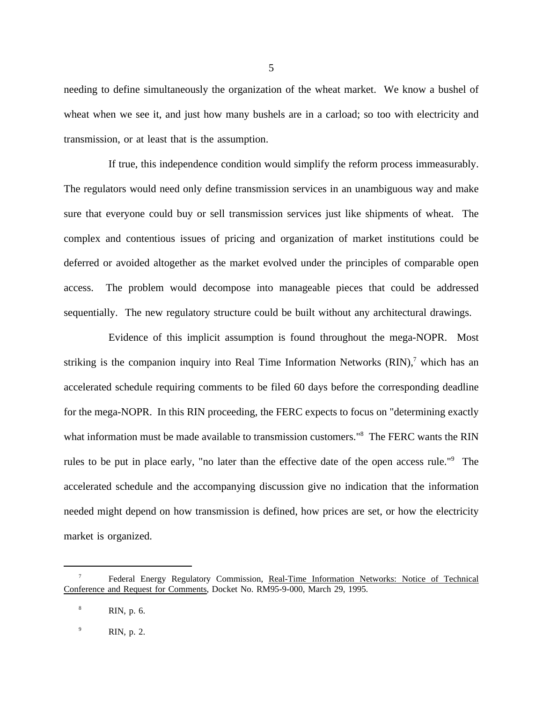needing to define simultaneously the organization of the wheat market. We know a bushel of wheat when we see it, and just how many bushels are in a carload; so too with electricity and transmission, or at least that is the assumption.

If true, this independence condition would simplify the reform process immeasurably. The regulators would need only define transmission services in an unambiguous way and make sure that everyone could buy or sell transmission services just like shipments of wheat. The complex and contentious issues of pricing and organization of market institutions could be deferred or avoided altogether as the market evolved under the principles of comparable open access. The problem would decompose into manageable pieces that could be addressed sequentially. The new regulatory structure could be built without any architectural drawings.

Evidence of this implicit assumption is found throughout the mega-NOPR. Most striking is the companion inquiry into Real Time Information Networks  $(RIN)^7$  which has an accelerated schedule requiring comments to be filed 60 days before the corresponding deadline for the mega-NOPR. In this RIN proceeding, the FERC expects to focus on "determining exactly what information must be made available to transmission customers."<sup>8</sup> The FERC wants the RIN rules to be put in place early, "no later than the effective date of the open access rule."<sup>9</sup> The accelerated schedule and the accompanying discussion give no indication that the information needed might depend on how transmission is defined, how prices are set, or how the electricity market is organized.

<sup>7</sup> Federal Energy Regulatory Commission, Real-Time Information Networks: Notice of Technical Conference and Request for Comments, Docket No. RM95-9-000, March 29, 1995.

<sup>8</sup> RIN, p. 6.

<sup>9</sup> RIN, p. 2.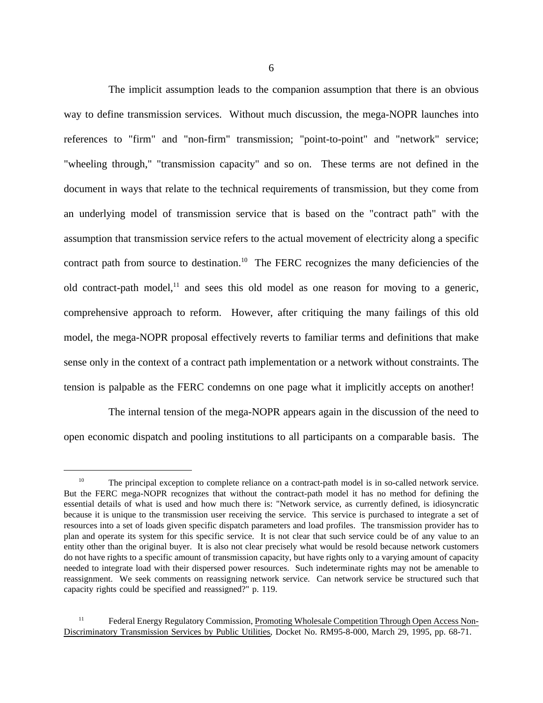The implicit assumption leads to the companion assumption that there is an obvious way to define transmission services. Without much discussion, the mega-NOPR launches into references to "firm" and "non-firm" transmission; "point-to-point" and "network" service; "wheeling through," "transmission capacity" and so on. These terms are not defined in the document in ways that relate to the technical requirements of transmission, but they come from an underlying model of transmission service that is based on the "contract path" with the assumption that transmission service refers to the actual movement of electricity along a specific contract path from source to destination.<sup>10</sup> The FERC recognizes the many deficiencies of the old contract-path model, $11$  and sees this old model as one reason for moving to a generic, comprehensive approach to reform. However, after critiquing the many failings of this old model, the mega-NOPR proposal effectively reverts to familiar terms and definitions that make sense only in the context of a contract path implementation or a network without constraints. The tension is palpable as the FERC condemns on one page what it implicitly accepts on another!

The internal tension of the mega-NOPR appears again in the discussion of the need to open economic dispatch and pooling institutions to all participants on a comparable basis. The

<sup>&</sup>lt;sup>10</sup> The principal exception to complete reliance on a contract-path model is in so-called network service. But the FERC mega-NOPR recognizes that without the contract-path model it has no method for defining the essential details of what is used and how much there is: "Network service, as currently defined, is idiosyncratic because it is unique to the transmission user receiving the service. This service is purchased to integrate a set of resources into a set of loads given specific dispatch parameters and load profiles. The transmission provider has to plan and operate its system for this specific service. It is not clear that such service could be of any value to an entity other than the original buyer. It is also not clear precisely what would be resold because network customers do not have rights to a specific amount of transmission capacity, but have rights only to a varying amount of capacity needed to integrate load with their dispersed power resources. Such indeterminate rights may not be amenable to reassignment. We seek comments on reassigning network service. Can network service be structured such that capacity rights could be specified and reassigned?" p. 119.

<sup>&</sup>lt;sup>11</sup> Federal Energy Regulatory Commission, Promoting Wholesale Competition Through Open Access Non-Discriminatory Transmission Services by Public Utilities, Docket No. RM95-8-000, March 29, 1995, pp. 68-71.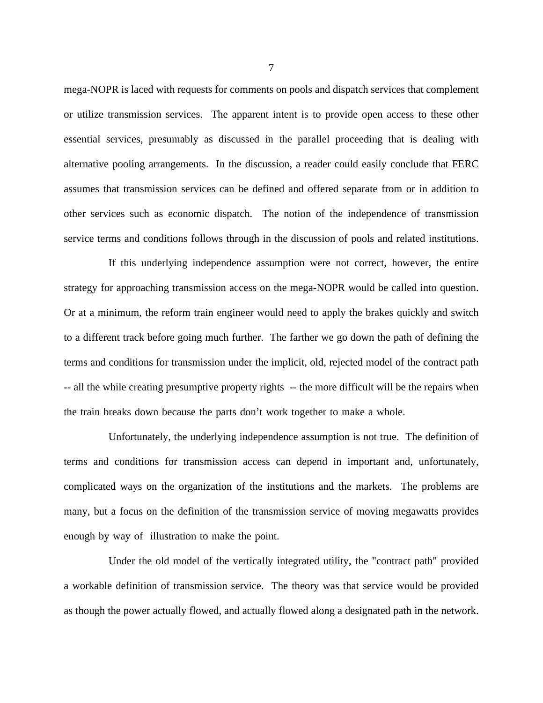mega-NOPR is laced with requests for comments on pools and dispatch services that complement or utilize transmission services. The apparent intent is to provide open access to these other essential services, presumably as discussed in the parallel proceeding that is dealing with alternative pooling arrangements. In the discussion, a reader could easily conclude that FERC assumes that transmission services can be defined and offered separate from or in addition to other services such as economic dispatch. The notion of the independence of transmission service terms and conditions follows through in the discussion of pools and related institutions.

If this underlying independence assumption were not correct, however, the entire strategy for approaching transmission access on the mega-NOPR would be called into question. Or at a minimum, the reform train engineer would need to apply the brakes quickly and switch to a different track before going much further. The farther we go down the path of defining the terms and conditions for transmission under the implicit, old, rejected model of the contract path -- all the while creating presumptive property rights -- the more difficult will be the repairs when the train breaks down because the parts don't work together to make a whole.

Unfortunately, the underlying independence assumption is not true. The definition of terms and conditions for transmission access can depend in important and, unfortunately, complicated ways on the organization of the institutions and the markets. The problems are many, but a focus on the definition of the transmission service of moving megawatts provides enough by way of illustration to make the point.

Under the old model of the vertically integrated utility, the "contract path" provided a workable definition of transmission service. The theory was that service would be provided as though the power actually flowed, and actually flowed along a designated path in the network.

7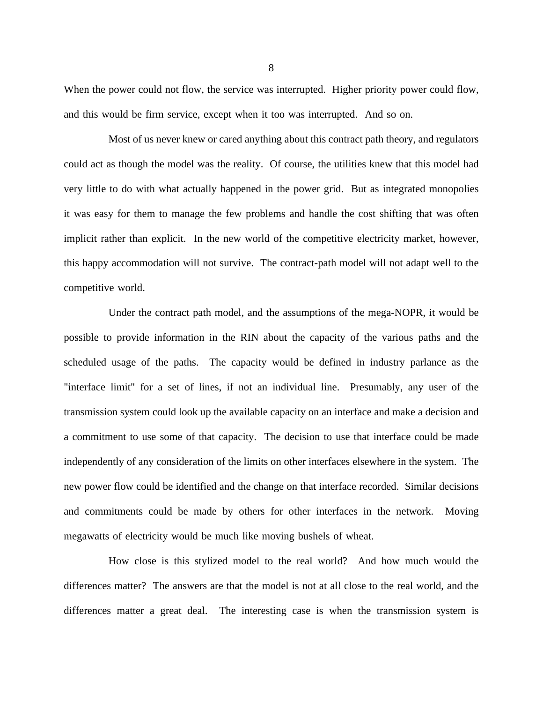When the power could not flow, the service was interrupted. Higher priority power could flow, and this would be firm service, except when it too was interrupted. And so on.

Most of us never knew or cared anything about this contract path theory, and regulators could act as though the model was the reality. Of course, the utilities knew that this model had very little to do with what actually happened in the power grid. But as integrated monopolies it was easy for them to manage the few problems and handle the cost shifting that was often implicit rather than explicit. In the new world of the competitive electricity market, however, this happy accommodation will not survive. The contract-path model will not adapt well to the competitive world.

Under the contract path model, and the assumptions of the mega-NOPR, it would be possible to provide information in the RIN about the capacity of the various paths and the scheduled usage of the paths. The capacity would be defined in industry parlance as the "interface limit" for a set of lines, if not an individual line. Presumably, any user of the transmission system could look up the available capacity on an interface and make a decision and a commitment to use some of that capacity. The decision to use that interface could be made independently of any consideration of the limits on other interfaces elsewhere in the system. The new power flow could be identified and the change on that interface recorded. Similar decisions and commitments could be made by others for other interfaces in the network. Moving megawatts of electricity would be much like moving bushels of wheat.

How close is this stylized model to the real world? And how much would the differences matter? The answers are that the model is not at all close to the real world, and the differences matter a great deal. The interesting case is when the transmission system is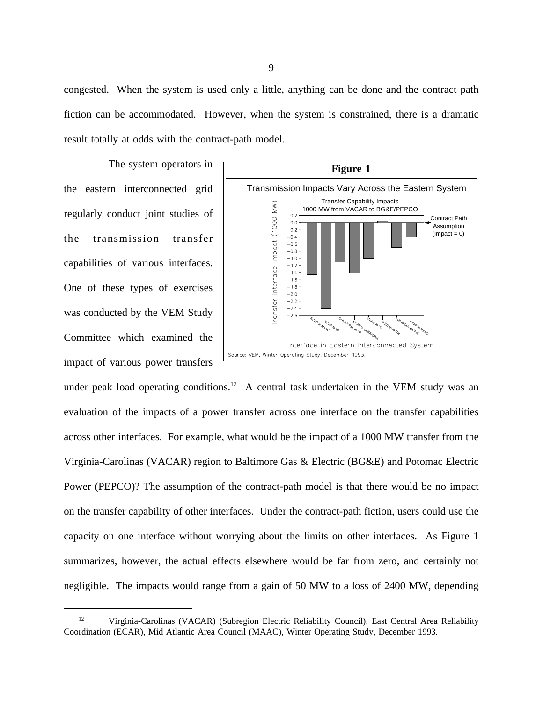congested. When the system is used only a little, anything can be done and the contract path fiction can be accommodated. However, when the system is constrained, there is a dramatic result totally at odds with the contract-path model.

The system operators in the eastern interconnected grid regularly conduct joint studies of the transmission transfer capabilities of various interfaces. One of these types of exercises was conducted by the VEM Study Committee which examined the impact of various power transfers



under peak load operating conditions.<sup>12</sup> A central task undertaken in the VEM study was an evaluation of the impacts of a power transfer across one interface on the transfer capabilities across other interfaces. For example, what would be the impact of a 1000 MW transfer from the Virginia-Carolinas (VACAR) region to Baltimore Gas & Electric (BG&E) and Potomac Electric Power (PEPCO)? The assumption of the contract-path model is that there would be no impact on the transfer capability of other interfaces. Under the contract-path fiction, users could use the capacity on one interface without worrying about the limits on other interfaces. As Figure 1 summarizes, however, the actual effects elsewhere would be far from zero, and certainly not negligible. The impacts would range from a gain of 50 MW to a loss of 2400 MW, depending

<sup>&</sup>lt;sup>12</sup> Virginia-Carolinas (VACAR) (Subregion Electric Reliability Council), East Central Area Reliability Coordination (ECAR), Mid Atlantic Area Council (MAAC), Winter Operating Study, December 1993.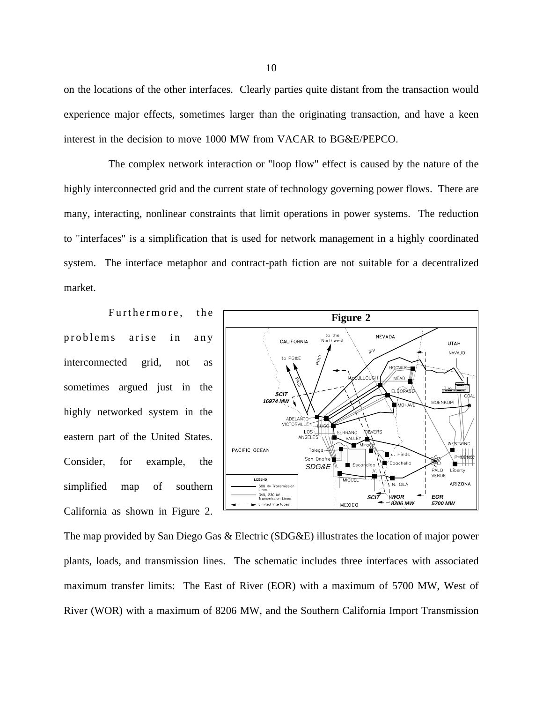on the locations of the other interfaces. Clearly parties quite distant from the transaction would experience major effects, sometimes larger than the originating transaction, and have a keen interest in the decision to move 1000 MW from VACAR to BG&E/PEPCO.

The complex network interaction or "loop flow" effect is caused by the nature of the highly interconnected grid and the current state of technology governing power flows. There are many, interacting, nonlinear constraints that limit operations in power systems. The reduction to "interfaces" is a simplification that is used for network management in a highly coordinated system. The interface metaphor and contract-path fiction are not suitable for a decentralized market.

Furthermore, the problems arise in any interconnected grid, not as sometimes argued just in the highly networked system in the eastern part of the United States. Consider, for example, the simplified map of southern California as shown in Figure 2.



The map provided by San Diego Gas & Electric (SDG&E) illustrates the location of major power plants, loads, and transmission lines. The schematic includes three interfaces with associated maximum transfer limits: The East of River (EOR) with a maximum of 5700 MW, West of River (WOR) with a maximum of 8206 MW, and the Southern California Import Transmission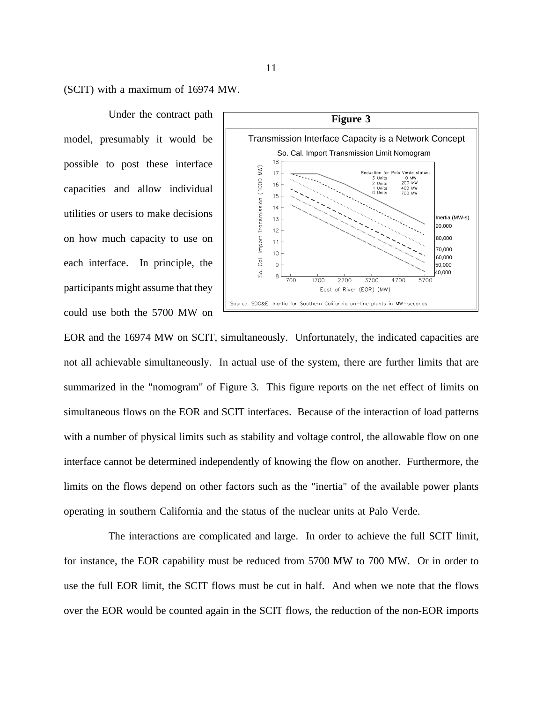(SCIT) with a maximum of 16974 MW.

Under the contract path model, presumably it would be possible to post these interface capacities and allow individual utilities or users to make decisions on how much capacity to use on each interface. In principle, the participants might assume that they could use both the 5700 MW on



EOR and the 16974 MW on SCIT, simultaneously. Unfortunately, the indicated capacities are not all achievable simultaneously. In actual use of the system, there are further limits that are summarized in the "nomogram" of Figure 3. This figure reports on the net effect of limits on simultaneous flows on the EOR and SCIT interfaces. Because of the interaction of load patterns with a number of physical limits such as stability and voltage control, the allowable flow on one interface cannot be determined independently of knowing the flow on another. Furthermore, the limits on the flows depend on other factors such as the "inertia" of the available power plants operating in southern California and the status of the nuclear units at Palo Verde.

The interactions are complicated and large. In order to achieve the full SCIT limit, for instance, the EOR capability must be reduced from 5700 MW to 700 MW. Or in order to use the full EOR limit, the SCIT flows must be cut in half. And when we note that the flows over the EOR would be counted again in the SCIT flows, the reduction of the non-EOR imports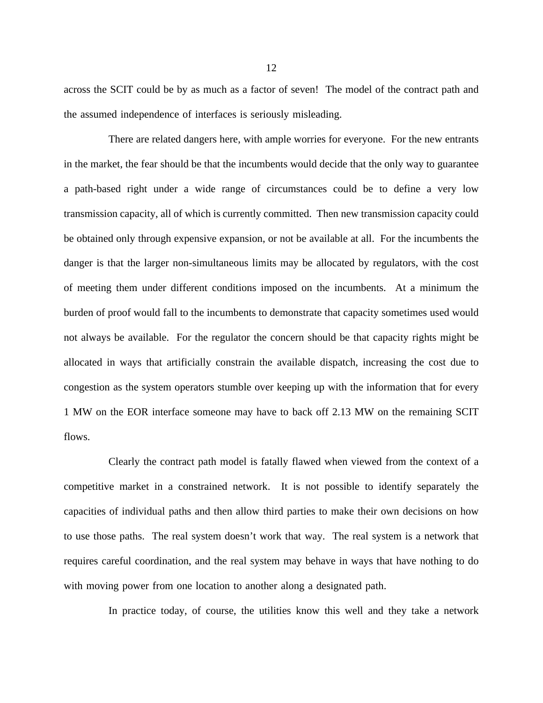across the SCIT could be by as much as a factor of seven! The model of the contract path and the assumed independence of interfaces is seriously misleading.

There are related dangers here, with ample worries for everyone. For the new entrants in the market, the fear should be that the incumbents would decide that the only way to guarantee a path-based right under a wide range of circumstances could be to define a very low transmission capacity, all of which is currently committed. Then new transmission capacity could be obtained only through expensive expansion, or not be available at all. For the incumbents the danger is that the larger non-simultaneous limits may be allocated by regulators, with the cost of meeting them under different conditions imposed on the incumbents. At a minimum the burden of proof would fall to the incumbents to demonstrate that capacity sometimes used would not always be available. For the regulator the concern should be that capacity rights might be allocated in ways that artificially constrain the available dispatch, increasing the cost due to congestion as the system operators stumble over keeping up with the information that for every 1 MW on the EOR interface someone may have to back off 2.13 MW on the remaining SCIT flows.

Clearly the contract path model is fatally flawed when viewed from the context of a competitive market in a constrained network. It is not possible to identify separately the capacities of individual paths and then allow third parties to make their own decisions on how to use those paths. The real system doesn't work that way. The real system is a network that requires careful coordination, and the real system may behave in ways that have nothing to do with moving power from one location to another along a designated path.

In practice today, of course, the utilities know this well and they take a network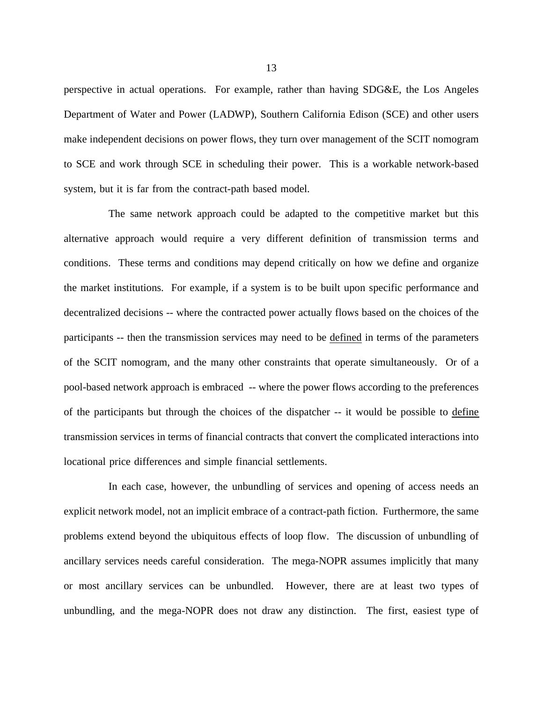perspective in actual operations. For example, rather than having SDG&E, the Los Angeles Department of Water and Power (LADWP), Southern California Edison (SCE) and other users make independent decisions on power flows, they turn over management of the SCIT nomogram to SCE and work through SCE in scheduling their power. This is a workable network-based system, but it is far from the contract-path based model.

The same network approach could be adapted to the competitive market but this alternative approach would require a very different definition of transmission terms and conditions. These terms and conditions may depend critically on how we define and organize the market institutions. For example, if a system is to be built upon specific performance and decentralized decisions -- where the contracted power actually flows based on the choices of the participants -- then the transmission services may need to be defined in terms of the parameters of the SCIT nomogram, and the many other constraints that operate simultaneously. Or of a pool-based network approach is embraced -- where the power flows according to the preferences of the participants but through the choices of the dispatcher -- it would be possible to define transmission services in terms of financial contracts that convert the complicated interactions into locational price differences and simple financial settlements.

In each case, however, the unbundling of services and opening of access needs an explicit network model, not an implicit embrace of a contract-path fiction. Furthermore, the same problems extend beyond the ubiquitous effects of loop flow. The discussion of unbundling of ancillary services needs careful consideration. The mega-NOPR assumes implicitly that many or most ancillary services can be unbundled. However, there are at least two types of unbundling, and the mega-NOPR does not draw any distinction. The first, easiest type of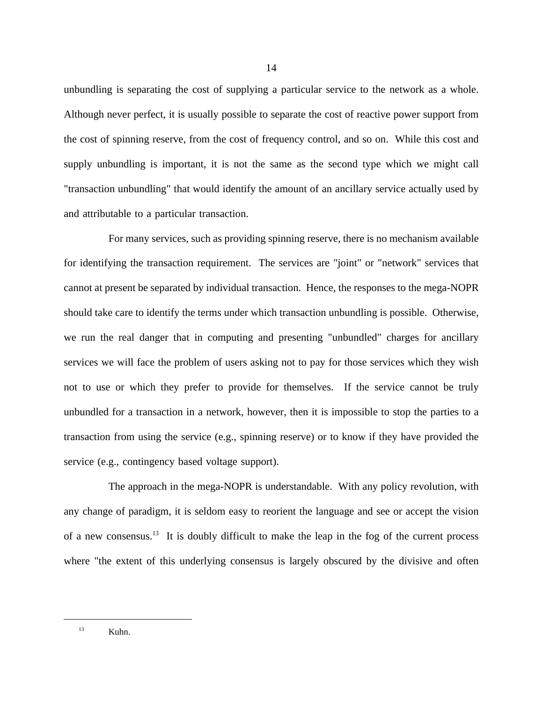unbundling is separating the cost of supplying a particular service to the network as a whole. Although never perfect, it is usually possible to separate the cost of reactive power support from the cost of spinning reserve, from the cost of frequency control, and so on. While this cost and supply unbundling is important, it is not the same as the second type which we might call "transaction unbundling" that would identify the amount of an ancillary service actually used by and attributable to a particular transaction.

For many services, such as providing spinning reserve, there is no mechanism available for identifying the transaction requirement. The services are "joint" or "network" services that cannot at present be separated by individual transaction. Hence, the responses to the mega-NOPR should take care to identify the terms under which transaction unbundling is possible. Otherwise, we run the real danger that in computing and presenting "unbundled" charges for ancillary services we will face the problem of users asking not to pay for those services which they wish not to use or which they prefer to provide for themselves. If the service cannot be truly unbundled for a transaction in a network, however, then it is impossible to stop the parties to a transaction from using the service (e.g., spinning reserve) or to know if they have provided the service (e.g., contingency based voltage support).

The approach in the mega-NOPR is understandable. With any policy revolution, with any change of paradigm, it is seldom easy to reorient the language and see or accept the vision of a new consensus.13 It is doubly difficult to make the leap in the fog of the current process where "the extent of this underlying consensus is largely obscured by the divisive and often

<sup>13</sup> Kuhn.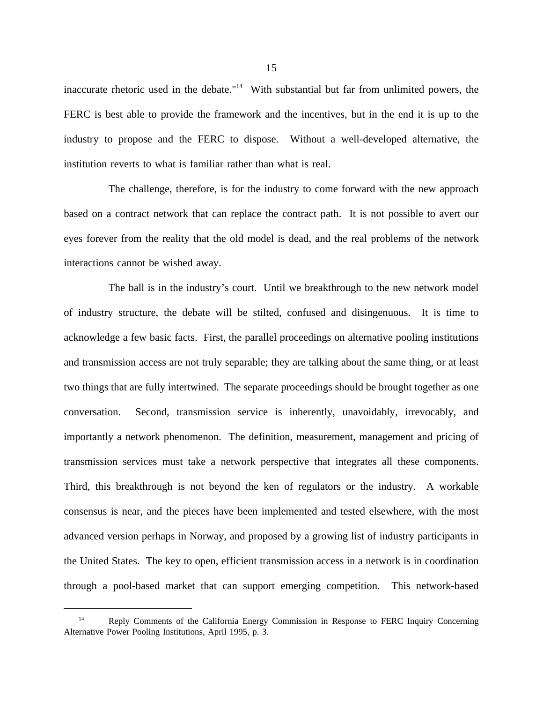inaccurate rhetoric used in the debate. $14$  With substantial but far from unlimited powers, the FERC is best able to provide the framework and the incentives, but in the end it is up to the industry to propose and the FERC to dispose. Without a well-developed alternative, the institution reverts to what is familiar rather than what is real.

The challenge, therefore, is for the industry to come forward with the new approach based on a contract network that can replace the contract path. It is not possible to avert our eyes forever from the reality that the old model is dead, and the real problems of the network interactions cannot be wished away.

The ball is in the industry's court. Until we breakthrough to the new network model of industry structure, the debate will be stilted, confused and disingenuous. It is time to acknowledge a few basic facts. First, the parallel proceedings on alternative pooling institutions and transmission access are not truly separable; they are talking about the same thing, or at least two things that are fully intertwined. The separate proceedings should be brought together as one conversation. Second, transmission service is inherently, unavoidably, irrevocably, and importantly a network phenomenon. The definition, measurement, management and pricing of transmission services must take a network perspective that integrates all these components. Third, this breakthrough is not beyond the ken of regulators or the industry. A workable consensus is near, and the pieces have been implemented and tested elsewhere, with the most advanced version perhaps in Norway, and proposed by a growing list of industry participants in the United States. The key to open, efficient transmission access in a network is in coordination through a pool-based market that can support emerging competition. This network-based

<sup>&</sup>lt;sup>14</sup> Reply Comments of the California Energy Commission in Response to FERC Inquiry Concerning Alternative Power Pooling Institutions, April 1995, p. 3.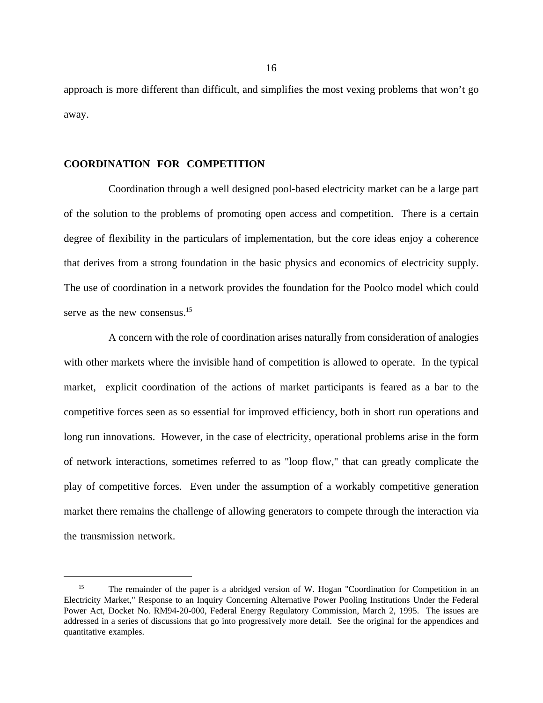approach is more different than difficult, and simplifies the most vexing problems that won't go away.

## **COORDINATION FOR COMPETITION**

Coordination through a well designed pool-based electricity market can be a large part of the solution to the problems of promoting open access and competition. There is a certain degree of flexibility in the particulars of implementation, but the core ideas enjoy a coherence that derives from a strong foundation in the basic physics and economics of electricity supply. The use of coordination in a network provides the foundation for the Poolco model which could serve as the new consensus.<sup>15</sup>

A concern with the role of coordination arises naturally from consideration of analogies with other markets where the invisible hand of competition is allowed to operate. In the typical market, explicit coordination of the actions of market participants is feared as a bar to the competitive forces seen as so essential for improved efficiency, both in short run operations and long run innovations. However, in the case of electricity, operational problems arise in the form of network interactions, sometimes referred to as "loop flow," that can greatly complicate the play of competitive forces. Even under the assumption of a workably competitive generation market there remains the challenge of allowing generators to compete through the interaction via the transmission network.

<sup>&</sup>lt;sup>15</sup> The remainder of the paper is a abridged version of W. Hogan "Coordination for Competition in an Electricity Market," Response to an Inquiry Concerning Alternative Power Pooling Institutions Under the Federal Power Act, Docket No. RM94-20-000, Federal Energy Regulatory Commission, March 2, 1995. The issues are addressed in a series of discussions that go into progressively more detail. See the original for the appendices and quantitative examples.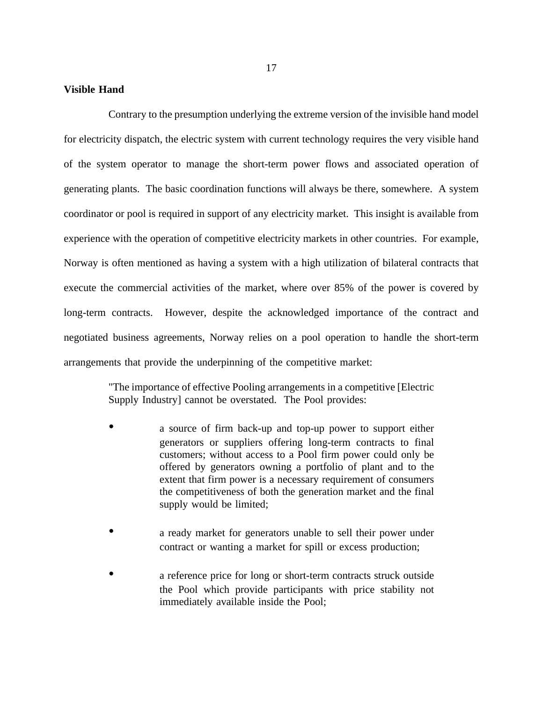## **Visible Hand**

Contrary to the presumption underlying the extreme version of the invisible hand model for electricity dispatch, the electric system with current technology requires the very visible hand of the system operator to manage the short-term power flows and associated operation of generating plants. The basic coordination functions will always be there, somewhere. A system coordinator or pool is required in support of any electricity market. This insight is available from experience with the operation of competitive electricity markets in other countries. For example, Norway is often mentioned as having a system with a high utilization of bilateral contracts that execute the commercial activities of the market, where over 85% of the power is covered by long-term contracts. However, despite the acknowledged importance of the contract and negotiated business agreements, Norway relies on a pool operation to handle the short-term arrangements that provide the underpinning of the competitive market:

> "The importance of effective Pooling arrangements in a competitive [Electric Supply Industry] cannot be overstated. The Pool provides:

- a source of firm back-up and top-up power to support either generators or suppliers offering long-term contracts to final customers; without access to a Pool firm power could only be offered by generators owning a portfolio of plant and to the extent that firm power is a necessary requirement of consumers the competitiveness of both the generation market and the final supply would be limited;
- a ready market for generators unable to sell their power under contract or wanting a market for spill or excess production;
- a reference price for long or short-term contracts struck outside the Pool which provide participants with price stability not immediately available inside the Pool;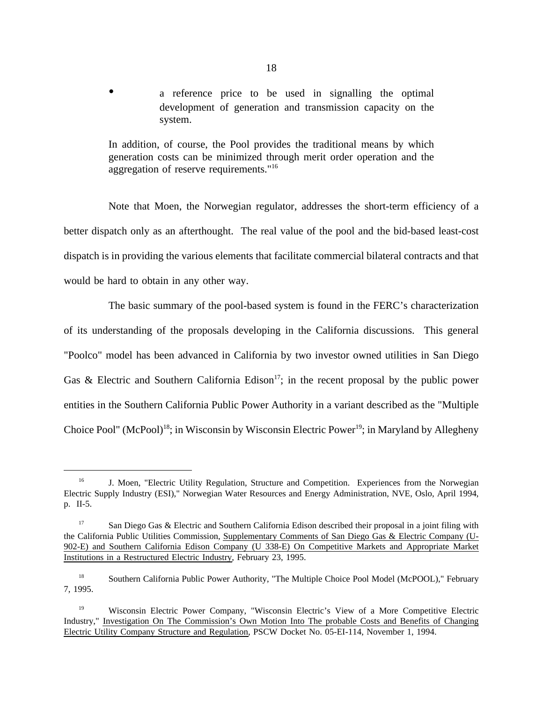a reference price to be used in signalling the optimal development of generation and transmission capacity on the system.

In addition, of course, the Pool provides the traditional means by which generation costs can be minimized through merit order operation and the aggregation of reserve requirements."<sup>16</sup>

Note that Moen, the Norwegian regulator, addresses the short-term efficiency of a better dispatch only as an afterthought. The real value of the pool and the bid-based least-cost dispatch is in providing the various elements that facilitate commercial bilateral contracts and that would be hard to obtain in any other way.

The basic summary of the pool-based system is found in the FERC's characterization of its understanding of the proposals developing in the California discussions. This general "Poolco" model has been advanced in California by two investor owned utilities in San Diego Gas & Electric and Southern California Edison<sup>17</sup>; in the recent proposal by the public power entities in the Southern California Public Power Authority in a variant described as the "Multiple Choice Pool" (McPool)<sup>18</sup>; in Wisconsin by Wisconsin Electric Power<sup>19</sup>; in Maryland by Allegheny

<sup>&</sup>lt;sup>16</sup> J. Moen, "Electric Utility Regulation, Structure and Competition. Experiences from the Norwegian Electric Supply Industry (ESI)," Norwegian Water Resources and Energy Administration, NVE, Oslo, April 1994, p. II-5.

<sup>&</sup>lt;sup>17</sup> San Diego Gas & Electric and Southern California Edison described their proposal in a joint filing with the California Public Utilities Commission, Supplementary Comments of San Diego Gas & Electric Company (U-902-E) and Southern California Edison Company (U 338-E) On Competitive Markets and Appropriate Market Institutions in a Restructured Electric Industry, February 23, 1995.

<sup>&</sup>lt;sup>18</sup> Southern California Public Power Authority, "The Multiple Choice Pool Model (McPOOL)," February 7, 1995.

<sup>&</sup>lt;sup>19</sup> Wisconsin Electric Power Company, "Wisconsin Electric's View of a More Competitive Electric Industry," Investigation On The Commission's Own Motion Into The probable Costs and Benefits of Changing Electric Utility Company Structure and Regulation, PSCW Docket No. 05-EI-114, November 1, 1994.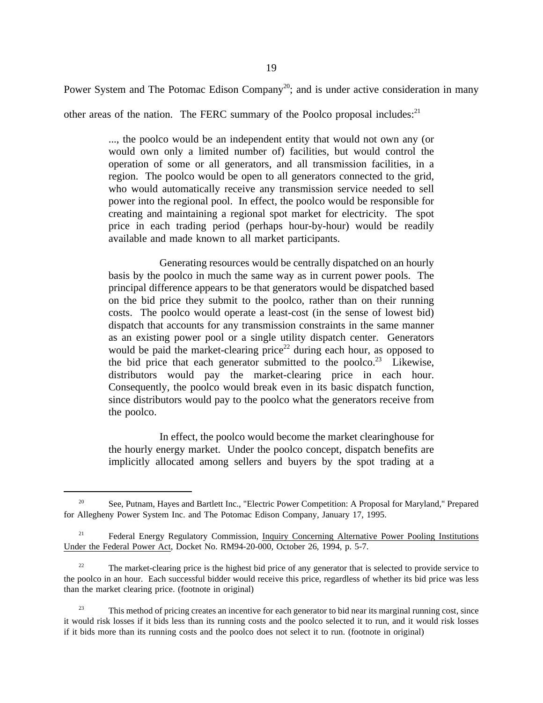Power System and The Potomac Edison Company<sup>20</sup>; and is under active consideration in many

other areas of the nation. The FERC summary of the Poolco proposal includes: $^{21}$ 

..., the poolco would be an independent entity that would not own any (or would own only a limited number of) facilities, but would control the operation of some or all generators, and all transmission facilities, in a region. The poolco would be open to all generators connected to the grid, who would automatically receive any transmission service needed to sell power into the regional pool. In effect, the poolco would be responsible for creating and maintaining a regional spot market for electricity. The spot price in each trading period (perhaps hour-by-hour) would be readily available and made known to all market participants.

Generating resources would be centrally dispatched on an hourly basis by the poolco in much the same way as in current power pools. The principal difference appears to be that generators would be dispatched based on the bid price they submit to the poolco, rather than on their running costs. The poolco would operate a least-cost (in the sense of lowest bid) dispatch that accounts for any transmission constraints in the same manner as an existing power pool or a single utility dispatch center. Generators would be paid the market-clearing price<sup>22</sup> during each hour, as opposed to the bid price that each generator submitted to the poolco.<sup>23</sup> Likewise, distributors would pay the market-clearing price in each hour. Consequently, the poolco would break even in its basic dispatch function, since distributors would pay to the poolco what the generators receive from the poolco.

In effect, the poolco would become the market clearinghouse for the hourly energy market. Under the poolco concept, dispatch benefits are implicitly allocated among sellers and buyers by the spot trading at a

<sup>&</sup>lt;sup>20</sup> See, Putnam, Hayes and Bartlett Inc., "Electric Power Competition: A Proposal for Maryland," Prepared for Allegheny Power System Inc. and The Potomac Edison Company, January 17, 1995.

<sup>&</sup>lt;sup>21</sup> Federal Energy Regulatory Commission, Inquiry Concerning Alternative Power Pooling Institutions Under the Federal Power Act, Docket No. RM94-20-000, October 26, 1994, p. 5-7.

<sup>&</sup>lt;sup>22</sup> The market-clearing price is the highest bid price of any generator that is selected to provide service to the poolco in an hour. Each successful bidder would receive this price, regardless of whether its bid price was less than the market clearing price. (footnote in original)

<sup>&</sup>lt;sup>23</sup> This method of pricing creates an incentive for each generator to bid near its marginal running cost, since it would risk losses if it bids less than its running costs and the poolco selected it to run, and it would risk losses if it bids more than its running costs and the poolco does not select it to run. (footnote in original)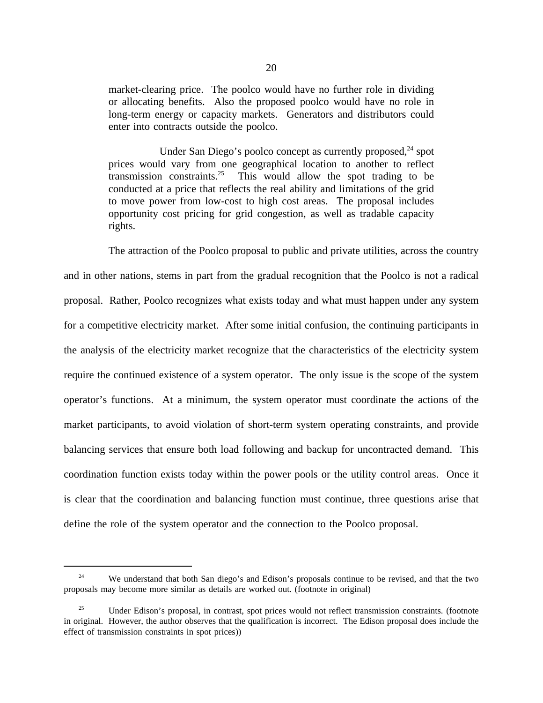market-clearing price. The poolco would have no further role in dividing or allocating benefits. Also the proposed poolco would have no role in long-term energy or capacity markets. Generators and distributors could enter into contracts outside the poolco.

Under San Diego's poolco concept as currently proposed, $^{24}$  spot prices would vary from one geographical location to another to reflect transmission constraints.<sup>25</sup> This would allow the spot trading to be conducted at a price that reflects the real ability and limitations of the grid to move power from low-cost to high cost areas. The proposal includes opportunity cost pricing for grid congestion, as well as tradable capacity rights.

The attraction of the Poolco proposal to public and private utilities, across the country and in other nations, stems in part from the gradual recognition that the Poolco is not a radical proposal. Rather, Poolco recognizes what exists today and what must happen under any system for a competitive electricity market. After some initial confusion, the continuing participants in the analysis of the electricity market recognize that the characteristics of the electricity system require the continued existence of a system operator. The only issue is the scope of the system operator's functions. At a minimum, the system operator must coordinate the actions of the market participants, to avoid violation of short-term system operating constraints, and provide balancing services that ensure both load following and backup for uncontracted demand. This coordination function exists today within the power pools or the utility control areas. Once it is clear that the coordination and balancing function must continue, three questions arise that define the role of the system operator and the connection to the Poolco proposal.

<sup>&</sup>lt;sup>24</sup> We understand that both San diego's and Edison's proposals continue to be revised, and that the two proposals may become more similar as details are worked out. (footnote in original)

<sup>&</sup>lt;sup>25</sup> Under Edison's proposal, in contrast, spot prices would not reflect transmission constraints. (footnote in original. However, the author observes that the qualification is incorrect. The Edison proposal does include the effect of transmission constraints in spot prices))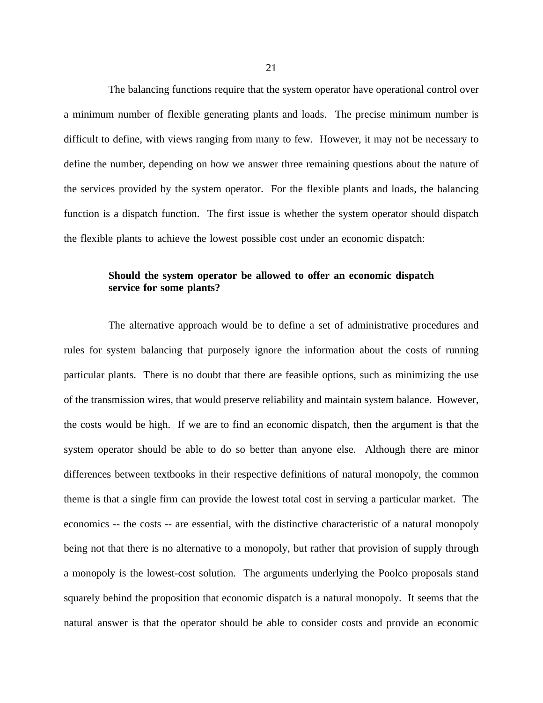The balancing functions require that the system operator have operational control over a minimum number of flexible generating plants and loads. The precise minimum number is difficult to define, with views ranging from many to few. However, it may not be necessary to define the number, depending on how we answer three remaining questions about the nature of the services provided by the system operator. For the flexible plants and loads, the balancing function is a dispatch function. The first issue is whether the system operator should dispatch the flexible plants to achieve the lowest possible cost under an economic dispatch:

# **Should the system operator be allowed to offer an economic dispatch service for some plants?**

The alternative approach would be to define a set of administrative procedures and rules for system balancing that purposely ignore the information about the costs of running particular plants. There is no doubt that there are feasible options, such as minimizing the use of the transmission wires, that would preserve reliability and maintain system balance. However, the costs would be high. If we are to find an economic dispatch, then the argument is that the system operator should be able to do so better than anyone else. Although there are minor differences between textbooks in their respective definitions of natural monopoly, the common theme is that a single firm can provide the lowest total cost in serving a particular market. The economics -- the costs -- are essential, with the distinctive characteristic of a natural monopoly being not that there is no alternative to a monopoly, but rather that provision of supply through a monopoly is the lowest-cost solution. The arguments underlying the Poolco proposals stand squarely behind the proposition that economic dispatch is a natural monopoly. It seems that the natural answer is that the operator should be able to consider costs and provide an economic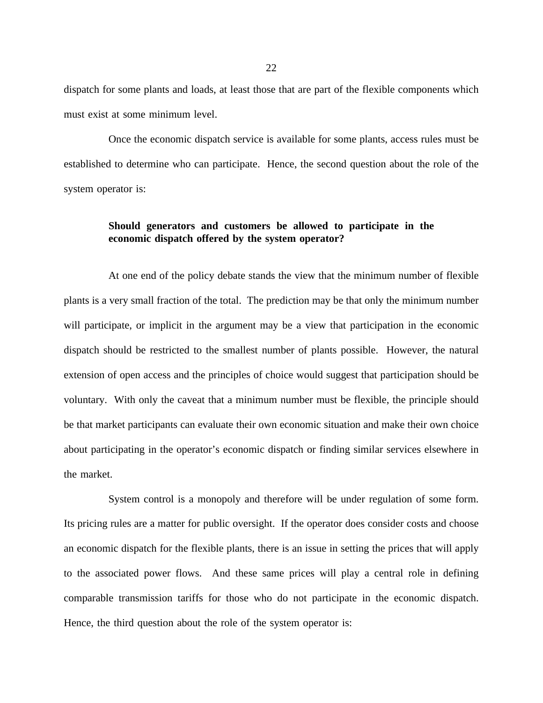dispatch for some plants and loads, at least those that are part of the flexible components which must exist at some minimum level.

Once the economic dispatch service is available for some plants, access rules must be established to determine who can participate. Hence, the second question about the role of the system operator is:

# **Should generators and customers be allowed to participate in the economic dispatch offered by the system operator?**

At one end of the policy debate stands the view that the minimum number of flexible plants is a very small fraction of the total. The prediction may be that only the minimum number will participate, or implicit in the argument may be a view that participation in the economic dispatch should be restricted to the smallest number of plants possible. However, the natural extension of open access and the principles of choice would suggest that participation should be voluntary. With only the caveat that a minimum number must be flexible, the principle should be that market participants can evaluate their own economic situation and make their own choice about participating in the operator's economic dispatch or finding similar services elsewhere in the market.

System control is a monopoly and therefore will be under regulation of some form. Its pricing rules are a matter for public oversight. If the operator does consider costs and choose an economic dispatch for the flexible plants, there is an issue in setting the prices that will apply to the associated power flows. And these same prices will play a central role in defining comparable transmission tariffs for those who do not participate in the economic dispatch. Hence, the third question about the role of the system operator is: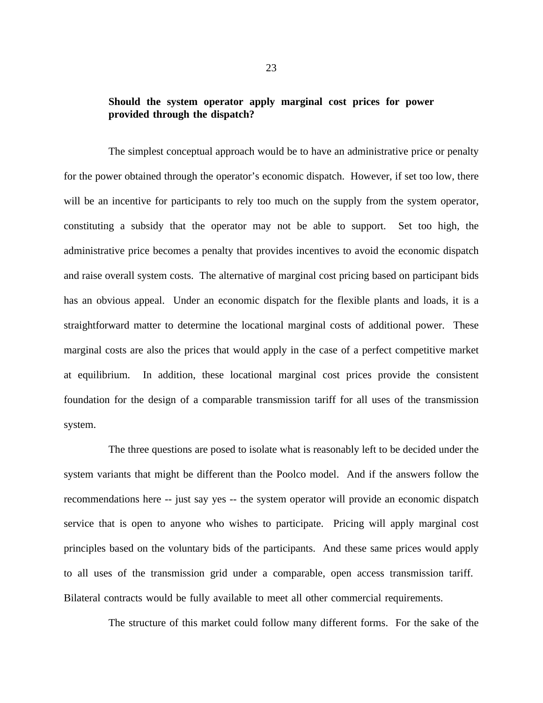# **Should the system operator apply marginal cost prices for power provided through the dispatch?**

The simplest conceptual approach would be to have an administrative price or penalty for the power obtained through the operator's economic dispatch. However, if set too low, there will be an incentive for participants to rely too much on the supply from the system operator, constituting a subsidy that the operator may not be able to support. Set too high, the administrative price becomes a penalty that provides incentives to avoid the economic dispatch and raise overall system costs. The alternative of marginal cost pricing based on participant bids has an obvious appeal. Under an economic dispatch for the flexible plants and loads, it is a straightforward matter to determine the locational marginal costs of additional power. These marginal costs are also the prices that would apply in the case of a perfect competitive market at equilibrium. In addition, these locational marginal cost prices provide the consistent foundation for the design of a comparable transmission tariff for all uses of the transmission system.

The three questions are posed to isolate what is reasonably left to be decided under the system variants that might be different than the Poolco model. And if the answers follow the recommendations here -- just say yes -- the system operator will provide an economic dispatch service that is open to anyone who wishes to participate. Pricing will apply marginal cost principles based on the voluntary bids of the participants. And these same prices would apply to all uses of the transmission grid under a comparable, open access transmission tariff. Bilateral contracts would be fully available to meet all other commercial requirements.

The structure of this market could follow many different forms. For the sake of the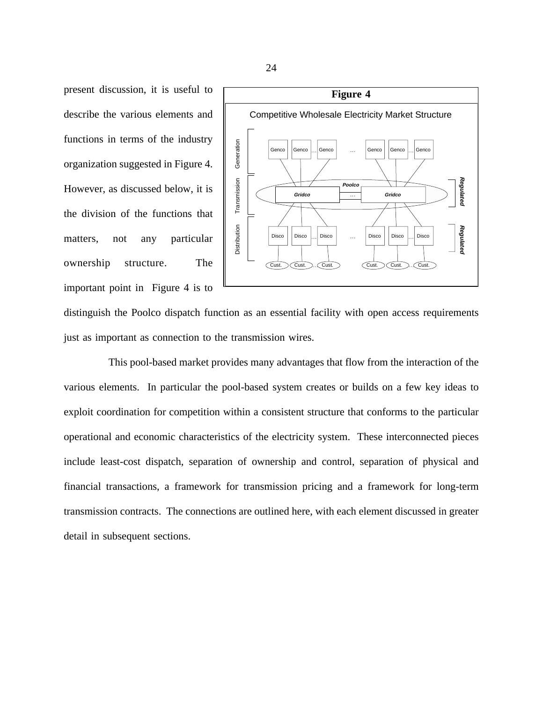present discussion, it is useful to describe the various elements and functions in terms of the industry organization suggested in Figure 4. However, as discussed below, it is the division of the functions that matters, not any particular ownership structure. The important point in Figure 4 is to



distinguish the Poolco dispatch function as an essential facility with open access requirements just as important as connection to the transmission wires.

This pool-based market provides many advantages that flow from the interaction of the various elements. In particular the pool-based system creates or builds on a few key ideas to exploit coordination for competition within a consistent structure that conforms to the particular operational and economic characteristics of the electricity system. These interconnected pieces include least-cost dispatch, separation of ownership and control, separation of physical and financial transactions, a framework for transmission pricing and a framework for long-term transmission contracts. The connections are outlined here, with each element discussed in greater detail in subsequent sections.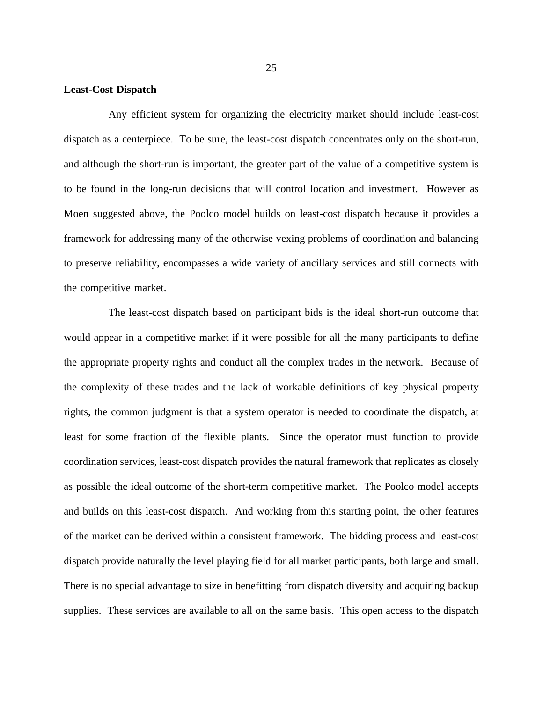#### **Least-Cost Dispatch**

Any efficient system for organizing the electricity market should include least-cost dispatch as a centerpiece. To be sure, the least-cost dispatch concentrates only on the short-run, and although the short-run is important, the greater part of the value of a competitive system is to be found in the long-run decisions that will control location and investment. However as Moen suggested above, the Poolco model builds on least-cost dispatch because it provides a framework for addressing many of the otherwise vexing problems of coordination and balancing to preserve reliability, encompasses a wide variety of ancillary services and still connects with the competitive market.

The least-cost dispatch based on participant bids is the ideal short-run outcome that would appear in a competitive market if it were possible for all the many participants to define the appropriate property rights and conduct all the complex trades in the network. Because of the complexity of these trades and the lack of workable definitions of key physical property rights, the common judgment is that a system operator is needed to coordinate the dispatch, at least for some fraction of the flexible plants. Since the operator must function to provide coordination services, least-cost dispatch provides the natural framework that replicates as closely as possible the ideal outcome of the short-term competitive market. The Poolco model accepts and builds on this least-cost dispatch. And working from this starting point, the other features of the market can be derived within a consistent framework. The bidding process and least-cost dispatch provide naturally the level playing field for all market participants, both large and small. There is no special advantage to size in benefitting from dispatch diversity and acquiring backup supplies. These services are available to all on the same basis. This open access to the dispatch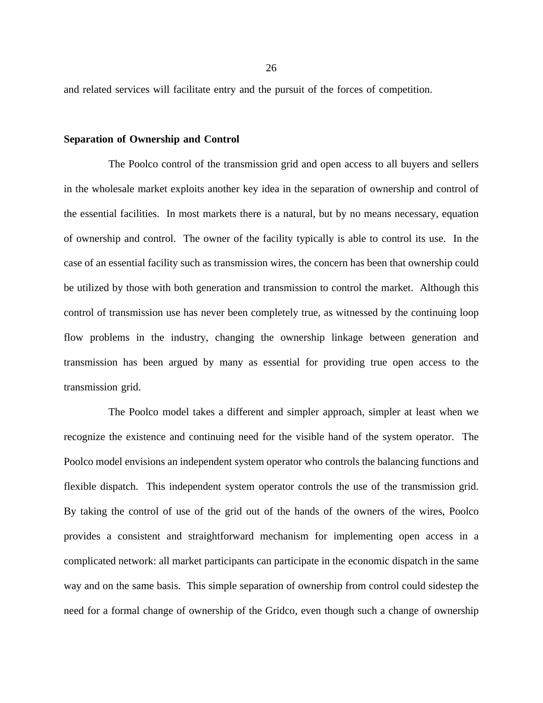and related services will facilitate entry and the pursuit of the forces of competition.

#### **Separation of Ownership and Control**

The Poolco control of the transmission grid and open access to all buyers and sellers in the wholesale market exploits another key idea in the separation of ownership and control of the essential facilities. In most markets there is a natural, but by no means necessary, equation of ownership and control. The owner of the facility typically is able to control its use. In the case of an essential facility such as transmission wires, the concern has been that ownership could be utilized by those with both generation and transmission to control the market. Although this control of transmission use has never been completely true, as witnessed by the continuing loop flow problems in the industry, changing the ownership linkage between generation and transmission has been argued by many as essential for providing true open access to the transmission grid.

The Poolco model takes a different and simpler approach, simpler at least when we recognize the existence and continuing need for the visible hand of the system operator. The Poolco model envisions an independent system operator who controls the balancing functions and flexible dispatch. This independent system operator controls the use of the transmission grid. By taking the control of use of the grid out of the hands of the owners of the wires, Poolco provides a consistent and straightforward mechanism for implementing open access in a complicated network: all market participants can participate in the economic dispatch in the same way and on the same basis. This simple separation of ownership from control could sidestep the need for a formal change of ownership of the Gridco, even though such a change of ownership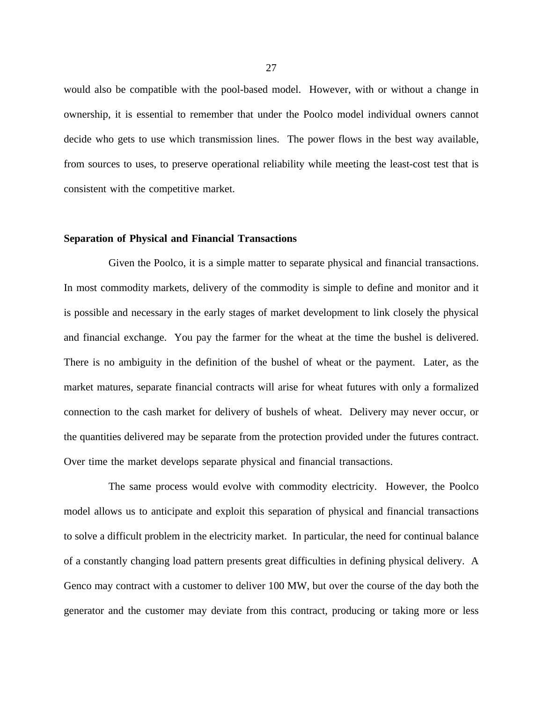would also be compatible with the pool-based model. However, with or without a change in ownership, it is essential to remember that under the Poolco model individual owners cannot decide who gets to use which transmission lines. The power flows in the best way available, from sources to uses, to preserve operational reliability while meeting the least-cost test that is consistent with the competitive market.

#### **Separation of Physical and Financial Transactions**

Given the Poolco, it is a simple matter to separate physical and financial transactions. In most commodity markets, delivery of the commodity is simple to define and monitor and it is possible and necessary in the early stages of market development to link closely the physical and financial exchange. You pay the farmer for the wheat at the time the bushel is delivered. There is no ambiguity in the definition of the bushel of wheat or the payment. Later, as the market matures, separate financial contracts will arise for wheat futures with only a formalized connection to the cash market for delivery of bushels of wheat. Delivery may never occur, or the quantities delivered may be separate from the protection provided under the futures contract. Over time the market develops separate physical and financial transactions.

The same process would evolve with commodity electricity. However, the Poolco model allows us to anticipate and exploit this separation of physical and financial transactions to solve a difficult problem in the electricity market. In particular, the need for continual balance of a constantly changing load pattern presents great difficulties in defining physical delivery. A Genco may contract with a customer to deliver 100 MW, but over the course of the day both the generator and the customer may deviate from this contract, producing or taking more or less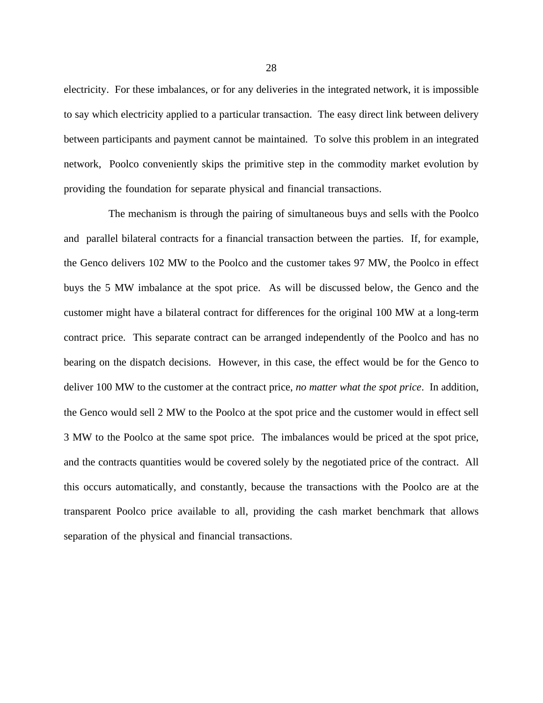electricity. For these imbalances, or for any deliveries in the integrated network, it is impossible to say which electricity applied to a particular transaction. The easy direct link between delivery between participants and payment cannot be maintained. To solve this problem in an integrated network, Poolco conveniently skips the primitive step in the commodity market evolution by providing the foundation for separate physical and financial transactions.

The mechanism is through the pairing of simultaneous buys and sells with the Poolco and parallel bilateral contracts for a financial transaction between the parties. If, for example, the Genco delivers 102 MW to the Poolco and the customer takes 97 MW, the Poolco in effect buys the 5 MW imbalance at the spot price. As will be discussed below, the Genco and the customer might have a bilateral contract for differences for the original 100 MW at a long-term contract price. This separate contract can be arranged independently of the Poolco and has no bearing on the dispatch decisions. However, in this case, the effect would be for the Genco to deliver 100 MW to the customer at the contract price, *no matter what the spot price*. In addition, the Genco would sell 2 MW to the Poolco at the spot price and the customer would in effect sell 3 MW to the Poolco at the same spot price. The imbalances would be priced at the spot price, and the contracts quantities would be covered solely by the negotiated price of the contract. All this occurs automatically, and constantly, because the transactions with the Poolco are at the transparent Poolco price available to all, providing the cash market benchmark that allows separation of the physical and financial transactions.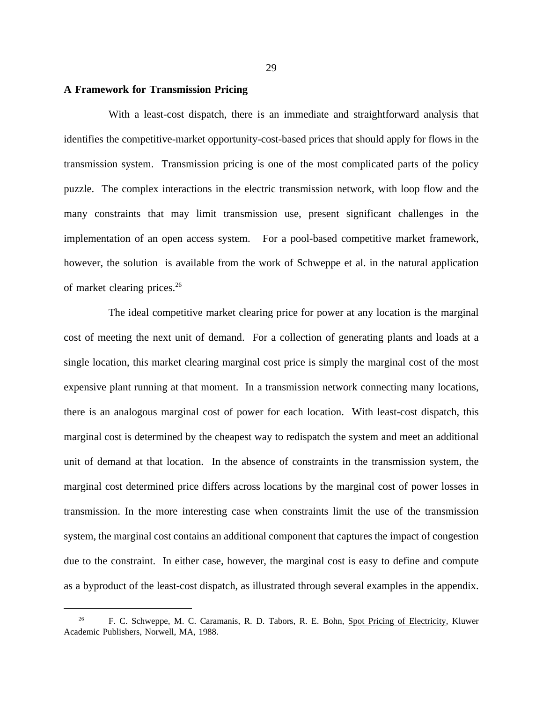#### **A Framework for Transmission Pricing**

With a least-cost dispatch, there is an immediate and straightforward analysis that identifies the competitive-market opportunity-cost-based prices that should apply for flows in the transmission system. Transmission pricing is one of the most complicated parts of the policy puzzle. The complex interactions in the electric transmission network, with loop flow and the many constraints that may limit transmission use, present significant challenges in the implementation of an open access system. For a pool-based competitive market framework, however, the solution is available from the work of Schweppe et al. in the natural application of market clearing prices.26

The ideal competitive market clearing price for power at any location is the marginal cost of meeting the next unit of demand. For a collection of generating plants and loads at a single location, this market clearing marginal cost price is simply the marginal cost of the most expensive plant running at that moment. In a transmission network connecting many locations, there is an analogous marginal cost of power for each location. With least-cost dispatch, this marginal cost is determined by the cheapest way to redispatch the system and meet an additional unit of demand at that location. In the absence of constraints in the transmission system, the marginal cost determined price differs across locations by the marginal cost of power losses in transmission. In the more interesting case when constraints limit the use of the transmission system, the marginal cost contains an additional component that captures the impact of congestion due to the constraint. In either case, however, the marginal cost is easy to define and compute as a byproduct of the least-cost dispatch, as illustrated through several examples in the appendix.

<sup>26</sup> F. C. Schweppe, M. C. Caramanis, R. D. Tabors, R. E. Bohn, Spot Pricing of Electricity, Kluwer Academic Publishers, Norwell, MA, 1988.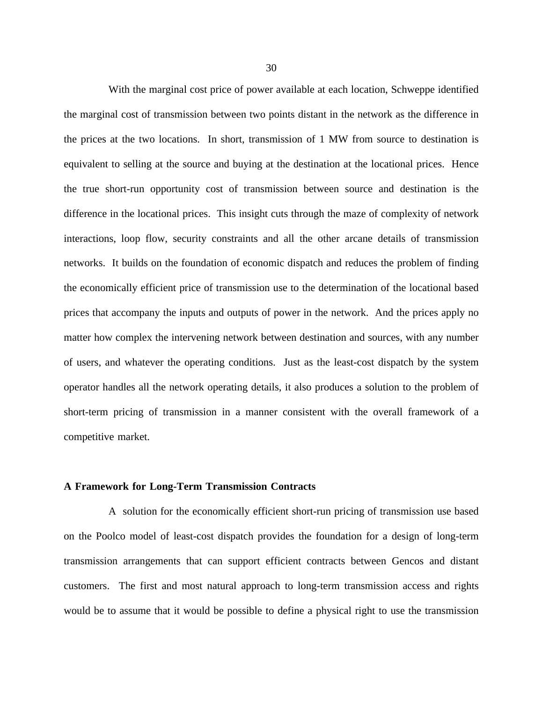With the marginal cost price of power available at each location, Schweppe identified the marginal cost of transmission between two points distant in the network as the difference in the prices at the two locations. In short, transmission of 1 MW from source to destination is equivalent to selling at the source and buying at the destination at the locational prices. Hence the true short-run opportunity cost of transmission between source and destination is the difference in the locational prices. This insight cuts through the maze of complexity of network interactions, loop flow, security constraints and all the other arcane details of transmission networks. It builds on the foundation of economic dispatch and reduces the problem of finding the economically efficient price of transmission use to the determination of the locational based prices that accompany the inputs and outputs of power in the network. And the prices apply no matter how complex the intervening network between destination and sources, with any number of users, and whatever the operating conditions. Just as the least-cost dispatch by the system operator handles all the network operating details, it also produces a solution to the problem of short-term pricing of transmission in a manner consistent with the overall framework of a competitive market.

## **A Framework for Long-Term Transmission Contracts**

A solution for the economically efficient short-run pricing of transmission use based on the Poolco model of least-cost dispatch provides the foundation for a design of long-term transmission arrangements that can support efficient contracts between Gencos and distant customers. The first and most natural approach to long-term transmission access and rights would be to assume that it would be possible to define a physical right to use the transmission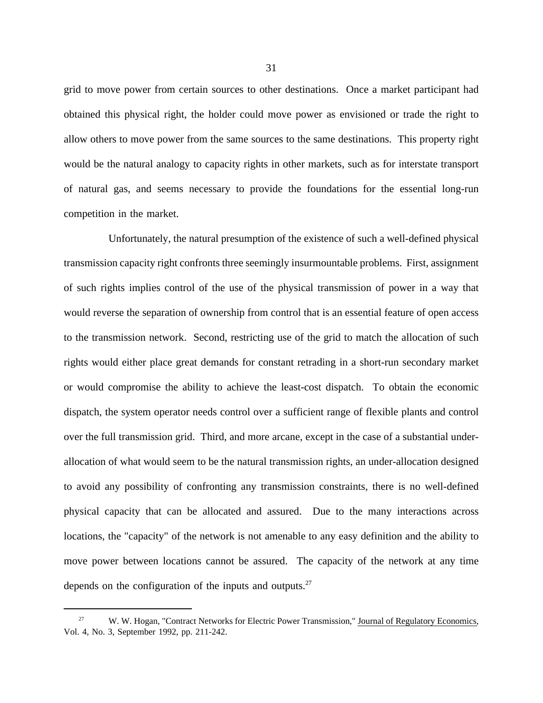grid to move power from certain sources to other destinations. Once a market participant had obtained this physical right, the holder could move power as envisioned or trade the right to allow others to move power from the same sources to the same destinations. This property right would be the natural analogy to capacity rights in other markets, such as for interstate transport of natural gas, and seems necessary to provide the foundations for the essential long-run competition in the market.

Unfortunately, the natural presumption of the existence of such a well-defined physical transmission capacity right confronts three seemingly insurmountable problems. First, assignment of such rights implies control of the use of the physical transmission of power in a way that would reverse the separation of ownership from control that is an essential feature of open access to the transmission network. Second, restricting use of the grid to match the allocation of such rights would either place great demands for constant retrading in a short-run secondary market or would compromise the ability to achieve the least-cost dispatch. To obtain the economic dispatch, the system operator needs control over a sufficient range of flexible plants and control over the full transmission grid. Third, and more arcane, except in the case of a substantial underallocation of what would seem to be the natural transmission rights, an under-allocation designed to avoid any possibility of confronting any transmission constraints, there is no well-defined physical capacity that can be allocated and assured. Due to the many interactions across locations, the "capacity" of the network is not amenable to any easy definition and the ability to move power between locations cannot be assured. The capacity of the network at any time depends on the configuration of the inputs and outputs. $27$ 

<sup>27</sup> W. W. Hogan, "Contract Networks for Electric Power Transmission," Journal of Regulatory Economics, Vol. 4, No. 3, September 1992, pp. 211-242.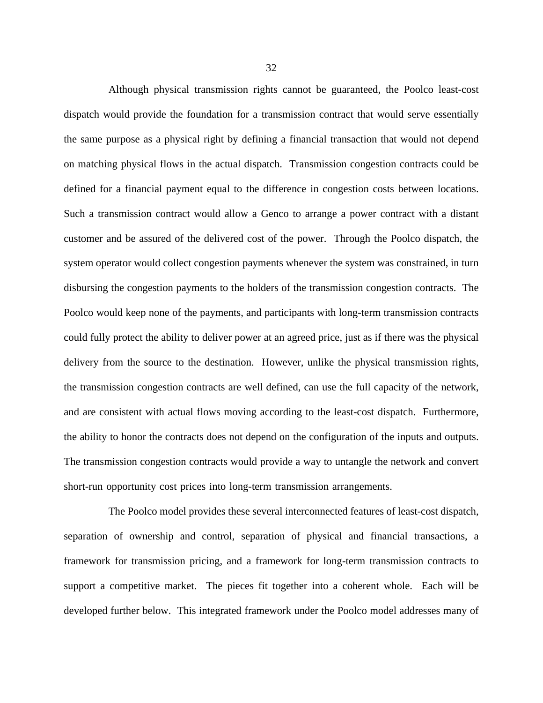Although physical transmission rights cannot be guaranteed, the Poolco least-cost dispatch would provide the foundation for a transmission contract that would serve essentially the same purpose as a physical right by defining a financial transaction that would not depend on matching physical flows in the actual dispatch. Transmission congestion contracts could be defined for a financial payment equal to the difference in congestion costs between locations. Such a transmission contract would allow a Genco to arrange a power contract with a distant customer and be assured of the delivered cost of the power. Through the Poolco dispatch, the system operator would collect congestion payments whenever the system was constrained, in turn disbursing the congestion payments to the holders of the transmission congestion contracts. The Poolco would keep none of the payments, and participants with long-term transmission contracts could fully protect the ability to deliver power at an agreed price, just as if there was the physical delivery from the source to the destination. However, unlike the physical transmission rights, the transmission congestion contracts are well defined, can use the full capacity of the network, and are consistent with actual flows moving according to the least-cost dispatch. Furthermore, the ability to honor the contracts does not depend on the configuration of the inputs and outputs. The transmission congestion contracts would provide a way to untangle the network and convert short-run opportunity cost prices into long-term transmission arrangements.

The Poolco model provides these several interconnected features of least-cost dispatch, separation of ownership and control, separation of physical and financial transactions, a framework for transmission pricing, and a framework for long-term transmission contracts to support a competitive market. The pieces fit together into a coherent whole. Each will be developed further below. This integrated framework under the Poolco model addresses many of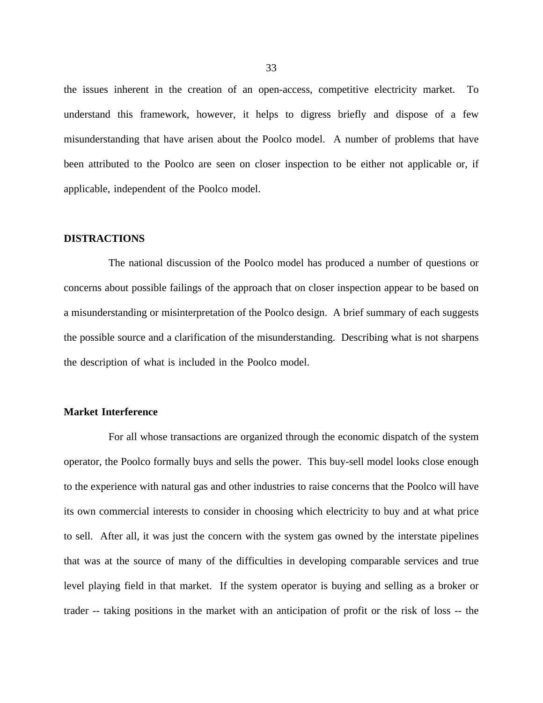the issues inherent in the creation of an open-access, competitive electricity market. To understand this framework, however, it helps to digress briefly and dispose of a few misunderstanding that have arisen about the Poolco model. A number of problems that have been attributed to the Poolco are seen on closer inspection to be either not applicable or, if applicable, independent of the Poolco model.

#### **DISTRACTIONS**

The national discussion of the Poolco model has produced a number of questions or concerns about possible failings of the approach that on closer inspection appear to be based on a misunderstanding or misinterpretation of the Poolco design. A brief summary of each suggests the possible source and a clarification of the misunderstanding. Describing what is not sharpens the description of what is included in the Poolco model.

## **Market Interference**

For all whose transactions are organized through the economic dispatch of the system operator, the Poolco formally buys and sells the power. This buy-sell model looks close enough to the experience with natural gas and other industries to raise concerns that the Poolco will have its own commercial interests to consider in choosing which electricity to buy and at what price to sell. After all, it was just the concern with the system gas owned by the interstate pipelines that was at the source of many of the difficulties in developing comparable services and true level playing field in that market. If the system operator is buying and selling as a broker or trader -- taking positions in the market with an anticipation of profit or the risk of loss -- the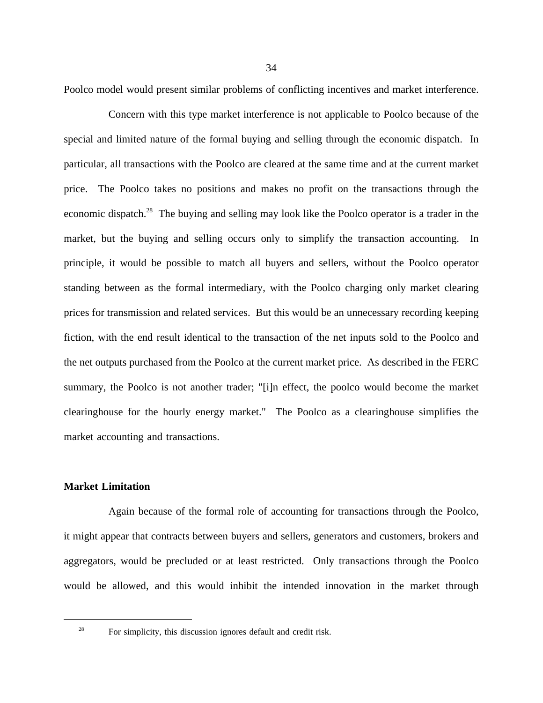Poolco model would present similar problems of conflicting incentives and market interference.

Concern with this type market interference is not applicable to Poolco because of the special and limited nature of the formal buying and selling through the economic dispatch. In particular, all transactions with the Poolco are cleared at the same time and at the current market price. The Poolco takes no positions and makes no profit on the transactions through the economic dispatch.<sup>28</sup> The buying and selling may look like the Poolco operator is a trader in the market, but the buying and selling occurs only to simplify the transaction accounting. In principle, it would be possible to match all buyers and sellers, without the Poolco operator standing between as the formal intermediary, with the Poolco charging only market clearing prices for transmission and related services. But this would be an unnecessary recording keeping fiction, with the end result identical to the transaction of the net inputs sold to the Poolco and the net outputs purchased from the Poolco at the current market price. As described in the FERC summary, the Poolco is not another trader; "[i]n effect, the poolco would become the market clearinghouse for the hourly energy market." The Poolco as a clearinghouse simplifies the market accounting and transactions.

## **Market Limitation**

Again because of the formal role of accounting for transactions through the Poolco, it might appear that contracts between buyers and sellers, generators and customers, brokers and aggregators, would be precluded or at least restricted. Only transactions through the Poolco would be allowed, and this would inhibit the intended innovation in the market through

<sup>&</sup>lt;sup>28</sup> For simplicity, this discussion ignores default and credit risk.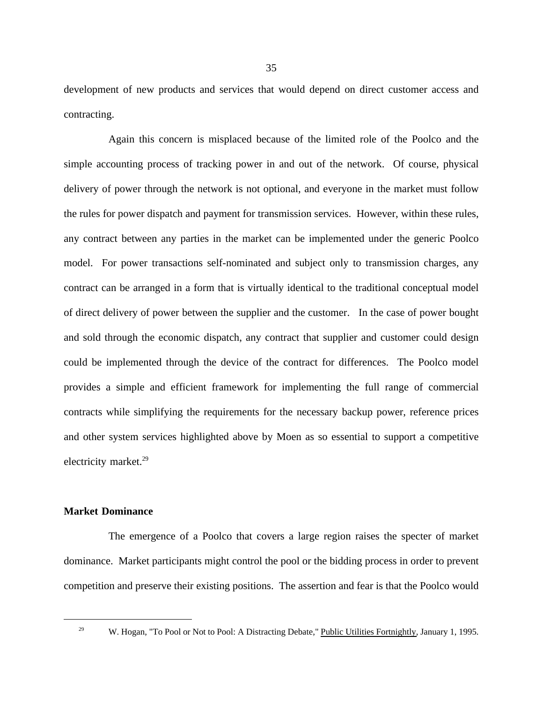development of new products and services that would depend on direct customer access and contracting.

Again this concern is misplaced because of the limited role of the Poolco and the simple accounting process of tracking power in and out of the network. Of course, physical delivery of power through the network is not optional, and everyone in the market must follow the rules for power dispatch and payment for transmission services. However, within these rules, any contract between any parties in the market can be implemented under the generic Poolco model. For power transactions self-nominated and subject only to transmission charges, any contract can be arranged in a form that is virtually identical to the traditional conceptual model of direct delivery of power between the supplier and the customer. In the case of power bought and sold through the economic dispatch, any contract that supplier and customer could design could be implemented through the device of the contract for differences. The Poolco model provides a simple and efficient framework for implementing the full range of commercial contracts while simplifying the requirements for the necessary backup power, reference prices and other system services highlighted above by Moen as so essential to support a competitive electricity market.<sup>29</sup>

## **Market Dominance**

The emergence of a Poolco that covers a large region raises the specter of market dominance. Market participants might control the pool or the bidding process in order to prevent competition and preserve their existing positions. The assertion and fear is that the Poolco would

<sup>&</sup>lt;sup>29</sup> W. Hogan, "To Pool or Not to Pool: A Distracting Debate," Public Utilities Fortnightly, January 1, 1995.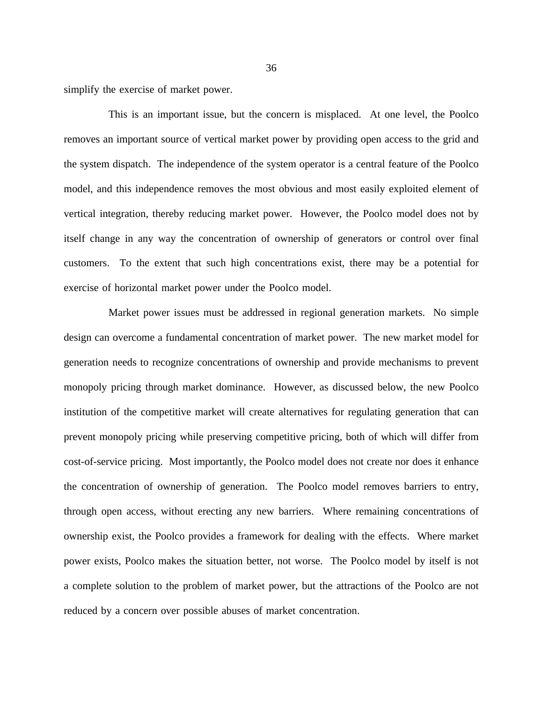simplify the exercise of market power.

This is an important issue, but the concern is misplaced. At one level, the Poolco removes an important source of vertical market power by providing open access to the grid and the system dispatch. The independence of the system operator is a central feature of the Poolco model, and this independence removes the most obvious and most easily exploited element of vertical integration, thereby reducing market power. However, the Poolco model does not by itself change in any way the concentration of ownership of generators or control over final customers. To the extent that such high concentrations exist, there may be a potential for exercise of horizontal market power under the Poolco model.

Market power issues must be addressed in regional generation markets. No simple design can overcome a fundamental concentration of market power. The new market model for generation needs to recognize concentrations of ownership and provide mechanisms to prevent monopoly pricing through market dominance. However, as discussed below, the new Poolco institution of the competitive market will create alternatives for regulating generation that can prevent monopoly pricing while preserving competitive pricing, both of which will differ from cost-of-service pricing. Most importantly, the Poolco model does not create nor does it enhance the concentration of ownership of generation. The Poolco model removes barriers to entry, through open access, without erecting any new barriers. Where remaining concentrations of ownership exist, the Poolco provides a framework for dealing with the effects. Where market power exists, Poolco makes the situation better, not worse. The Poolco model by itself is not a complete solution to the problem of market power, but the attractions of the Poolco are not reduced by a concern over possible abuses of market concentration.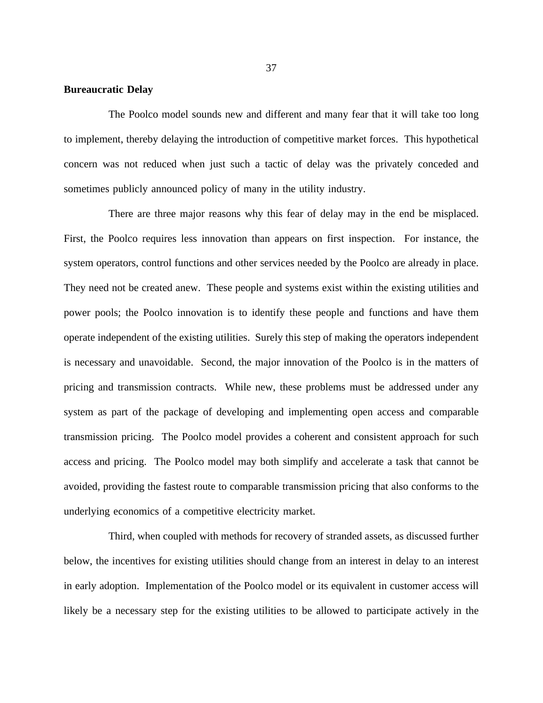# **Bureaucratic Delay**

The Poolco model sounds new and different and many fear that it will take too long to implement, thereby delaying the introduction of competitive market forces. This hypothetical concern was not reduced when just such a tactic of delay was the privately conceded and sometimes publicly announced policy of many in the utility industry.

There are three major reasons why this fear of delay may in the end be misplaced. First, the Poolco requires less innovation than appears on first inspection. For instance, the system operators, control functions and other services needed by the Poolco are already in place. They need not be created anew. These people and systems exist within the existing utilities and power pools; the Poolco innovation is to identify these people and functions and have them operate independent of the existing utilities. Surely this step of making the operators independent is necessary and unavoidable. Second, the major innovation of the Poolco is in the matters of pricing and transmission contracts. While new, these problems must be addressed under any system as part of the package of developing and implementing open access and comparable transmission pricing. The Poolco model provides a coherent and consistent approach for such access and pricing. The Poolco model may both simplify and accelerate a task that cannot be avoided, providing the fastest route to comparable transmission pricing that also conforms to the underlying economics of a competitive electricity market.

Third, when coupled with methods for recovery of stranded assets, as discussed further below, the incentives for existing utilities should change from an interest in delay to an interest in early adoption. Implementation of the Poolco model or its equivalent in customer access will likely be a necessary step for the existing utilities to be allowed to participate actively in the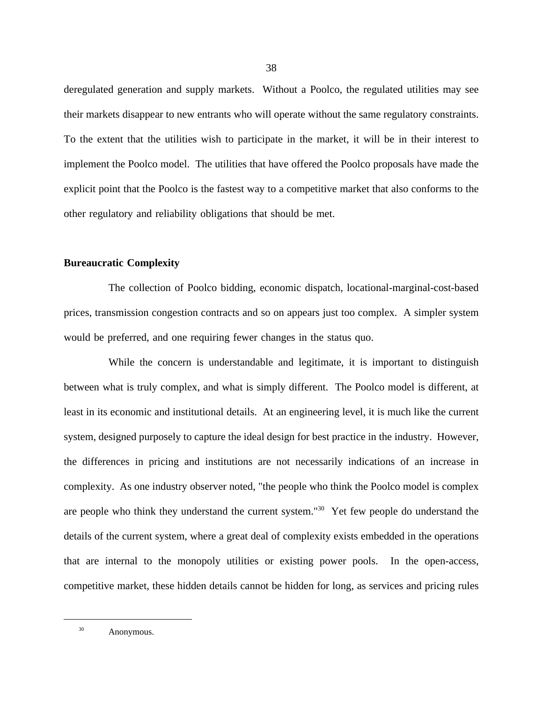deregulated generation and supply markets. Without a Poolco, the regulated utilities may see their markets disappear to new entrants who will operate without the same regulatory constraints. To the extent that the utilities wish to participate in the market, it will be in their interest to implement the Poolco model. The utilities that have offered the Poolco proposals have made the explicit point that the Poolco is the fastest way to a competitive market that also conforms to the other regulatory and reliability obligations that should be met.

# **Bureaucratic Complexity**

The collection of Poolco bidding, economic dispatch, locational-marginal-cost-based prices, transmission congestion contracts and so on appears just too complex. A simpler system would be preferred, and one requiring fewer changes in the status quo.

While the concern is understandable and legitimate, it is important to distinguish between what is truly complex, and what is simply different. The Poolco model is different, at least in its economic and institutional details. At an engineering level, it is much like the current system, designed purposely to capture the ideal design for best practice in the industry. However, the differences in pricing and institutions are not necessarily indications of an increase in complexity. As one industry observer noted, "the people who think the Poolco model is complex are people who think they understand the current system."30 Yet few people do understand the details of the current system, where a great deal of complexity exists embedded in the operations that are internal to the monopoly utilities or existing power pools. In the open-access, competitive market, these hidden details cannot be hidden for long, as services and pricing rules

<sup>30</sup> Anonymous.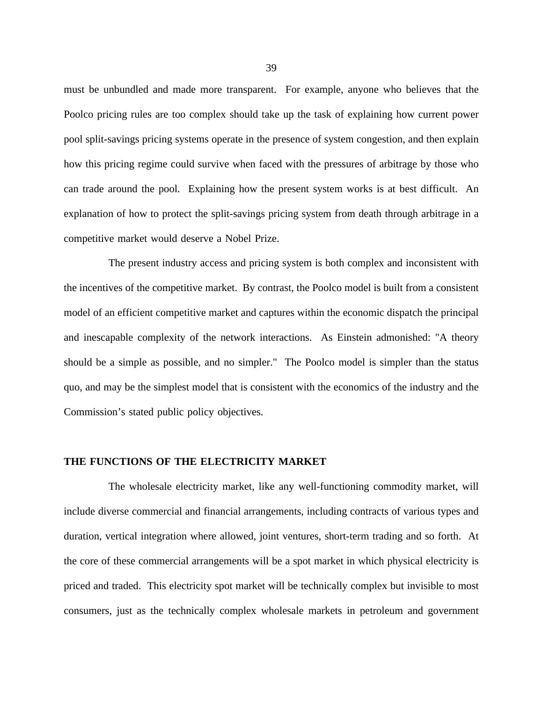must be unbundled and made more transparent. For example, anyone who believes that the Poolco pricing rules are too complex should take up the task of explaining how current power pool split-savings pricing systems operate in the presence of system congestion, and then explain how this pricing regime could survive when faced with the pressures of arbitrage by those who can trade around the pool. Explaining how the present system works is at best difficult. An explanation of how to protect the split-savings pricing system from death through arbitrage in a competitive market would deserve a Nobel Prize.

The present industry access and pricing system is both complex and inconsistent with the incentives of the competitive market. By contrast, the Poolco model is built from a consistent model of an efficient competitive market and captures within the economic dispatch the principal and inescapable complexity of the network interactions. As Einstein admonished: "A theory should be a simple as possible, and no simpler." The Poolco model is simpler than the status quo, and may be the simplest model that is consistent with the economics of the industry and the Commission's stated public policy objectives.

# **THE FUNCTIONS OF THE ELECTRICITY MARKET**

The wholesale electricity market, like any well-functioning commodity market, will include diverse commercial and financial arrangements, including contracts of various types and duration, vertical integration where allowed, joint ventures, short-term trading and so forth. At the core of these commercial arrangements will be a spot market in which physical electricity is priced and traded. This electricity spot market will be technically complex but invisible to most consumers, just as the technically complex wholesale markets in petroleum and government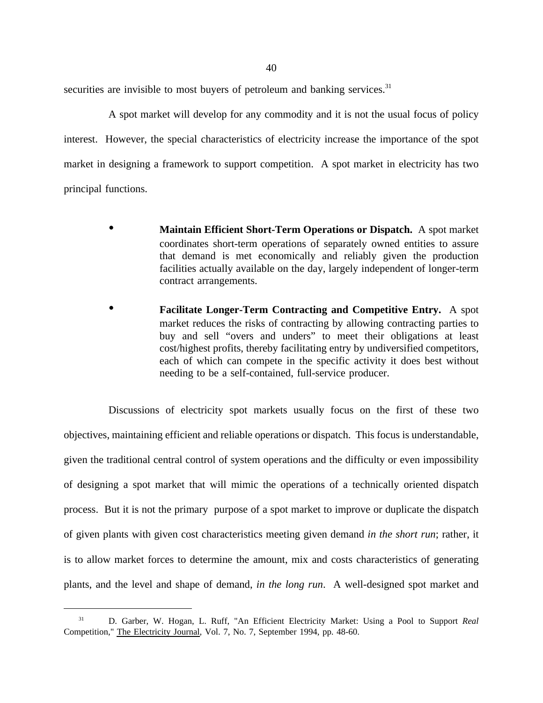securities are invisible to most buyers of petroleum and banking services.<sup>31</sup>

A spot market will develop for any commodity and it is not the usual focus of policy interest. However, the special characteristics of electricity increase the importance of the spot market in designing a framework to support competition. A spot market in electricity has two principal functions.

- **Maintain Efficient Short-Term Operations or Dispatch.** A spot market coordinates short-term operations of separately owned entities to assure that demand is met economically and reliably given the production facilities actually available on the day, largely independent of longer-term contract arrangements.
- **Facilitate Longer-Term Contracting and Competitive Entry.** A spot market reduces the risks of contracting by allowing contracting parties to buy and sell "overs and unders" to meet their obligations at least cost/highest profits, thereby facilitating entry by undiversified competitors, each of which can compete in the specific activity it does best without needing to be a self-contained, full-service producer.

Discussions of electricity spot markets usually focus on the first of these two objectives, maintaining efficient and reliable operations or dispatch. This focus is understandable, given the traditional central control of system operations and the difficulty or even impossibility of designing a spot market that will mimic the operations of a technically oriented dispatch process. But it is not the primary purpose of a spot market to improve or duplicate the dispatch of given plants with given cost characteristics meeting given demand *in the short run*; rather, it is to allow market forces to determine the amount, mix and costs characteristics of generating plants, and the level and shape of demand, *in the long run*. A well-designed spot market and

<sup>31</sup> D. Garber, W. Hogan, L. Ruff, "An Efficient Electricity Market: Using a Pool to Support *Real* Competition," The Electricity Journal, Vol. 7, No. 7, September 1994, pp. 48-60.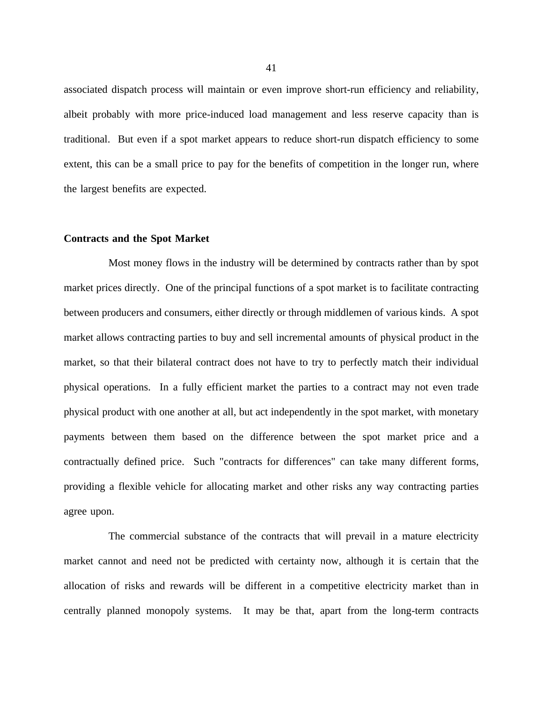associated dispatch process will maintain or even improve short-run efficiency and reliability, albeit probably with more price-induced load management and less reserve capacity than is traditional. But even if a spot market appears to reduce short-run dispatch efficiency to some extent, this can be a small price to pay for the benefits of competition in the longer run, where the largest benefits are expected.

### **Contracts and the Spot Market**

Most money flows in the industry will be determined by contracts rather than by spot market prices directly. One of the principal functions of a spot market is to facilitate contracting between producers and consumers, either directly or through middlemen of various kinds. A spot market allows contracting parties to buy and sell incremental amounts of physical product in the market, so that their bilateral contract does not have to try to perfectly match their individual physical operations. In a fully efficient market the parties to a contract may not even trade physical product with one another at all, but act independently in the spot market, with monetary payments between them based on the difference between the spot market price and a contractually defined price. Such "contracts for differences" can take many different forms, providing a flexible vehicle for allocating market and other risks any way contracting parties agree upon.

The commercial substance of the contracts that will prevail in a mature electricity market cannot and need not be predicted with certainty now, although it is certain that the allocation of risks and rewards will be different in a competitive electricity market than in centrally planned monopoly systems. It may be that, apart from the long-term contracts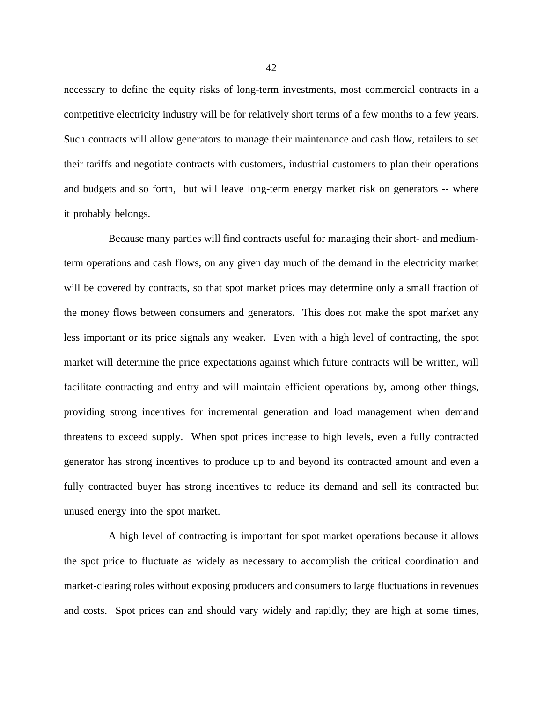necessary to define the equity risks of long-term investments, most commercial contracts in a competitive electricity industry will be for relatively short terms of a few months to a few years. Such contracts will allow generators to manage their maintenance and cash flow, retailers to set their tariffs and negotiate contracts with customers, industrial customers to plan their operations and budgets and so forth, but will leave long-term energy market risk on generators -- where it probably belongs.

Because many parties will find contracts useful for managing their short- and mediumterm operations and cash flows, on any given day much of the demand in the electricity market will be covered by contracts, so that spot market prices may determine only a small fraction of the money flows between consumers and generators. This does not make the spot market any less important or its price signals any weaker. Even with a high level of contracting, the spot market will determine the price expectations against which future contracts will be written, will facilitate contracting and entry and will maintain efficient operations by, among other things, providing strong incentives for incremental generation and load management when demand threatens to exceed supply. When spot prices increase to high levels, even a fully contracted generator has strong incentives to produce up to and beyond its contracted amount and even a fully contracted buyer has strong incentives to reduce its demand and sell its contracted but unused energy into the spot market.

A high level of contracting is important for spot market operations because it allows the spot price to fluctuate as widely as necessary to accomplish the critical coordination and market-clearing roles without exposing producers and consumers to large fluctuations in revenues and costs. Spot prices can and should vary widely and rapidly; they are high at some times,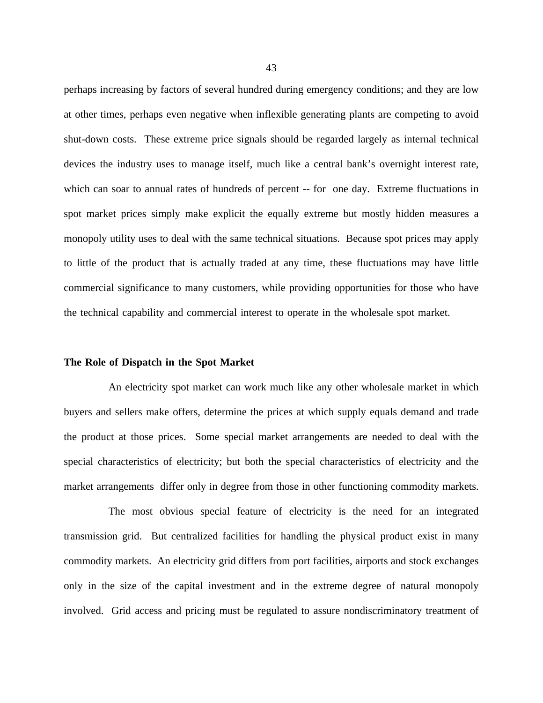perhaps increasing by factors of several hundred during emergency conditions; and they are low at other times, perhaps even negative when inflexible generating plants are competing to avoid shut-down costs. These extreme price signals should be regarded largely as internal technical devices the industry uses to manage itself, much like a central bank's overnight interest rate, which can soar to annual rates of hundreds of percent -- for one day. Extreme fluctuations in spot market prices simply make explicit the equally extreme but mostly hidden measures a monopoly utility uses to deal with the same technical situations. Because spot prices may apply to little of the product that is actually traded at any time, these fluctuations may have little commercial significance to many customers, while providing opportunities for those who have the technical capability and commercial interest to operate in the wholesale spot market.

# **The Role of Dispatch in the Spot Market**

An electricity spot market can work much like any other wholesale market in which buyers and sellers make offers, determine the prices at which supply equals demand and trade the product at those prices. Some special market arrangements are needed to deal with the special characteristics of electricity; but both the special characteristics of electricity and the market arrangements differ only in degree from those in other functioning commodity markets.

The most obvious special feature of electricity is the need for an integrated transmission grid. But centralized facilities for handling the physical product exist in many commodity markets. An electricity grid differs from port facilities, airports and stock exchanges only in the size of the capital investment and in the extreme degree of natural monopoly involved. Grid access and pricing must be regulated to assure nondiscriminatory treatment of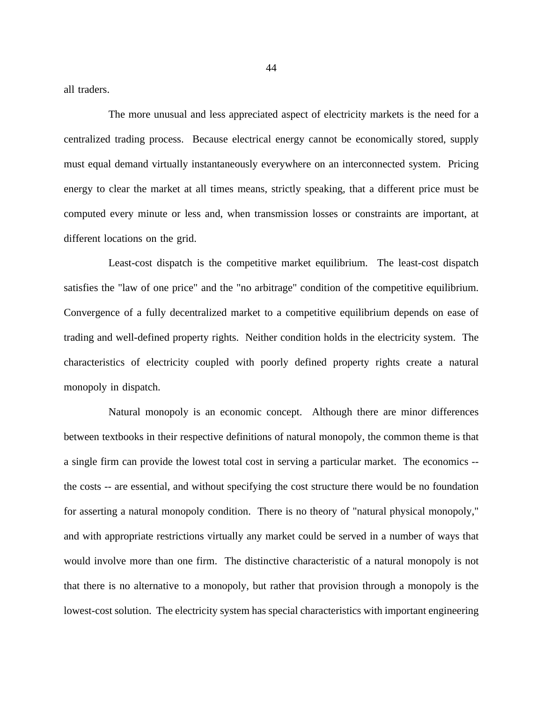all traders.

The more unusual and less appreciated aspect of electricity markets is the need for a centralized trading process. Because electrical energy cannot be economically stored, supply must equal demand virtually instantaneously everywhere on an interconnected system. Pricing energy to clear the market at all times means, strictly speaking, that a different price must be computed every minute or less and, when transmission losses or constraints are important, at different locations on the grid.

Least-cost dispatch is the competitive market equilibrium. The least-cost dispatch satisfies the "law of one price" and the "no arbitrage" condition of the competitive equilibrium. Convergence of a fully decentralized market to a competitive equilibrium depends on ease of trading and well-defined property rights. Neither condition holds in the electricity system. The characteristics of electricity coupled with poorly defined property rights create a natural monopoly in dispatch.

Natural monopoly is an economic concept. Although there are minor differences between textbooks in their respective definitions of natural monopoly, the common theme is that a single firm can provide the lowest total cost in serving a particular market. The economics - the costs -- are essential, and without specifying the cost structure there would be no foundation for asserting a natural monopoly condition. There is no theory of "natural physical monopoly," and with appropriate restrictions virtually any market could be served in a number of ways that would involve more than one firm. The distinctive characteristic of a natural monopoly is not that there is no alternative to a monopoly, but rather that provision through a monopoly is the lowest-cost solution. The electricity system has special characteristics with important engineering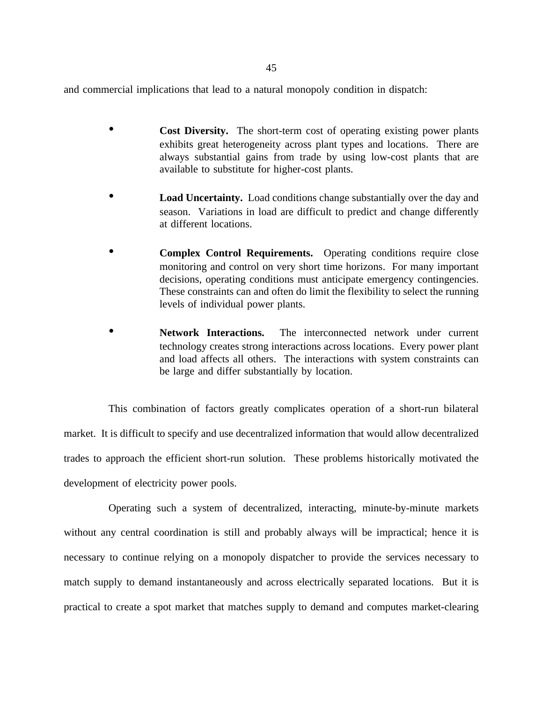and commercial implications that lead to a natural monopoly condition in dispatch:

- **Cost Diversity.** The short-term cost of operating existing power plants exhibits great heterogeneity across plant types and locations. There are always substantial gains from trade by using low-cost plants that are available to substitute for higher-cost plants.
- **Load Uncertainty.** Load conditions change substantially over the day and season. Variations in load are difficult to predict and change differently at different locations.
- **Complex Control Requirements.** Operating conditions require close monitoring and control on very short time horizons. For many important decisions, operating conditions must anticipate emergency contingencies. These constraints can and often do limit the flexibility to select the running levels of individual power plants.
- Network Interactions. The interconnected network under current technology creates strong interactions across locations. Every power plant and load affects all others. The interactions with system constraints can be large and differ substantially by location.

This combination of factors greatly complicates operation of a short-run bilateral market. It is difficult to specify and use decentralized information that would allow decentralized trades to approach the efficient short-run solution. These problems historically motivated the development of electricity power pools.

Operating such a system of decentralized, interacting, minute-by-minute markets without any central coordination is still and probably always will be impractical; hence it is necessary to continue relying on a monopoly dispatcher to provide the services necessary to match supply to demand instantaneously and across electrically separated locations. But it is practical to create a spot market that matches supply to demand and computes market-clearing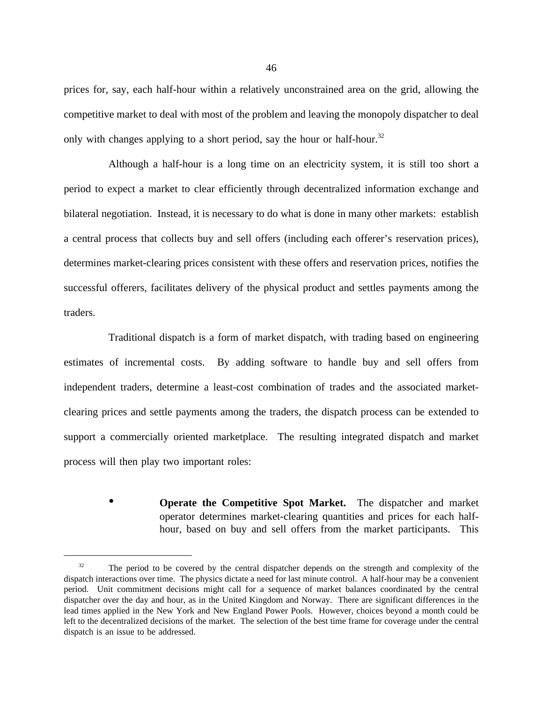prices for, say, each half-hour within a relatively unconstrained area on the grid, allowing the competitive market to deal with most of the problem and leaving the monopoly dispatcher to deal only with changes applying to a short period, say the hour or half-hour.<sup>32</sup>

Although a half-hour is a long time on an electricity system, it is still too short a period to expect a market to clear efficiently through decentralized information exchange and bilateral negotiation. Instead, it is necessary to do what is done in many other markets: establish a central process that collects buy and sell offers (including each offerer's reservation prices), determines market-clearing prices consistent with these offers and reservation prices, notifies the successful offerers, facilitates delivery of the physical product and settles payments among the traders.

Traditional dispatch is a form of market dispatch, with trading based on engineering estimates of incremental costs. By adding software to handle buy and sell offers from independent traders, determine a least-cost combination of trades and the associated marketclearing prices and settle payments among the traders, the dispatch process can be extended to support a commercially oriented marketplace. The resulting integrated dispatch and market process will then play two important roles:

> • **Operate the Competitive Spot Market.** The dispatcher and market operator determines market-clearing quantities and prices for each halfhour, based on buy and sell offers from the market participants. This

<sup>&</sup>lt;sup>32</sup> The period to be covered by the central dispatcher depends on the strength and complexity of the dispatch interactions over time. The physics dictate a need for last minute control. A half-hour may be a convenient period. Unit commitment decisions might call for a sequence of market balances coordinated by the central dispatcher over the day and hour, as in the United Kingdom and Norway. There are significant differences in the lead times applied in the New York and New England Power Pools. However, choices beyond a month could be left to the decentralized decisions of the market. The selection of the best time frame for coverage under the central dispatch is an issue to be addressed.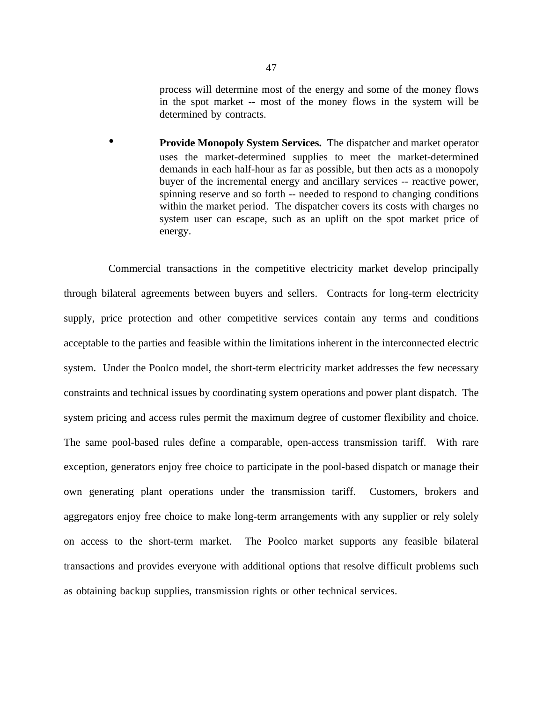process will determine most of the energy and some of the money flows in the spot market -- most of the money flows in the system will be determined by contracts.

• **Provide Monopoly System Services.** The dispatcher and market operator uses the market-determined supplies to meet the market-determined demands in each half-hour as far as possible, but then acts as a monopoly buyer of the incremental energy and ancillary services -- reactive power, spinning reserve and so forth -- needed to respond to changing conditions within the market period. The dispatcher covers its costs with charges no system user can escape, such as an uplift on the spot market price of energy.

Commercial transactions in the competitive electricity market develop principally through bilateral agreements between buyers and sellers. Contracts for long-term electricity supply, price protection and other competitive services contain any terms and conditions acceptable to the parties and feasible within the limitations inherent in the interconnected electric system. Under the Poolco model, the short-term electricity market addresses the few necessary constraints and technical issues by coordinating system operations and power plant dispatch. The system pricing and access rules permit the maximum degree of customer flexibility and choice. The same pool-based rules define a comparable, open-access transmission tariff. With rare exception, generators enjoy free choice to participate in the pool-based dispatch or manage their own generating plant operations under the transmission tariff. Customers, brokers and aggregators enjoy free choice to make long-term arrangements with any supplier or rely solely on access to the short-term market. The Poolco market supports any feasible bilateral transactions and provides everyone with additional options that resolve difficult problems such as obtaining backup supplies, transmission rights or other technical services.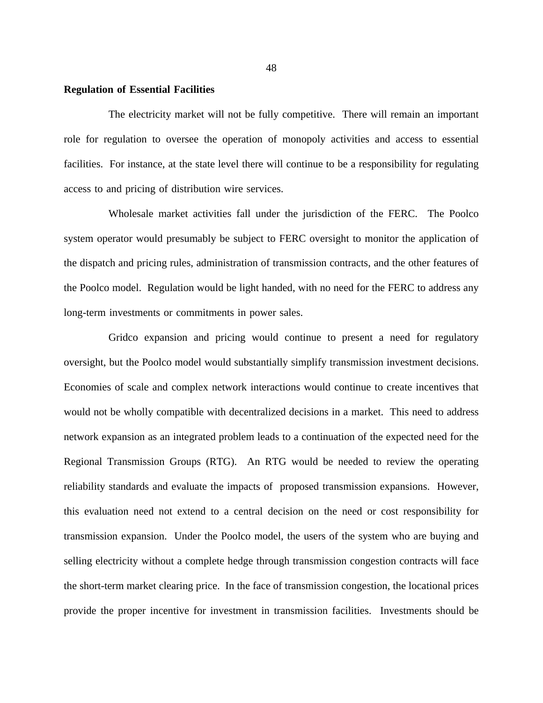### **Regulation of Essential Facilities**

The electricity market will not be fully competitive. There will remain an important role for regulation to oversee the operation of monopoly activities and access to essential facilities. For instance, at the state level there will continue to be a responsibility for regulating access to and pricing of distribution wire services.

Wholesale market activities fall under the jurisdiction of the FERC. The Poolco system operator would presumably be subject to FERC oversight to monitor the application of the dispatch and pricing rules, administration of transmission contracts, and the other features of the Poolco model. Regulation would be light handed, with no need for the FERC to address any long-term investments or commitments in power sales.

Gridco expansion and pricing would continue to present a need for regulatory oversight, but the Poolco model would substantially simplify transmission investment decisions. Economies of scale and complex network interactions would continue to create incentives that would not be wholly compatible with decentralized decisions in a market. This need to address network expansion as an integrated problem leads to a continuation of the expected need for the Regional Transmission Groups (RTG). An RTG would be needed to review the operating reliability standards and evaluate the impacts of proposed transmission expansions. However, this evaluation need not extend to a central decision on the need or cost responsibility for transmission expansion. Under the Poolco model, the users of the system who are buying and selling electricity without a complete hedge through transmission congestion contracts will face the short-term market clearing price. In the face of transmission congestion, the locational prices provide the proper incentive for investment in transmission facilities. Investments should be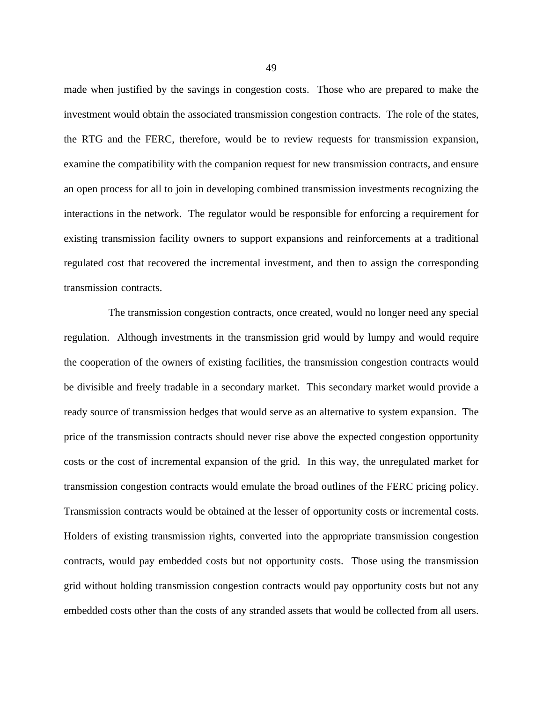made when justified by the savings in congestion costs. Those who are prepared to make the investment would obtain the associated transmission congestion contracts. The role of the states, the RTG and the FERC, therefore, would be to review requests for transmission expansion, examine the compatibility with the companion request for new transmission contracts, and ensure an open process for all to join in developing combined transmission investments recognizing the interactions in the network. The regulator would be responsible for enforcing a requirement for existing transmission facility owners to support expansions and reinforcements at a traditional regulated cost that recovered the incremental investment, and then to assign the corresponding transmission contracts.

The transmission congestion contracts, once created, would no longer need any special regulation. Although investments in the transmission grid would by lumpy and would require the cooperation of the owners of existing facilities, the transmission congestion contracts would be divisible and freely tradable in a secondary market. This secondary market would provide a ready source of transmission hedges that would serve as an alternative to system expansion. The price of the transmission contracts should never rise above the expected congestion opportunity costs or the cost of incremental expansion of the grid. In this way, the unregulated market for transmission congestion contracts would emulate the broad outlines of the FERC pricing policy. Transmission contracts would be obtained at the lesser of opportunity costs or incremental costs. Holders of existing transmission rights, converted into the appropriate transmission congestion contracts, would pay embedded costs but not opportunity costs. Those using the transmission grid without holding transmission congestion contracts would pay opportunity costs but not any embedded costs other than the costs of any stranded assets that would be collected from all users.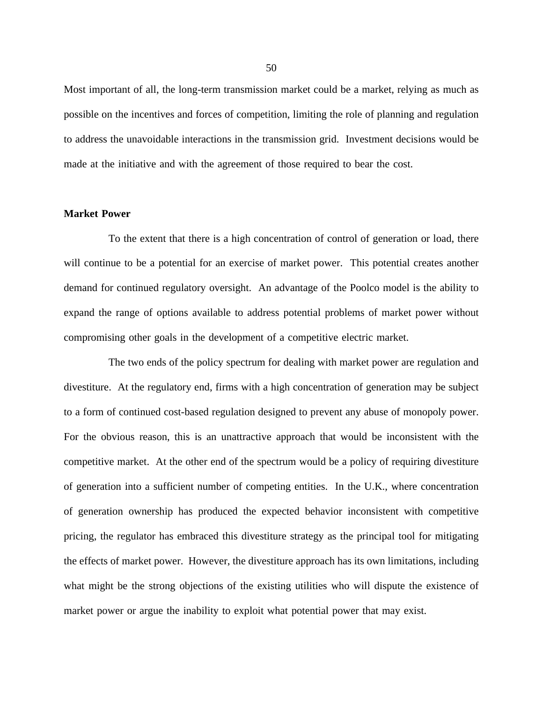Most important of all, the long-term transmission market could be a market, relying as much as possible on the incentives and forces of competition, limiting the role of planning and regulation to address the unavoidable interactions in the transmission grid. Investment decisions would be made at the initiative and with the agreement of those required to bear the cost.

#### **Market Power**

To the extent that there is a high concentration of control of generation or load, there will continue to be a potential for an exercise of market power. This potential creates another demand for continued regulatory oversight. An advantage of the Poolco model is the ability to expand the range of options available to address potential problems of market power without compromising other goals in the development of a competitive electric market.

The two ends of the policy spectrum for dealing with market power are regulation and divestiture. At the regulatory end, firms with a high concentration of generation may be subject to a form of continued cost-based regulation designed to prevent any abuse of monopoly power. For the obvious reason, this is an unattractive approach that would be inconsistent with the competitive market. At the other end of the spectrum would be a policy of requiring divestiture of generation into a sufficient number of competing entities. In the U.K., where concentration of generation ownership has produced the expected behavior inconsistent with competitive pricing, the regulator has embraced this divestiture strategy as the principal tool for mitigating the effects of market power. However, the divestiture approach has its own limitations, including what might be the strong objections of the existing utilities who will dispute the existence of market power or argue the inability to exploit what potential power that may exist.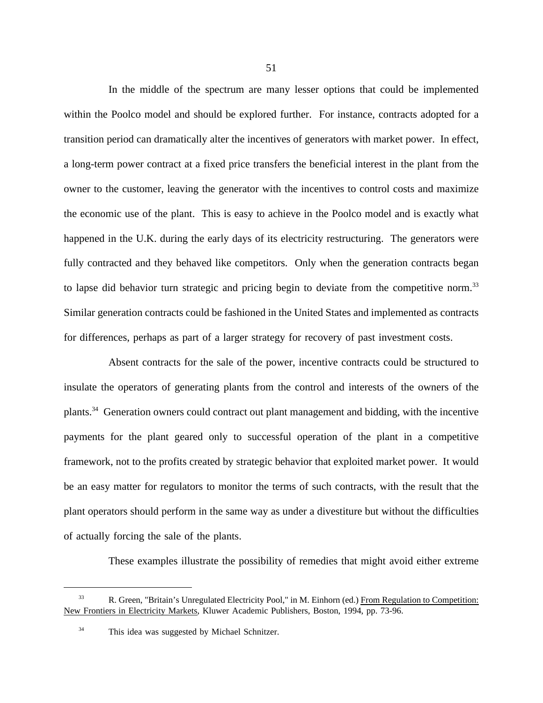In the middle of the spectrum are many lesser options that could be implemented within the Poolco model and should be explored further. For instance, contracts adopted for a transition period can dramatically alter the incentives of generators with market power. In effect, a long-term power contract at a fixed price transfers the beneficial interest in the plant from the owner to the customer, leaving the generator with the incentives to control costs and maximize the economic use of the plant. This is easy to achieve in the Poolco model and is exactly what happened in the U.K. during the early days of its electricity restructuring. The generators were fully contracted and they behaved like competitors. Only when the generation contracts began to lapse did behavior turn strategic and pricing begin to deviate from the competitive norm.<sup>33</sup> Similar generation contracts could be fashioned in the United States and implemented as contracts for differences, perhaps as part of a larger strategy for recovery of past investment costs.

Absent contracts for the sale of the power, incentive contracts could be structured to insulate the operators of generating plants from the control and interests of the owners of the plants.34 Generation owners could contract out plant management and bidding, with the incentive payments for the plant geared only to successful operation of the plant in a competitive framework, not to the profits created by strategic behavior that exploited market power. It would be an easy matter for regulators to monitor the terms of such contracts, with the result that the plant operators should perform in the same way as under a divestiture but without the difficulties of actually forcing the sale of the plants.

These examples illustrate the possibility of remedies that might avoid either extreme

<sup>33</sup> R. Green, "Britain's Unregulated Electricity Pool," in M. Einhorn (ed.) From Regulation to Competition: New Frontiers in Electricity Markets, Kluwer Academic Publishers, Boston, 1994, pp. 73-96.

<sup>&</sup>lt;sup>34</sup> This idea was suggested by Michael Schnitzer.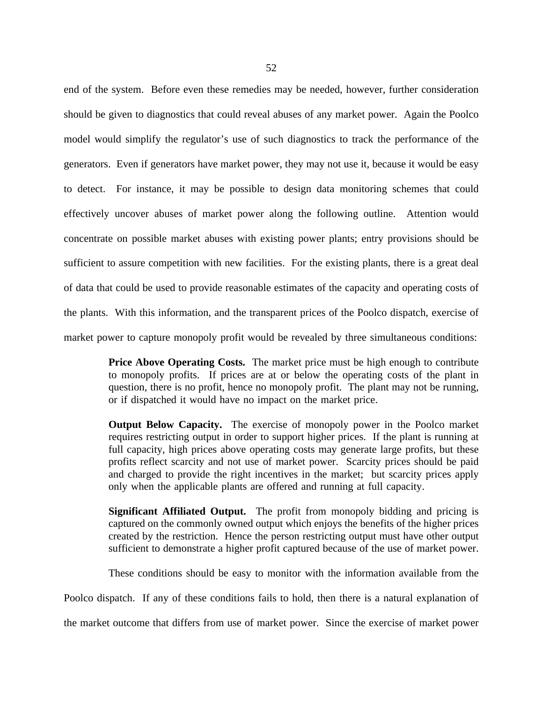end of the system. Before even these remedies may be needed, however, further consideration should be given to diagnostics that could reveal abuses of any market power. Again the Poolco model would simplify the regulator's use of such diagnostics to track the performance of the generators. Even if generators have market power, they may not use it, because it would be easy to detect. For instance, it may be possible to design data monitoring schemes that could effectively uncover abuses of market power along the following outline. Attention would concentrate on possible market abuses with existing power plants; entry provisions should be sufficient to assure competition with new facilities. For the existing plants, there is a great deal of data that could be used to provide reasonable estimates of the capacity and operating costs of the plants. With this information, and the transparent prices of the Poolco dispatch, exercise of market power to capture monopoly profit would be revealed by three simultaneous conditions:

> **Price Above Operating Costs.** The market price must be high enough to contribute to monopoly profits. If prices are at or below the operating costs of the plant in question, there is no profit, hence no monopoly profit. The plant may not be running, or if dispatched it would have no impact on the market price.

> **Output Below Capacity.** The exercise of monopoly power in the Poolco market requires restricting output in order to support higher prices. If the plant is running at full capacity, high prices above operating costs may generate large profits, but these profits reflect scarcity and not use of market power. Scarcity prices should be paid and charged to provide the right incentives in the market; but scarcity prices apply only when the applicable plants are offered and running at full capacity.

> **Significant Affiliated Output.** The profit from monopoly bidding and pricing is captured on the commonly owned output which enjoys the benefits of the higher prices created by the restriction. Hence the person restricting output must have other output sufficient to demonstrate a higher profit captured because of the use of market power.

> These conditions should be easy to monitor with the information available from the

Poolco dispatch. If any of these conditions fails to hold, then there is a natural explanation of

the market outcome that differs from use of market power. Since the exercise of market power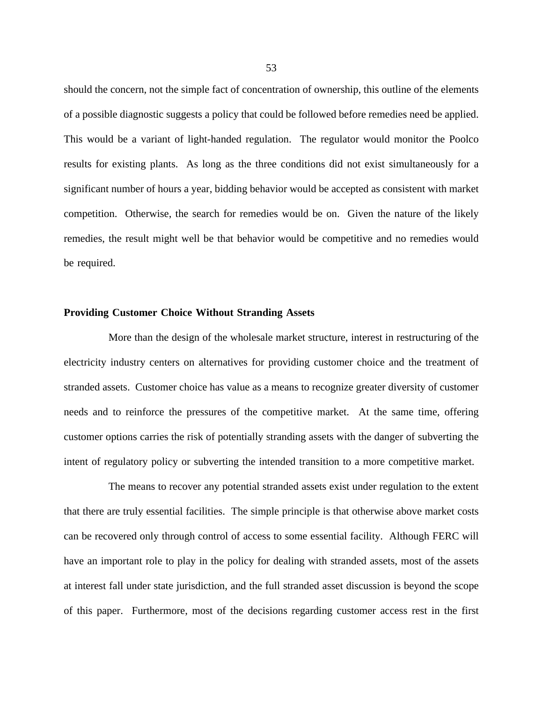should the concern, not the simple fact of concentration of ownership, this outline of the elements of a possible diagnostic suggests a policy that could be followed before remedies need be applied. This would be a variant of light-handed regulation. The regulator would monitor the Poolco results for existing plants. As long as the three conditions did not exist simultaneously for a significant number of hours a year, bidding behavior would be accepted as consistent with market competition. Otherwise, the search for remedies would be on. Given the nature of the likely remedies, the result might well be that behavior would be competitive and no remedies would be required.

### **Providing Customer Choice Without Stranding Assets**

More than the design of the wholesale market structure, interest in restructuring of the electricity industry centers on alternatives for providing customer choice and the treatment of stranded assets. Customer choice has value as a means to recognize greater diversity of customer needs and to reinforce the pressures of the competitive market. At the same time, offering customer options carries the risk of potentially stranding assets with the danger of subverting the intent of regulatory policy or subverting the intended transition to a more competitive market.

The means to recover any potential stranded assets exist under regulation to the extent that there are truly essential facilities. The simple principle is that otherwise above market costs can be recovered only through control of access to some essential facility. Although FERC will have an important role to play in the policy for dealing with stranded assets, most of the assets at interest fall under state jurisdiction, and the full stranded asset discussion is beyond the scope of this paper. Furthermore, most of the decisions regarding customer access rest in the first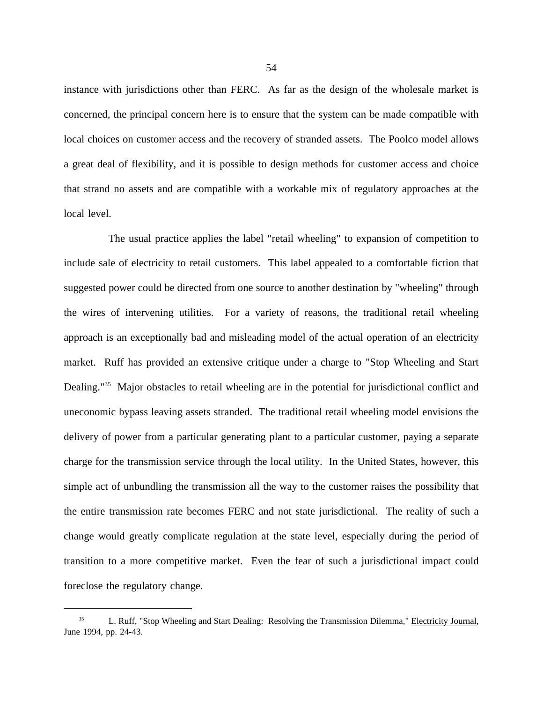instance with jurisdictions other than FERC. As far as the design of the wholesale market is concerned, the principal concern here is to ensure that the system can be made compatible with local choices on customer access and the recovery of stranded assets. The Poolco model allows a great deal of flexibility, and it is possible to design methods for customer access and choice that strand no assets and are compatible with a workable mix of regulatory approaches at the local level.

The usual practice applies the label "retail wheeling" to expansion of competition to include sale of electricity to retail customers. This label appealed to a comfortable fiction that suggested power could be directed from one source to another destination by "wheeling" through the wires of intervening utilities. For a variety of reasons, the traditional retail wheeling approach is an exceptionally bad and misleading model of the actual operation of an electricity market. Ruff has provided an extensive critique under a charge to "Stop Wheeling and Start Dealing."<sup>35</sup> Major obstacles to retail wheeling are in the potential for jurisdictional conflict and uneconomic bypass leaving assets stranded. The traditional retail wheeling model envisions the delivery of power from a particular generating plant to a particular customer, paying a separate charge for the transmission service through the local utility. In the United States, however, this simple act of unbundling the transmission all the way to the customer raises the possibility that the entire transmission rate becomes FERC and not state jurisdictional. The reality of such a change would greatly complicate regulation at the state level, especially during the period of transition to a more competitive market. Even the fear of such a jurisdictional impact could foreclose the regulatory change.

<sup>35</sup> L. Ruff, "Stop Wheeling and Start Dealing: Resolving the Transmission Dilemma," Electricity Journal, June 1994, pp. 24-43.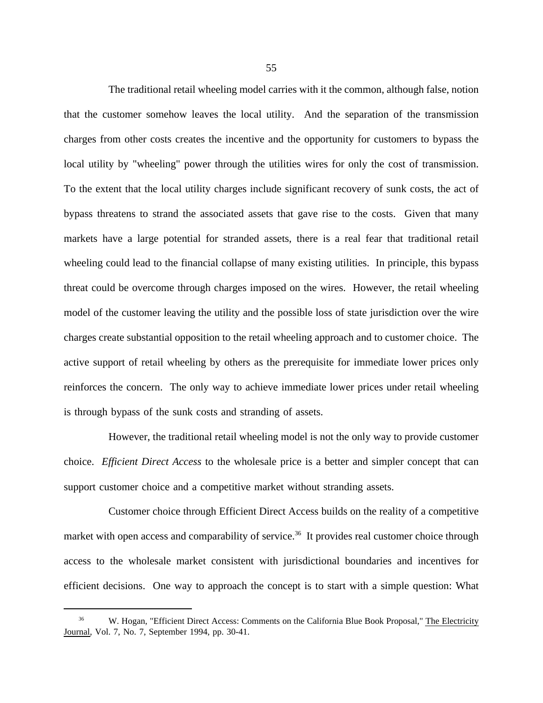The traditional retail wheeling model carries with it the common, although false, notion that the customer somehow leaves the local utility. And the separation of the transmission charges from other costs creates the incentive and the opportunity for customers to bypass the local utility by "wheeling" power through the utilities wires for only the cost of transmission. To the extent that the local utility charges include significant recovery of sunk costs, the act of bypass threatens to strand the associated assets that gave rise to the costs. Given that many markets have a large potential for stranded assets, there is a real fear that traditional retail wheeling could lead to the financial collapse of many existing utilities. In principle, this bypass threat could be overcome through charges imposed on the wires. However, the retail wheeling model of the customer leaving the utility and the possible loss of state jurisdiction over the wire charges create substantial opposition to the retail wheeling approach and to customer choice. The active support of retail wheeling by others as the prerequisite for immediate lower prices only reinforces the concern. The only way to achieve immediate lower prices under retail wheeling is through bypass of the sunk costs and stranding of assets.

However, the traditional retail wheeling model is not the only way to provide customer choice. *Efficient Direct Access* to the wholesale price is a better and simpler concept that can support customer choice and a competitive market without stranding assets.

Customer choice through Efficient Direct Access builds on the reality of a competitive market with open access and comparability of service.<sup>36</sup> It provides real customer choice through access to the wholesale market consistent with jurisdictional boundaries and incentives for efficient decisions. One way to approach the concept is to start with a simple question: What

<sup>36</sup> W. Hogan, "Efficient Direct Access: Comments on the California Blue Book Proposal," The Electricity Journal, Vol. 7, No. 7, September 1994, pp. 30-41.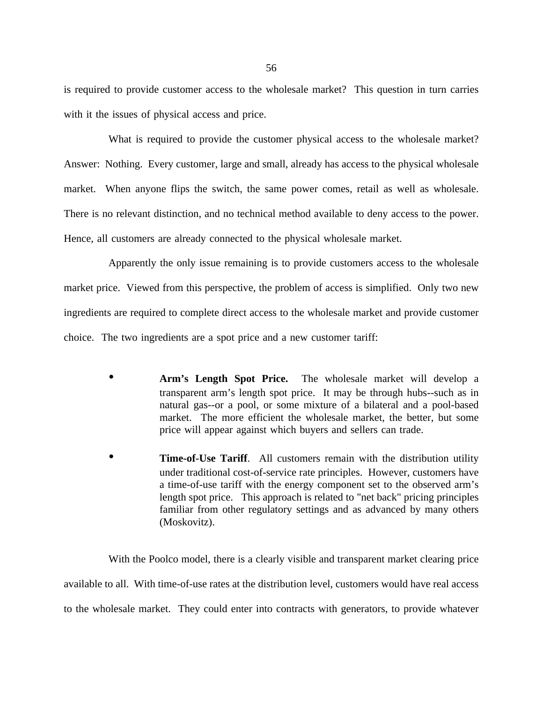is required to provide customer access to the wholesale market? This question in turn carries with it the issues of physical access and price.

What is required to provide the customer physical access to the wholesale market? Answer: Nothing. Every customer, large and small, already has access to the physical wholesale market. When anyone flips the switch, the same power comes, retail as well as wholesale. There is no relevant distinction, and no technical method available to deny access to the power. Hence, all customers are already connected to the physical wholesale market.

Apparently the only issue remaining is to provide customers access to the wholesale market price. Viewed from this perspective, the problem of access is simplified. Only two new ingredients are required to complete direct access to the wholesale market and provide customer choice. The two ingredients are a spot price and a new customer tariff:

- **Arm's Length Spot Price.** The wholesale market will develop a transparent arm's length spot price. It may be through hubs--such as in natural gas--or a pool, or some mixture of a bilateral and a pool-based market. The more efficient the wholesale market, the better, but some price will appear against which buyers and sellers can trade.
- **Time-of-Use Tariff.** All customers remain with the distribution utility under traditional cost-of-service rate principles. However, customers have a time-of-use tariff with the energy component set to the observed arm's length spot price. This approach is related to "net back" pricing principles familiar from other regulatory settings and as advanced by many others (Moskovitz).

With the Poolco model, there is a clearly visible and transparent market clearing price available to all. With time-of-use rates at the distribution level, customers would have real access to the wholesale market. They could enter into contracts with generators, to provide whatever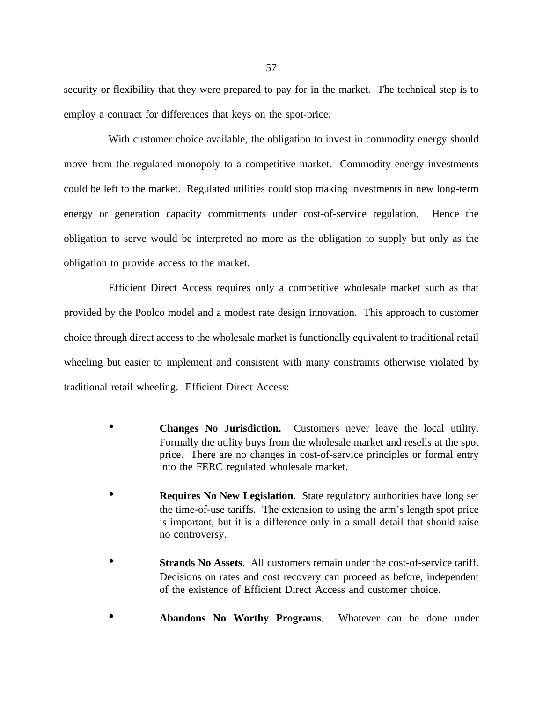security or flexibility that they were prepared to pay for in the market. The technical step is to employ a contract for differences that keys on the spot-price.

With customer choice available, the obligation to invest in commodity energy should move from the regulated monopoly to a competitive market. Commodity energy investments could be left to the market. Regulated utilities could stop making investments in new long-term energy or generation capacity commitments under cost-of-service regulation. Hence the obligation to serve would be interpreted no more as the obligation to supply but only as the obligation to provide access to the market.

Efficient Direct Access requires only a competitive wholesale market such as that provided by the Poolco model and a modest rate design innovation. This approach to customer choice through direct access to the wholesale market is functionally equivalent to traditional retail wheeling but easier to implement and consistent with many constraints otherwise violated by traditional retail wheeling. Efficient Direct Access:

- **Changes No Jurisdiction.** Customers never leave the local utility. Formally the utility buys from the wholesale market and resells at the spot price. There are no changes in cost-of-service principles or formal entry into the FERC regulated wholesale market.
- **Requires No New Legislation.** State regulatory authorities have long set the time-of-use tariffs. The extension to using the arm's length spot price is important, but it is a difference only in a small detail that should raise no controversy.
- **Strands No Assets**. All customers remain under the cost-of-service tariff. Decisions on rates and cost recovery can proceed as before, independent of the existence of Efficient Direct Access and customer choice.
- **Abandons No Worthy Programs**. Whatever can be done under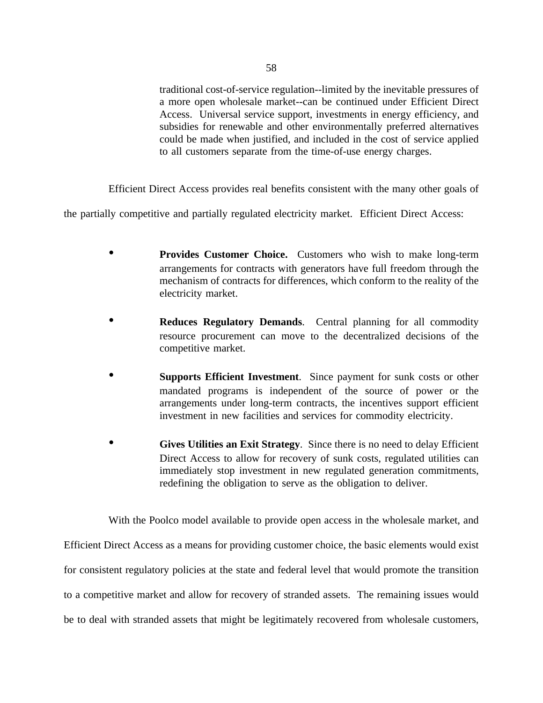traditional cost-of-service regulation--limited by the inevitable pressures of a more open wholesale market--can be continued under Efficient Direct Access. Universal service support, investments in energy efficiency, and subsidies for renewable and other environmentally preferred alternatives could be made when justified, and included in the cost of service applied to all customers separate from the time-of-use energy charges.

Efficient Direct Access provides real benefits consistent with the many other goals of

the partially competitive and partially regulated electricity market. Efficient Direct Access:

- **Provides Customer Choice.** Customers who wish to make long-term arrangements for contracts with generators have full freedom through the mechanism of contracts for differences, which conform to the reality of the electricity market.
- **Reduces Regulatory Demands**. Central planning for all commodity resource procurement can move to the decentralized decisions of the competitive market.
- **Supports Efficient Investment**. Since payment for sunk costs or other mandated programs is independent of the source of power or the arrangements under long-term contracts, the incentives support efficient investment in new facilities and services for commodity electricity.
- **Gives Utilities an Exit Strategy**. Since there is no need to delay Efficient Direct Access to allow for recovery of sunk costs, regulated utilities can immediately stop investment in new regulated generation commitments, redefining the obligation to serve as the obligation to deliver.

With the Poolco model available to provide open access in the wholesale market, and Efficient Direct Access as a means for providing customer choice, the basic elements would exist for consistent regulatory policies at the state and federal level that would promote the transition to a competitive market and allow for recovery of stranded assets. The remaining issues would be to deal with stranded assets that might be legitimately recovered from wholesale customers,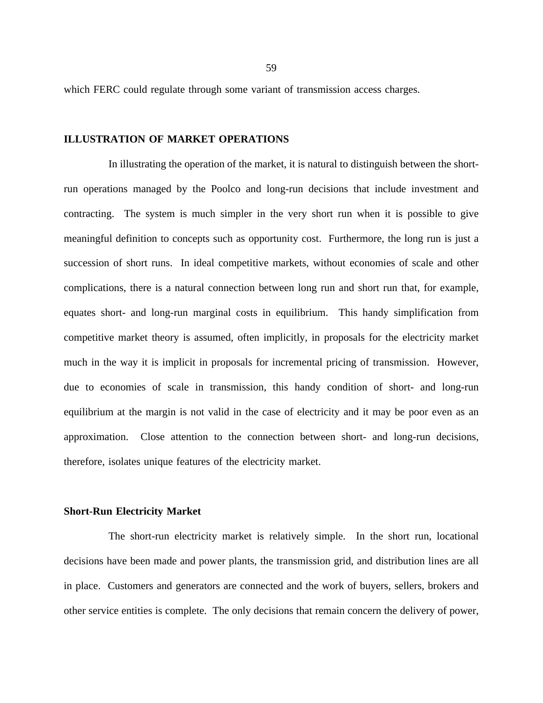which FERC could regulate through some variant of transmission access charges.

### **ILLUSTRATION OF MARKET OPERATIONS**

In illustrating the operation of the market, it is natural to distinguish between the shortrun operations managed by the Poolco and long-run decisions that include investment and contracting. The system is much simpler in the very short run when it is possible to give meaningful definition to concepts such as opportunity cost. Furthermore, the long run is just a succession of short runs. In ideal competitive markets, without economies of scale and other complications, there is a natural connection between long run and short run that, for example, equates short- and long-run marginal costs in equilibrium. This handy simplification from competitive market theory is assumed, often implicitly, in proposals for the electricity market much in the way it is implicit in proposals for incremental pricing of transmission. However, due to economies of scale in transmission, this handy condition of short- and long-run equilibrium at the margin is not valid in the case of electricity and it may be poor even as an approximation. Close attention to the connection between short- and long-run decisions, therefore, isolates unique features of the electricity market.

## **Short-Run Electricity Market**

The short-run electricity market is relatively simple. In the short run, locational decisions have been made and power plants, the transmission grid, and distribution lines are all in place. Customers and generators are connected and the work of buyers, sellers, brokers and other service entities is complete. The only decisions that remain concern the delivery of power,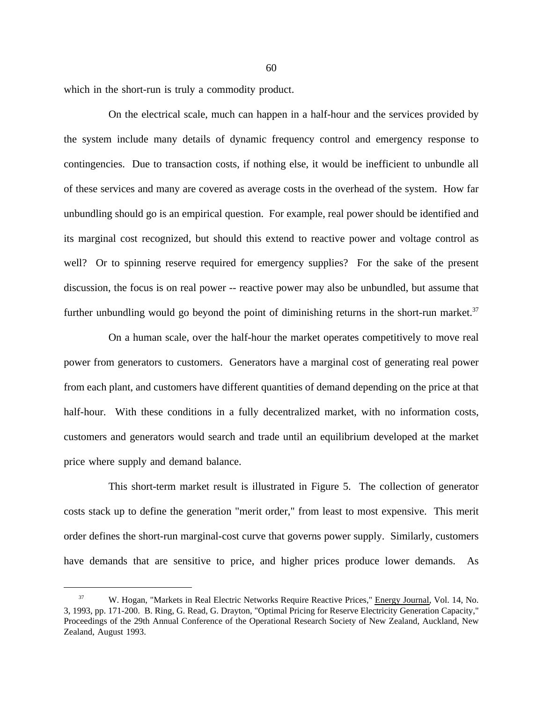which in the short-run is truly a commodity product.

On the electrical scale, much can happen in a half-hour and the services provided by the system include many details of dynamic frequency control and emergency response to contingencies. Due to transaction costs, if nothing else, it would be inefficient to unbundle all of these services and many are covered as average costs in the overhead of the system. How far unbundling should go is an empirical question. For example, real power should be identified and its marginal cost recognized, but should this extend to reactive power and voltage control as well? Or to spinning reserve required for emergency supplies? For the sake of the present discussion, the focus is on real power -- reactive power may also be unbundled, but assume that further unbundling would go beyond the point of diminishing returns in the short-run market.<sup>37</sup>

On a human scale, over the half-hour the market operates competitively to move real power from generators to customers. Generators have a marginal cost of generating real power from each plant, and customers have different quantities of demand depending on the price at that half-hour. With these conditions in a fully decentralized market, with no information costs, customers and generators would search and trade until an equilibrium developed at the market price where supply and demand balance.

This short-term market result is illustrated in Figure 5. The collection of generator costs stack up to define the generation "merit order," from least to most expensive. This merit order defines the short-run marginal-cost curve that governs power supply. Similarly, customers have demands that are sensitive to price, and higher prices produce lower demands. As

<sup>&</sup>lt;sup>37</sup> W. Hogan, "Markets in Real Electric Networks Require Reactive Prices," Energy Journal, Vol. 14, No. 3, 1993, pp. 171-200. B. Ring, G. Read, G. Drayton, "Optimal Pricing for Reserve Electricity Generation Capacity," Proceedings of the 29th Annual Conference of the Operational Research Society of New Zealand, Auckland, New Zealand, August 1993.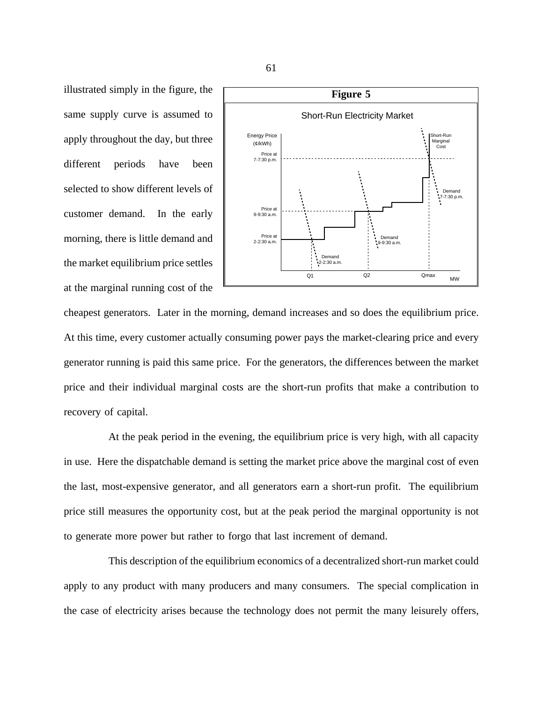illustrated simply in the figure, the same supply curve is assumed to apply throughout the day, but three different periods have been selected to show different levels of customer demand. In the early morning, there is little demand and the market equilibrium price settles at the marginal running cost of the



cheapest generators. Later in the morning, demand increases and so does the equilibrium price. At this time, every customer actually consuming power pays the market-clearing price and every generator running is paid this same price. For the generators, the differences between the market price and their individual marginal costs are the short-run profits that make a contribution to recovery of capital.

At the peak period in the evening, the equilibrium price is very high, with all capacity in use. Here the dispatchable demand is setting the market price above the marginal cost of even the last, most-expensive generator, and all generators earn a short-run profit. The equilibrium price still measures the opportunity cost, but at the peak period the marginal opportunity is not to generate more power but rather to forgo that last increment of demand.

This description of the equilibrium economics of a decentralized short-run market could apply to any product with many producers and many consumers. The special complication in the case of electricity arises because the technology does not permit the many leisurely offers,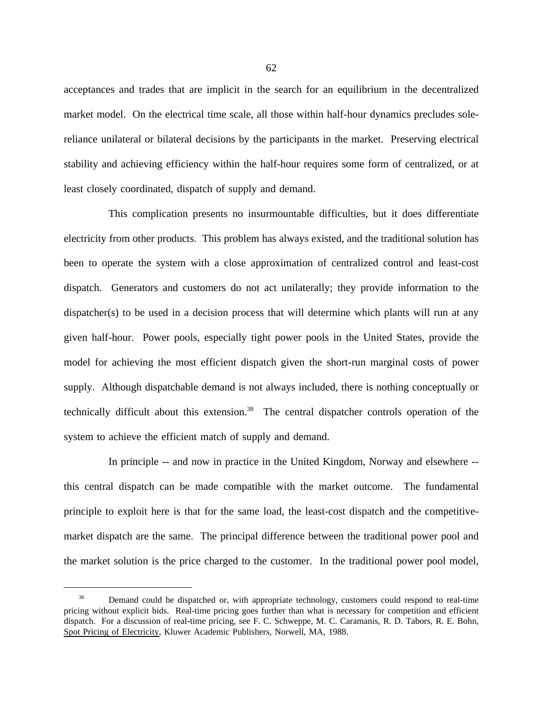acceptances and trades that are implicit in the search for an equilibrium in the decentralized market model. On the electrical time scale, all those within half-hour dynamics precludes solereliance unilateral or bilateral decisions by the participants in the market. Preserving electrical stability and achieving efficiency within the half-hour requires some form of centralized, or at least closely coordinated, dispatch of supply and demand.

This complication presents no insurmountable difficulties, but it does differentiate electricity from other products. This problem has always existed, and the traditional solution has been to operate the system with a close approximation of centralized control and least-cost dispatch. Generators and customers do not act unilaterally; they provide information to the dispatcher(s) to be used in a decision process that will determine which plants will run at any given half-hour. Power pools, especially tight power pools in the United States, provide the model for achieving the most efficient dispatch given the short-run marginal costs of power supply. Although dispatchable demand is not always included, there is nothing conceptually or technically difficult about this extension.<sup>38</sup> The central dispatcher controls operation of the system to achieve the efficient match of supply and demand.

In principle -- and now in practice in the United Kingdom, Norway and elsewhere - this central dispatch can be made compatible with the market outcome. The fundamental principle to exploit here is that for the same load, the least-cost dispatch and the competitivemarket dispatch are the same. The principal difference between the traditional power pool and the market solution is the price charged to the customer. In the traditional power pool model,

<sup>&</sup>lt;sup>38</sup> Demand could be dispatched or, with appropriate technology, customers could respond to real-time pricing without explicit bids. Real-time pricing goes further than what is necessary for competition and efficient dispatch. For a discussion of real-time pricing, see F. C. Schweppe, M. C. Caramanis, R. D. Tabors, R. E. Bohn, Spot Pricing of Electricity, Kluwer Academic Publishers, Norwell, MA, 1988.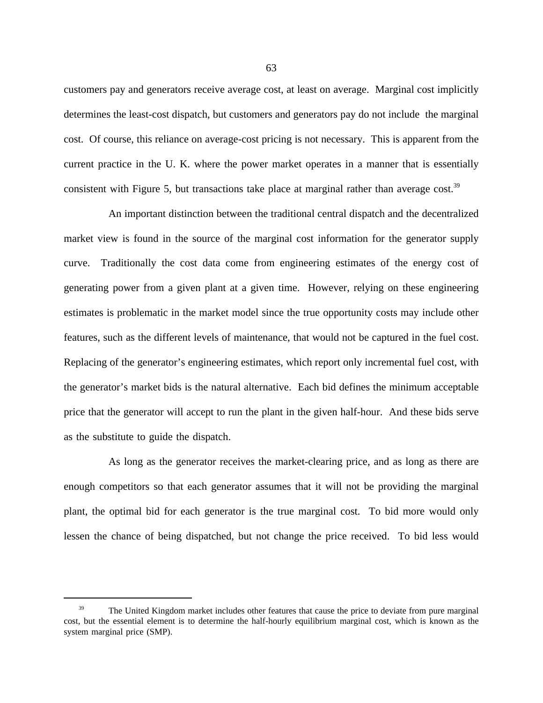customers pay and generators receive average cost, at least on average. Marginal cost implicitly determines the least-cost dispatch, but customers and generators pay do not include the marginal cost. Of course, this reliance on average-cost pricing is not necessary. This is apparent from the current practice in the U. K. where the power market operates in a manner that is essentially consistent with Figure 5, but transactions take place at marginal rather than average cost.<sup>39</sup>

An important distinction between the traditional central dispatch and the decentralized market view is found in the source of the marginal cost information for the generator supply curve. Traditionally the cost data come from engineering estimates of the energy cost of generating power from a given plant at a given time. However, relying on these engineering estimates is problematic in the market model since the true opportunity costs may include other features, such as the different levels of maintenance, that would not be captured in the fuel cost. Replacing of the generator's engineering estimates, which report only incremental fuel cost, with the generator's market bids is the natural alternative. Each bid defines the minimum acceptable price that the generator will accept to run the plant in the given half-hour. And these bids serve as the substitute to guide the dispatch.

As long as the generator receives the market-clearing price, and as long as there are enough competitors so that each generator assumes that it will not be providing the marginal plant, the optimal bid for each generator is the true marginal cost. To bid more would only lessen the chance of being dispatched, but not change the price received. To bid less would

<sup>&</sup>lt;sup>39</sup> The United Kingdom market includes other features that cause the price to deviate from pure marginal cost, but the essential element is to determine the half-hourly equilibrium marginal cost, which is known as the system marginal price (SMP).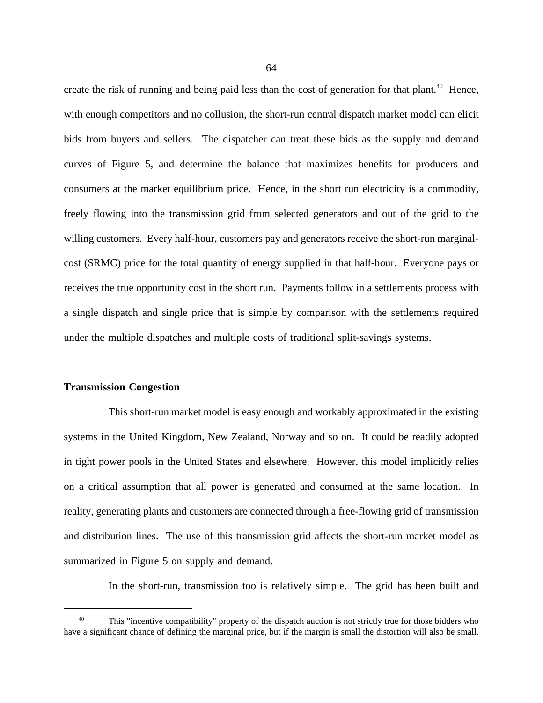create the risk of running and being paid less than the cost of generation for that plant.<sup>40</sup> Hence, with enough competitors and no collusion, the short-run central dispatch market model can elicit bids from buyers and sellers. The dispatcher can treat these bids as the supply and demand curves of Figure 5, and determine the balance that maximizes benefits for producers and consumers at the market equilibrium price. Hence, in the short run electricity is a commodity, freely flowing into the transmission grid from selected generators and out of the grid to the willing customers. Every half-hour, customers pay and generators receive the short-run marginalcost (SRMC) price for the total quantity of energy supplied in that half-hour. Everyone pays or receives the true opportunity cost in the short run. Payments follow in a settlements process with a single dispatch and single price that is simple by comparison with the settlements required under the multiple dispatches and multiple costs of traditional split-savings systems.

# **Transmission Congestion**

This short-run market model is easy enough and workably approximated in the existing systems in the United Kingdom, New Zealand, Norway and so on. It could be readily adopted in tight power pools in the United States and elsewhere. However, this model implicitly relies on a critical assumption that all power is generated and consumed at the same location. In reality, generating plants and customers are connected through a free-flowing grid of transmission and distribution lines. The use of this transmission grid affects the short-run market model as summarized in Figure 5 on supply and demand.

In the short-run, transmission too is relatively simple. The grid has been built and

This "incentive compatibility" property of the dispatch auction is not strictly true for those bidders who have a significant chance of defining the marginal price, but if the margin is small the distortion will also be small.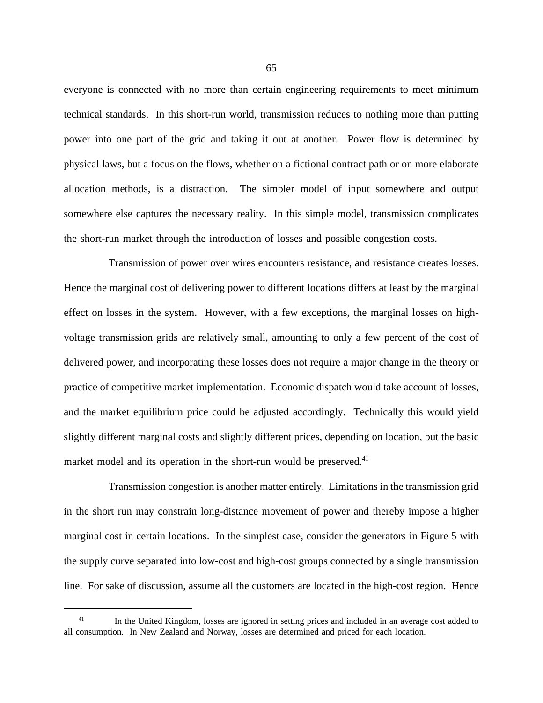everyone is connected with no more than certain engineering requirements to meet minimum technical standards. In this short-run world, transmission reduces to nothing more than putting power into one part of the grid and taking it out at another. Power flow is determined by physical laws, but a focus on the flows, whether on a fictional contract path or on more elaborate allocation methods, is a distraction. The simpler model of input somewhere and output somewhere else captures the necessary reality. In this simple model, transmission complicates the short-run market through the introduction of losses and possible congestion costs.

Transmission of power over wires encounters resistance, and resistance creates losses. Hence the marginal cost of delivering power to different locations differs at least by the marginal effect on losses in the system. However, with a few exceptions, the marginal losses on highvoltage transmission grids are relatively small, amounting to only a few percent of the cost of delivered power, and incorporating these losses does not require a major change in the theory or practice of competitive market implementation. Economic dispatch would take account of losses, and the market equilibrium price could be adjusted accordingly. Technically this would yield slightly different marginal costs and slightly different prices, depending on location, but the basic market model and its operation in the short-run would be preserved. $41$ 

Transmission congestion is another matter entirely. Limitations in the transmission grid in the short run may constrain long-distance movement of power and thereby impose a higher marginal cost in certain locations. In the simplest case, consider the generators in Figure 5 with the supply curve separated into low-cost and high-cost groups connected by a single transmission line. For sake of discussion, assume all the customers are located in the high-cost region. Hence

<sup>&</sup>lt;sup>41</sup> In the United Kingdom, losses are ignored in setting prices and included in an average cost added to all consumption. In New Zealand and Norway, losses are determined and priced for each location.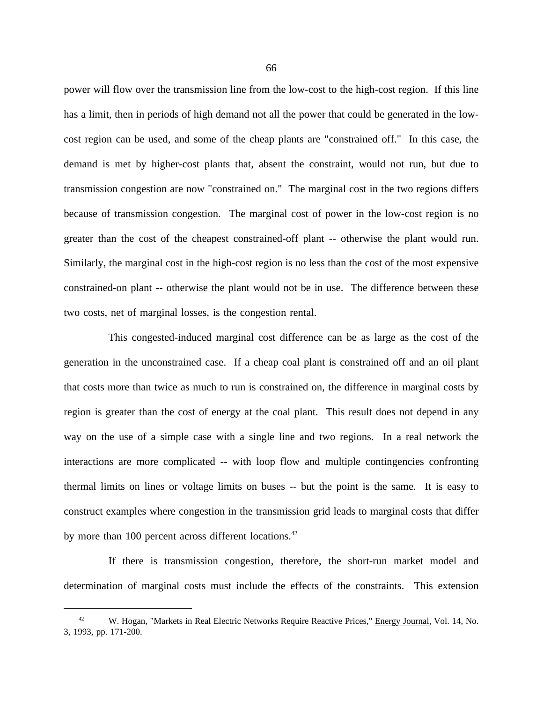power will flow over the transmission line from the low-cost to the high-cost region. If this line has a limit, then in periods of high demand not all the power that could be generated in the lowcost region can be used, and some of the cheap plants are "constrained off." In this case, the demand is met by higher-cost plants that, absent the constraint, would not run, but due to transmission congestion are now "constrained on." The marginal cost in the two regions differs because of transmission congestion. The marginal cost of power in the low-cost region is no greater than the cost of the cheapest constrained-off plant -- otherwise the plant would run. Similarly, the marginal cost in the high-cost region is no less than the cost of the most expensive constrained-on plant -- otherwise the plant would not be in use. The difference between these two costs, net of marginal losses, is the congestion rental.

This congested-induced marginal cost difference can be as large as the cost of the generation in the unconstrained case. If a cheap coal plant is constrained off and an oil plant that costs more than twice as much to run is constrained on, the difference in marginal costs by region is greater than the cost of energy at the coal plant. This result does not depend in any way on the use of a simple case with a single line and two regions. In a real network the interactions are more complicated -- with loop flow and multiple contingencies confronting thermal limits on lines or voltage limits on buses -- but the point is the same. It is easy to construct examples where congestion in the transmission grid leads to marginal costs that differ by more than 100 percent across different locations.<sup>42</sup>

If there is transmission congestion, therefore, the short-run market model and determination of marginal costs must include the effects of the constraints. This extension

W. Hogan, "Markets in Real Electric Networks Require Reactive Prices," Energy Journal, Vol. 14, No. 3, 1993, pp. 171-200.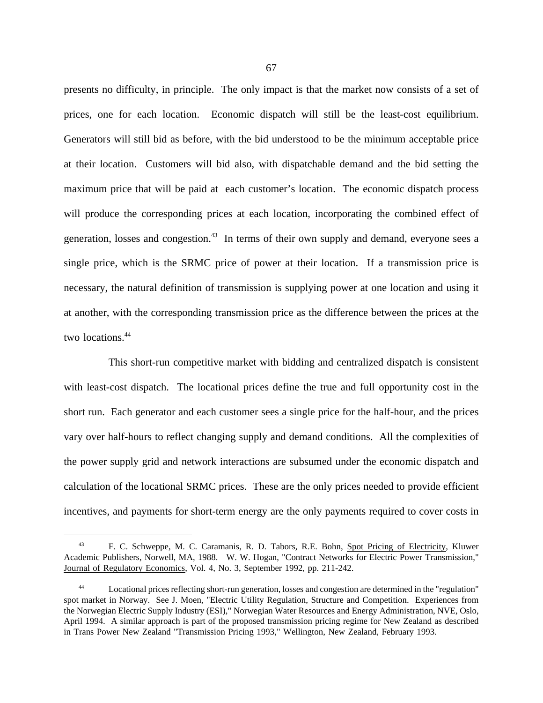presents no difficulty, in principle. The only impact is that the market now consists of a set of prices, one for each location. Economic dispatch will still be the least-cost equilibrium. Generators will still bid as before, with the bid understood to be the minimum acceptable price at their location. Customers will bid also, with dispatchable demand and the bid setting the maximum price that will be paid at each customer's location. The economic dispatch process will produce the corresponding prices at each location, incorporating the combined effect of generation, losses and congestion.<sup>43</sup> In terms of their own supply and demand, everyone sees a single price, which is the SRMC price of power at their location. If a transmission price is necessary, the natural definition of transmission is supplying power at one location and using it at another, with the corresponding transmission price as the difference between the prices at the two locations.<sup>44</sup>

This short-run competitive market with bidding and centralized dispatch is consistent with least-cost dispatch. The locational prices define the true and full opportunity cost in the short run. Each generator and each customer sees a single price for the half-hour, and the prices vary over half-hours to reflect changing supply and demand conditions. All the complexities of the power supply grid and network interactions are subsumed under the economic dispatch and calculation of the locational SRMC prices. These are the only prices needed to provide efficient incentives, and payments for short-term energy are the only payments required to cover costs in

<sup>43</sup> F. C. Schweppe, M. C. Caramanis, R. D. Tabors, R.E. Bohn, Spot Pricing of Electricity, Kluwer Academic Publishers, Norwell, MA, 1988. W. W. Hogan, "Contract Networks for Electric Power Transmission," Journal of Regulatory Economics, Vol. 4, No. 3, September 1992, pp. 211-242.

<sup>44</sup> Locational prices reflecting short-run generation, losses and congestion are determined in the "regulation" spot market in Norway. See J. Moen, "Electric Utility Regulation, Structure and Competition. Experiences from the Norwegian Electric Supply Industry (ESI)," Norwegian Water Resources and Energy Administration, NVE, Oslo, April 1994. A similar approach is part of the proposed transmission pricing regime for New Zealand as described in Trans Power New Zealand "Transmission Pricing 1993," Wellington, New Zealand, February 1993.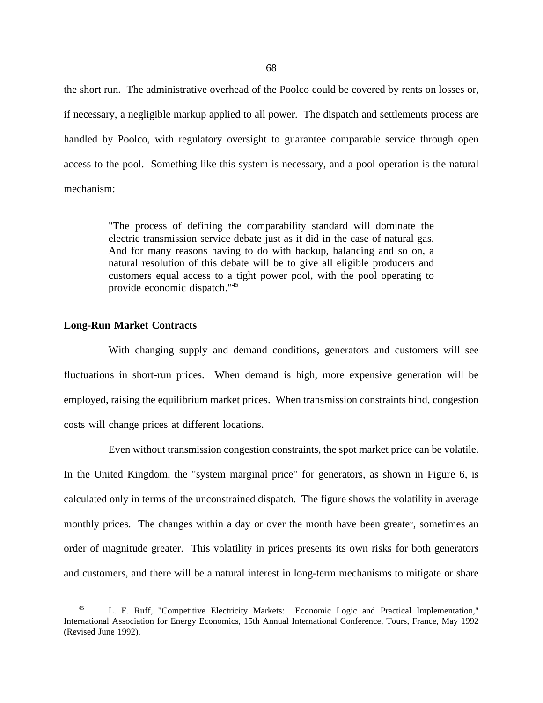the short run. The administrative overhead of the Poolco could be covered by rents on losses or, if necessary, a negligible markup applied to all power. The dispatch and settlements process are handled by Poolco, with regulatory oversight to guarantee comparable service through open access to the pool. Something like this system is necessary, and a pool operation is the natural mechanism:

> "The process of defining the comparability standard will dominate the electric transmission service debate just as it did in the case of natural gas. And for many reasons having to do with backup, balancing and so on, a natural resolution of this debate will be to give all eligible producers and customers equal access to a tight power pool, with the pool operating to provide economic dispatch."45

### **Long-Run Market Contracts**

With changing supply and demand conditions, generators and customers will see fluctuations in short-run prices. When demand is high, more expensive generation will be employed, raising the equilibrium market prices. When transmission constraints bind, congestion costs will change prices at different locations.

Even without transmission congestion constraints, the spot market price can be volatile. In the United Kingdom, the "system marginal price" for generators, as shown in Figure 6, is calculated only in terms of the unconstrained dispatch. The figure shows the volatility in average monthly prices. The changes within a day or over the month have been greater, sometimes an order of magnitude greater. This volatility in prices presents its own risks for both generators and customers, and there will be a natural interest in long-term mechanisms to mitigate or share

<sup>&</sup>lt;sup>45</sup> L. E. Ruff, "Competitive Electricity Markets: Economic Logic and Practical Implementation," International Association for Energy Economics, 15th Annual International Conference, Tours, France, May 1992 (Revised June 1992).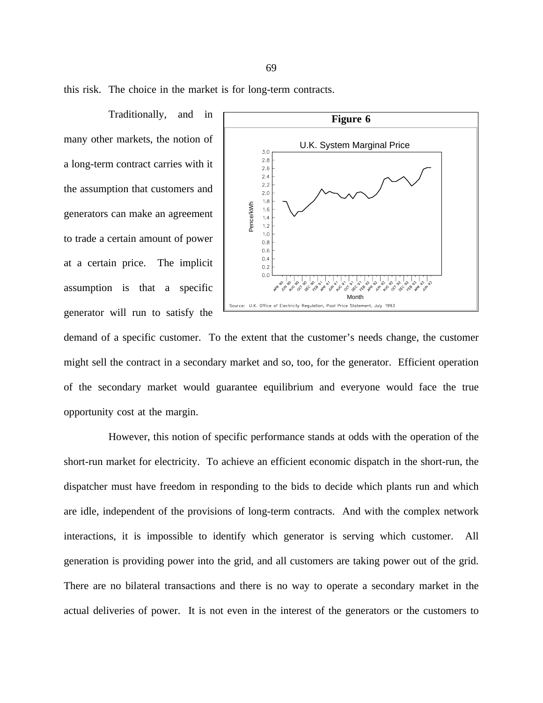this risk. The choice in the market is for long-term contracts.

Traditionally, and in many other markets, the notion of a long-term contract carries with it the assumption that customers and generators can make an agreement to trade a certain amount of power at a certain price. The implicit assumption is that a specific generator will run to satisfy the



demand of a specific customer. To the extent that the customer's needs change, the customer might sell the contract in a secondary market and so, too, for the generator. Efficient operation of the secondary market would guarantee equilibrium and everyone would face the true opportunity cost at the margin.

However, this notion of specific performance stands at odds with the operation of the short-run market for electricity. To achieve an efficient economic dispatch in the short-run, the dispatcher must have freedom in responding to the bids to decide which plants run and which are idle, independent of the provisions of long-term contracts. And with the complex network interactions, it is impossible to identify which generator is serving which customer. All generation is providing power into the grid, and all customers are taking power out of the grid. There are no bilateral transactions and there is no way to operate a secondary market in the actual deliveries of power. It is not even in the interest of the generators or the customers to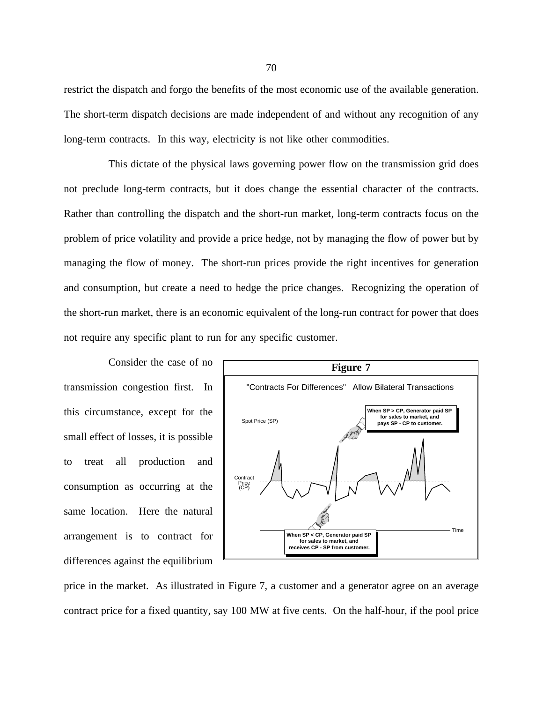restrict the dispatch and forgo the benefits of the most economic use of the available generation. The short-term dispatch decisions are made independent of and without any recognition of any long-term contracts. In this way, electricity is not like other commodities.

This dictate of the physical laws governing power flow on the transmission grid does not preclude long-term contracts, but it does change the essential character of the contracts. Rather than controlling the dispatch and the short-run market, long-term contracts focus on the problem of price volatility and provide a price hedge, not by managing the flow of power but by managing the flow of money. The short-run prices provide the right incentives for generation and consumption, but create a need to hedge the price changes. Recognizing the operation of the short-run market, there is an economic equivalent of the long-run contract for power that does not require any specific plant to run for any specific customer.

Consider the case of no transmission congestion first. In this circumstance, except for the small effect of losses, it is possible to treat all production and consumption as occurring at the same location. Here the natural arrangement is to contract for differences against the equilibrium



price in the market. As illustrated in Figure 7, a customer and a generator agree on an average contract price for a fixed quantity, say 100 MW at five cents. On the half-hour, if the pool price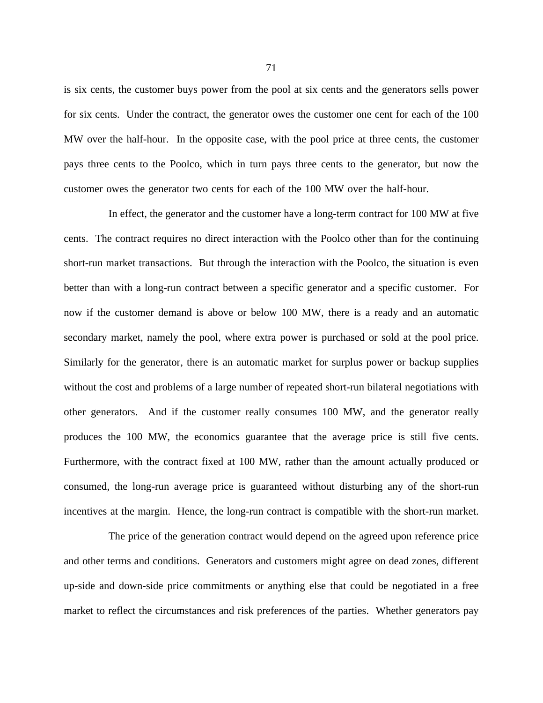is six cents, the customer buys power from the pool at six cents and the generators sells power for six cents. Under the contract, the generator owes the customer one cent for each of the 100 MW over the half-hour. In the opposite case, with the pool price at three cents, the customer pays three cents to the Poolco, which in turn pays three cents to the generator, but now the customer owes the generator two cents for each of the 100 MW over the half-hour.

In effect, the generator and the customer have a long-term contract for 100 MW at five cents. The contract requires no direct interaction with the Poolco other than for the continuing short-run market transactions. But through the interaction with the Poolco, the situation is even better than with a long-run contract between a specific generator and a specific customer. For now if the customer demand is above or below 100 MW, there is a ready and an automatic secondary market, namely the pool, where extra power is purchased or sold at the pool price. Similarly for the generator, there is an automatic market for surplus power or backup supplies without the cost and problems of a large number of repeated short-run bilateral negotiations with other generators. And if the customer really consumes 100 MW, and the generator really produces the 100 MW, the economics guarantee that the average price is still five cents. Furthermore, with the contract fixed at 100 MW, rather than the amount actually produced or consumed, the long-run average price is guaranteed without disturbing any of the short-run incentives at the margin. Hence, the long-run contract is compatible with the short-run market.

The price of the generation contract would depend on the agreed upon reference price and other terms and conditions. Generators and customers might agree on dead zones, different up-side and down-side price commitments or anything else that could be negotiated in a free market to reflect the circumstances and risk preferences of the parties. Whether generators pay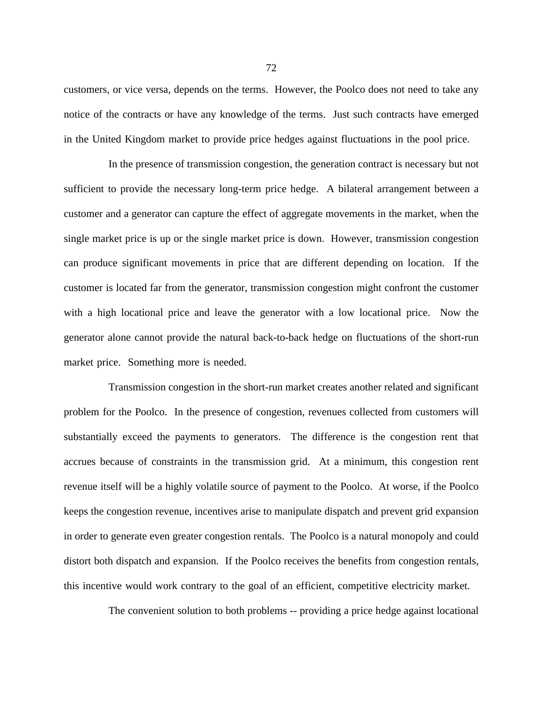customers, or vice versa, depends on the terms. However, the Poolco does not need to take any notice of the contracts or have any knowledge of the terms. Just such contracts have emerged in the United Kingdom market to provide price hedges against fluctuations in the pool price.

In the presence of transmission congestion, the generation contract is necessary but not sufficient to provide the necessary long-term price hedge. A bilateral arrangement between a customer and a generator can capture the effect of aggregate movements in the market, when the single market price is up or the single market price is down. However, transmission congestion can produce significant movements in price that are different depending on location. If the customer is located far from the generator, transmission congestion might confront the customer with a high locational price and leave the generator with a low locational price. Now the generator alone cannot provide the natural back-to-back hedge on fluctuations of the short-run market price. Something more is needed.

Transmission congestion in the short-run market creates another related and significant problem for the Poolco. In the presence of congestion, revenues collected from customers will substantially exceed the payments to generators. The difference is the congestion rent that accrues because of constraints in the transmission grid. At a minimum, this congestion rent revenue itself will be a highly volatile source of payment to the Poolco. At worse, if the Poolco keeps the congestion revenue, incentives arise to manipulate dispatch and prevent grid expansion in order to generate even greater congestion rentals. The Poolco is a natural monopoly and could distort both dispatch and expansion. If the Poolco receives the benefits from congestion rentals, this incentive would work contrary to the goal of an efficient, competitive electricity market.

The convenient solution to both problems -- providing a price hedge against locational

72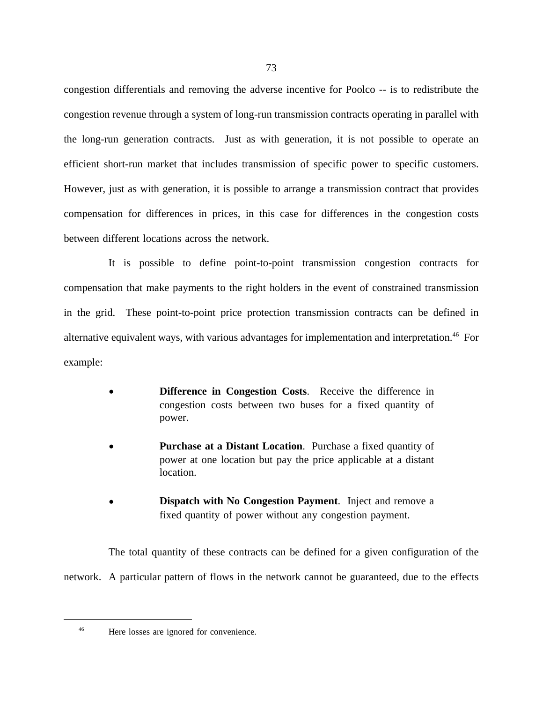congestion differentials and removing the adverse incentive for Poolco -- is to redistribute the congestion revenue through a system of long-run transmission contracts operating in parallel with the long-run generation contracts. Just as with generation, it is not possible to operate an efficient short-run market that includes transmission of specific power to specific customers. However, just as with generation, it is possible to arrange a transmission contract that provides compensation for differences in prices, in this case for differences in the congestion costs between different locations across the network.

It is possible to define point-to-point transmission congestion contracts for compensation that make payments to the right holders in the event of constrained transmission in the grid. These point-to-point price protection transmission contracts can be defined in alternative equivalent ways, with various advantages for implementation and interpretation.<sup>46</sup> For example:

- **Difference in Congestion Costs.** Receive the difference in congestion costs between two buses for a fixed quantity of power.
- **Purchase at a Distant Location**. Purchase a fixed quantity of power at one location but pay the price applicable at a distant location.
- **Dispatch with No Congestion Payment**. Inject and remove a fixed quantity of power without any congestion payment.

The total quantity of these contracts can be defined for a given configuration of the network. A particular pattern of flows in the network cannot be guaranteed, due to the effects

<sup>46</sup> Here losses are ignored for convenience.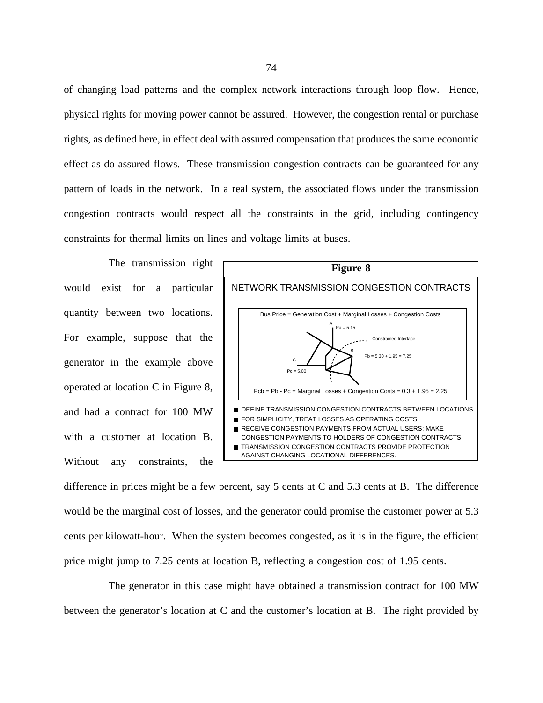of changing load patterns and the complex network interactions through loop flow. Hence, physical rights for moving power cannot be assured. However, the congestion rental or purchase rights, as defined here, in effect deal with assured compensation that produces the same economic effect as do assured flows. These transmission congestion contracts can be guaranteed for any pattern of loads in the network. In a real system, the associated flows under the transmission congestion contracts would respect all the constraints in the grid, including contingency constraints for thermal limits on lines and voltage limits at buses.

The transmission right would exist for a particular quantity between two locations. For example, suppose that the generator in the example above operated at location C in Figure 8, and had a contract for 100 MW with a customer at location B. Without any constraints, the



difference in prices might be a few percent, say 5 cents at C and 5.3 cents at B. The difference would be the marginal cost of losses, and the generator could promise the customer power at 5.3 cents per kilowatt-hour. When the system becomes congested, as it is in the figure, the efficient price might jump to 7.25 cents at location B, reflecting a congestion cost of 1.95 cents.

The generator in this case might have obtained a transmission contract for 100 MW between the generator's location at C and the customer's location at B. The right provided by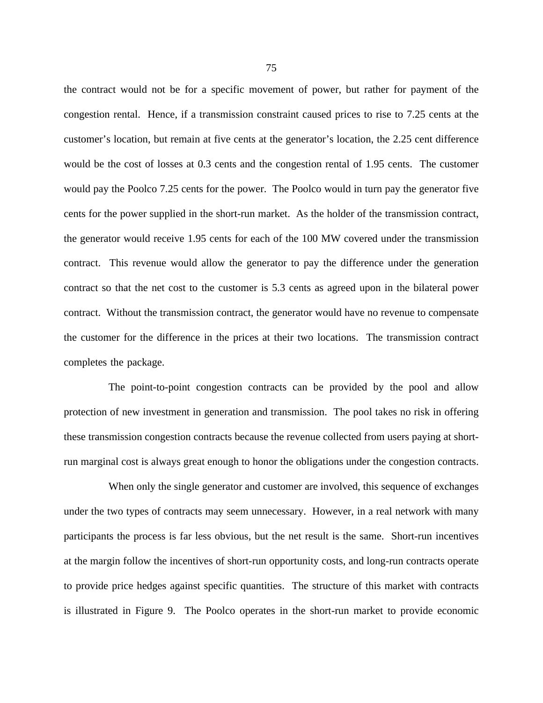the contract would not be for a specific movement of power, but rather for payment of the congestion rental. Hence, if a transmission constraint caused prices to rise to 7.25 cents at the customer's location, but remain at five cents at the generator's location, the 2.25 cent difference would be the cost of losses at 0.3 cents and the congestion rental of 1.95 cents. The customer would pay the Poolco 7.25 cents for the power. The Poolco would in turn pay the generator five cents for the power supplied in the short-run market. As the holder of the transmission contract, the generator would receive 1.95 cents for each of the 100 MW covered under the transmission contract. This revenue would allow the generator to pay the difference under the generation contract so that the net cost to the customer is 5.3 cents as agreed upon in the bilateral power contract. Without the transmission contract, the generator would have no revenue to compensate the customer for the difference in the prices at their two locations. The transmission contract completes the package.

The point-to-point congestion contracts can be provided by the pool and allow protection of new investment in generation and transmission. The pool takes no risk in offering these transmission congestion contracts because the revenue collected from users paying at shortrun marginal cost is always great enough to honor the obligations under the congestion contracts.

When only the single generator and customer are involved, this sequence of exchanges under the two types of contracts may seem unnecessary. However, in a real network with many participants the process is far less obvious, but the net result is the same. Short-run incentives at the margin follow the incentives of short-run opportunity costs, and long-run contracts operate to provide price hedges against specific quantities. The structure of this market with contracts is illustrated in Figure 9. The Poolco operates in the short-run market to provide economic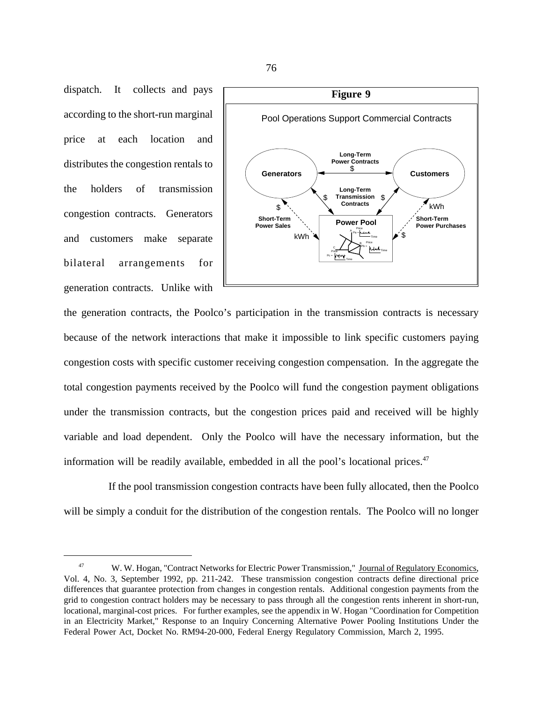dispatch. It collects and pays according to the short-run marginal price at each location and distributes the congestion rentals to the holders of transmission congestion contracts. Generators and customers make separate bilateral arrangements for generation contracts. Unlike with



the generation contracts, the Poolco's participation in the transmission contracts is necessary because of the network interactions that make it impossible to link specific customers paying congestion costs with specific customer receiving congestion compensation. In the aggregate the total congestion payments received by the Poolco will fund the congestion payment obligations under the transmission contracts, but the congestion prices paid and received will be highly variable and load dependent. Only the Poolco will have the necessary information, but the information will be readily available, embedded in all the pool's locational prices. $47$ 

If the pool transmission congestion contracts have been fully allocated, then the Poolco will be simply a conduit for the distribution of the congestion rentals. The Poolco will no longer

<sup>47</sup> W. W. Hogan, "Contract Networks for Electric Power Transmission," Journal of Regulatory Economics, Vol. 4, No. 3, September 1992, pp. 211-242. These transmission congestion contracts define directional price differences that guarantee protection from changes in congestion rentals. Additional congestion payments from the grid to congestion contract holders may be necessary to pass through all the congestion rents inherent in short-run, locational, marginal-cost prices. For further examples, see the appendix in W. Hogan "Coordination for Competition in an Electricity Market," Response to an Inquiry Concerning Alternative Power Pooling Institutions Under the Federal Power Act, Docket No. RM94-20-000, Federal Energy Regulatory Commission, March 2, 1995.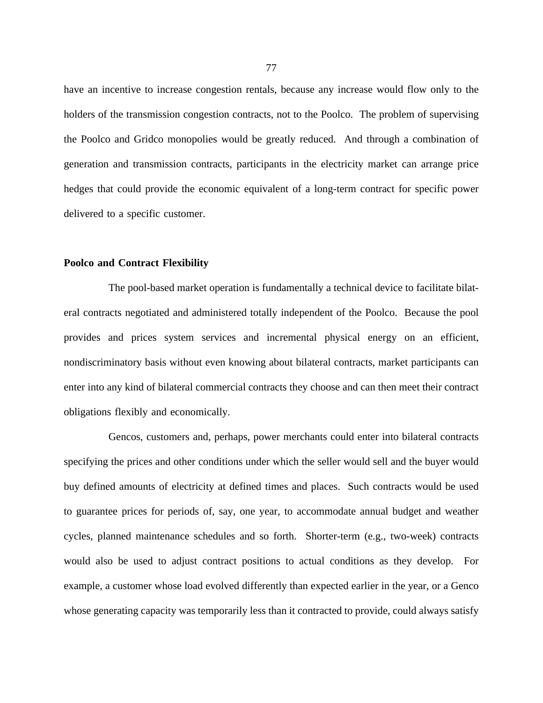have an incentive to increase congestion rentals, because any increase would flow only to the holders of the transmission congestion contracts, not to the Poolco. The problem of supervising the Poolco and Gridco monopolies would be greatly reduced. And through a combination of generation and transmission contracts, participants in the electricity market can arrange price hedges that could provide the economic equivalent of a long-term contract for specific power delivered to a specific customer.

## **Poolco and Contract Flexibility**

The pool-based market operation is fundamentally a technical device to facilitate bilateral contracts negotiated and administered totally independent of the Poolco. Because the pool provides and prices system services and incremental physical energy on an efficient, nondiscriminatory basis without even knowing about bilateral contracts, market participants can enter into any kind of bilateral commercial contracts they choose and can then meet their contract obligations flexibly and economically.

Gencos, customers and, perhaps, power merchants could enter into bilateral contracts specifying the prices and other conditions under which the seller would sell and the buyer would buy defined amounts of electricity at defined times and places. Such contracts would be used to guarantee prices for periods of, say, one year, to accommodate annual budget and weather cycles, planned maintenance schedules and so forth. Shorter-term (e.g., two-week) contracts would also be used to adjust contract positions to actual conditions as they develop. For example, a customer whose load evolved differently than expected earlier in the year, or a Genco whose generating capacity was temporarily less than it contracted to provide, could always satisfy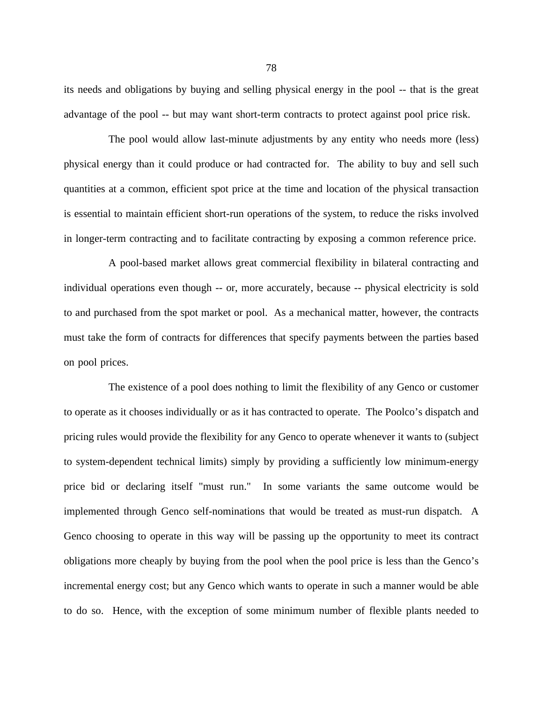its needs and obligations by buying and selling physical energy in the pool -- that is the great advantage of the pool -- but may want short-term contracts to protect against pool price risk.

The pool would allow last-minute adjustments by any entity who needs more (less) physical energy than it could produce or had contracted for. The ability to buy and sell such quantities at a common, efficient spot price at the time and location of the physical transaction is essential to maintain efficient short-run operations of the system, to reduce the risks involved in longer-term contracting and to facilitate contracting by exposing a common reference price.

A pool-based market allows great commercial flexibility in bilateral contracting and individual operations even though -- or, more accurately, because -- physical electricity is sold to and purchased from the spot market or pool. As a mechanical matter, however, the contracts must take the form of contracts for differences that specify payments between the parties based on pool prices.

The existence of a pool does nothing to limit the flexibility of any Genco or customer to operate as it chooses individually or as it has contracted to operate. The Poolco's dispatch and pricing rules would provide the flexibility for any Genco to operate whenever it wants to (subject to system-dependent technical limits) simply by providing a sufficiently low minimum-energy price bid or declaring itself "must run." In some variants the same outcome would be implemented through Genco self-nominations that would be treated as must-run dispatch. A Genco choosing to operate in this way will be passing up the opportunity to meet its contract obligations more cheaply by buying from the pool when the pool price is less than the Genco's incremental energy cost; but any Genco which wants to operate in such a manner would be able to do so. Hence, with the exception of some minimum number of flexible plants needed to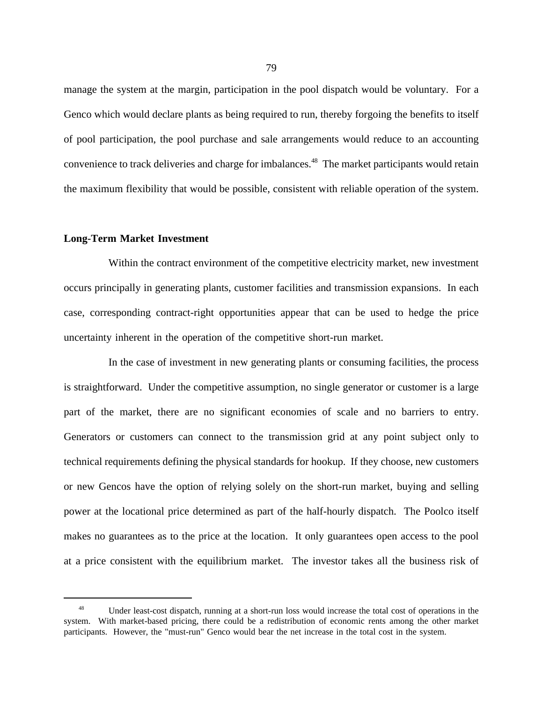manage the system at the margin, participation in the pool dispatch would be voluntary. For a Genco which would declare plants as being required to run, thereby forgoing the benefits to itself of pool participation, the pool purchase and sale arrangements would reduce to an accounting convenience to track deliveries and charge for imbalances.<sup>48</sup> The market participants would retain the maximum flexibility that would be possible, consistent with reliable operation of the system.

## **Long-Term Market Investment**

Within the contract environment of the competitive electricity market, new investment occurs principally in generating plants, customer facilities and transmission expansions. In each case, corresponding contract-right opportunities appear that can be used to hedge the price uncertainty inherent in the operation of the competitive short-run market.

In the case of investment in new generating plants or consuming facilities, the process is straightforward. Under the competitive assumption, no single generator or customer is a large part of the market, there are no significant economies of scale and no barriers to entry. Generators or customers can connect to the transmission grid at any point subject only to technical requirements defining the physical standards for hookup. If they choose, new customers or new Gencos have the option of relying solely on the short-run market, buying and selling power at the locational price determined as part of the half-hourly dispatch. The Poolco itself makes no guarantees as to the price at the location. It only guarantees open access to the pool at a price consistent with the equilibrium market. The investor takes all the business risk of

<sup>48</sup> Under least-cost dispatch, running at a short-run loss would increase the total cost of operations in the system. With market-based pricing, there could be a redistribution of economic rents among the other market participants. However, the "must-run" Genco would bear the net increase in the total cost in the system.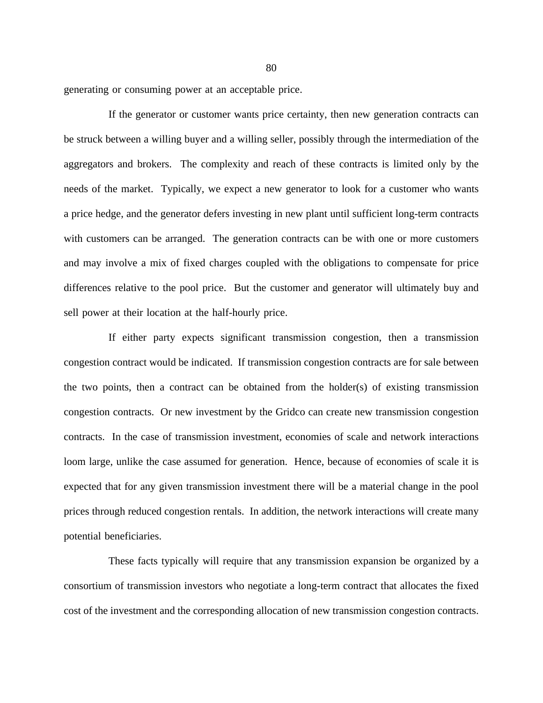generating or consuming power at an acceptable price.

If the generator or customer wants price certainty, then new generation contracts can be struck between a willing buyer and a willing seller, possibly through the intermediation of the aggregators and brokers. The complexity and reach of these contracts is limited only by the needs of the market. Typically, we expect a new generator to look for a customer who wants a price hedge, and the generator defers investing in new plant until sufficient long-term contracts with customers can be arranged. The generation contracts can be with one or more customers and may involve a mix of fixed charges coupled with the obligations to compensate for price differences relative to the pool price. But the customer and generator will ultimately buy and sell power at their location at the half-hourly price.

If either party expects significant transmission congestion, then a transmission congestion contract would be indicated. If transmission congestion contracts are for sale between the two points, then a contract can be obtained from the holder(s) of existing transmission congestion contracts. Or new investment by the Gridco can create new transmission congestion contracts. In the case of transmission investment, economies of scale and network interactions loom large, unlike the case assumed for generation. Hence, because of economies of scale it is expected that for any given transmission investment there will be a material change in the pool prices through reduced congestion rentals. In addition, the network interactions will create many potential beneficiaries.

These facts typically will require that any transmission expansion be organized by a consortium of transmission investors who negotiate a long-term contract that allocates the fixed cost of the investment and the corresponding allocation of new transmission congestion contracts.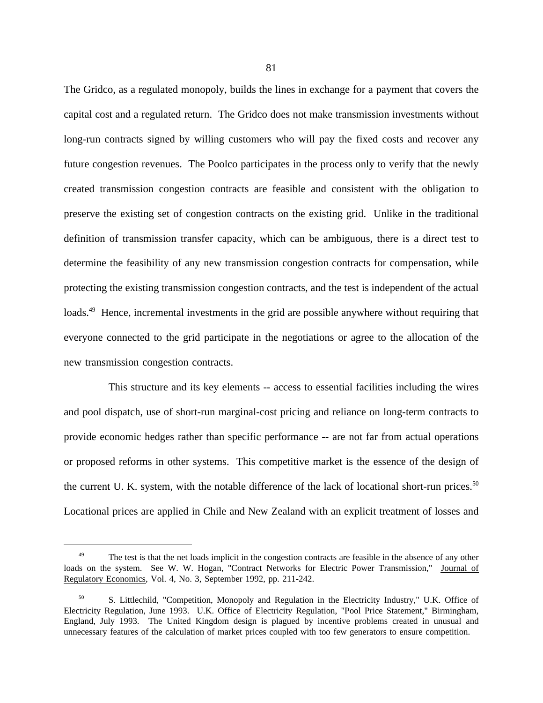The Gridco, as a regulated monopoly, builds the lines in exchange for a payment that covers the capital cost and a regulated return. The Gridco does not make transmission investments without long-run contracts signed by willing customers who will pay the fixed costs and recover any future congestion revenues. The Poolco participates in the process only to verify that the newly created transmission congestion contracts are feasible and consistent with the obligation to preserve the existing set of congestion contracts on the existing grid. Unlike in the traditional definition of transmission transfer capacity, which can be ambiguous, there is a direct test to determine the feasibility of any new transmission congestion contracts for compensation, while protecting the existing transmission congestion contracts, and the test is independent of the actual loads.<sup>49</sup> Hence, incremental investments in the grid are possible anywhere without requiring that everyone connected to the grid participate in the negotiations or agree to the allocation of the new transmission congestion contracts.

This structure and its key elements -- access to essential facilities including the wires and pool dispatch, use of short-run marginal-cost pricing and reliance on long-term contracts to provide economic hedges rather than specific performance -- are not far from actual operations or proposed reforms in other systems. This competitive market is the essence of the design of the current U. K. system, with the notable difference of the lack of locational short-run prices.<sup>50</sup> Locational prices are applied in Chile and New Zealand with an explicit treatment of losses and

<sup>&</sup>lt;sup>49</sup> The test is that the net loads implicit in the congestion contracts are feasible in the absence of any other loads on the system. See W. W. Hogan, "Contract Networks for Electric Power Transmission," Journal of Regulatory Economics, Vol. 4, No. 3, September 1992, pp. 211-242.

<sup>50</sup> S. Littlechild, "Competition, Monopoly and Regulation in the Electricity Industry," U.K. Office of Electricity Regulation, June 1993. U.K. Office of Electricity Regulation, "Pool Price Statement," Birmingham, England, July 1993. The United Kingdom design is plagued by incentive problems created in unusual and unnecessary features of the calculation of market prices coupled with too few generators to ensure competition.